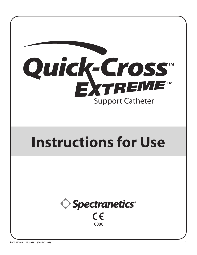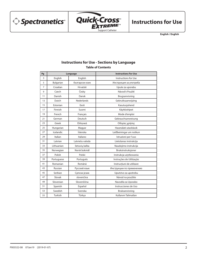



**English / English**

## **Instructions for Use - Sections by Language Table of Contents**

| Pg |            | Language          | <b>Instructions For Use</b> |
|----|------------|-------------------|-----------------------------|
| 3  | English    | English           | <b>Instructions for Use</b> |
| 5  | Bulgarian  | български език    | Инструкция за употреба      |
| 7  | Croatian   | Hrvatski          | Upute za uporabu            |
| 9  | Czech      | Česky             | Návod k Použití             |
| 11 | Danish     | Dansk             | Brugsanvisning              |
| 13 | Dutch      | <b>Nederlands</b> | Gebruiksaanwijzing          |
| 15 | Estonian   | Eesti             | Kasutusjuhend               |
| 17 | Finnish    | Suomi             | Käyttöohjeet                |
| 19 | French     | Français          | Mode d'emploi               |
| 21 | German     | Deutsch           | Gebrauchsanweisung          |
| 23 | Greek      | Ελληνικά          | Οδηγίες χρήσης              |
| 25 | Hungarian  | Magyar            | Használati utasítások       |
| 27 | Icelandic  | Íslenska          | Leiðbeiningar um notkun     |
| 29 | Italian    | Italiano          | Istruzioni per l'uso        |
| 31 | Latvian    | Latviešu valoda   | Lietošanas instrukcija      |
| 33 | Lithuanian | lietuvių kalba    | Naudojimo instrukcija       |
| 35 | Norwegian  | Norsk bokmål      | Bruksinstruksjoner          |
| 37 | Polish     | Polski            | Instrukcja użytkowania      |
| 39 | Portuguese | Português         | Instruções de Utilização    |
| 41 | Romanian   | Română            | Instrucțiuni de utilizare   |
| 43 | Russian    | Русский язык      | Инструкции по применению    |
| 45 | Serbian    | Српски језик      | Uputstvo za upotrebu        |
| 47 | Slovak     | slovenčina        | Návod na použitie           |
| 49 | Slovenian  | Slovenščina       | Navodila za Uporabo         |
| 51 | Spanish    | Español           | Instrucciones de Uso        |
| 53 | Swedish    | Svenska           | Bruksanvisning              |
| 55 | Turkish    | Türkçe            | Kullanım Talimatları        |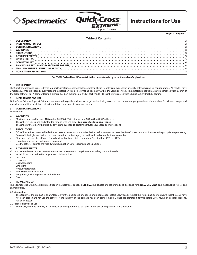



## **English / English**

## **Table of Contents**

#### **CAUTION: Federal law (USA) restricts this device to sale by or on the order of a physician**

## **1. DESCRIPTION**

The Spectranetics Quick-Cross Extreme Support Catheters are intravascular catheters. These catheters are available in a variety of lengths and tip configurations. All models have 3 radiopaque markers spaced equally along the distal shaft to aid in estimating geometry within the vascular system. The distal radiopaque marker is positioned within 3 mm of the distal catheter tip. A standard female luer is placed on the proximal end of each model. The catheter is coated with a lubricious, hydrophilic coating.

## **2. INDICATIONS FOR USE**

Quick-Cross Extreme Support Catheters are intended to guide and support a guidewire during access of the coronary or peripheral vasculature, allow for wire exchanges and provide a conduit for the delivery of saline solutions or diagnostic contrast agents.

#### **3. CONTRAINDICATIONS**

None known.

## **4. WARNINGS**

- Maximum Infusion Pressure: **300 psi**. for 0.014" & 0.018" catheters and **500 psi** for 0.035" catheters.
- The catheter is designed and intended for one time use only. **Do not re-sterilize and/or reuse.**
- The catheter should only be used by physicians qualified to perform percutaneous vascular interventions.

#### **5. PRECAUTIONS**

- DO NOT resterilize or reuse this device, as these actions can compromise device performance or increase the risk of cross-contamination due to inappropriate reprocessing. Reuse of this single use device could lead to serious patient injury or death and voids manufacturer warranties.
- Store in a cool, dry place. Protect from direct sunlight and high temperature (greater than 55°C or 131°F).
- Do not use if device or packaging is damaged.
- Use the catheter prior to the "Use By" date (Expiration Date) specified on the package.

#### **6. ADVERSE EFFECTS**

Vascular catheterization and/or vascular intervention may result in complications including but not limited to:

- Vessel dissection, perforation, rupture or total occlusion
- **Infection**
- Hematoma
- Unstable angina
- Embolism
- Hypo/hypertension
- Acute myocardial infarction
- Arrhythmia, including ventricular fibrillation
- Death

#### **7. HOW SUPPLIED**

The Spectranetics Quick-Cross Extreme Support Catheters are supplied **STERILE**. The devices are designated and designed for **SINGLE USE ONLY** and must not be resterilized and/or reused.

#### **7.1 Sterilization**

• The sterility of the product is guaranteed only if the package is unopened and undamaged. Before use, visually inspect the sterile package to ensure that the seals have not been broken. Do not use the catheter if the integrity of the package has been compromised. Do not use catheter if its "Use Before Date," found on package labeling, has been passed.

#### **7.2 Inspection Prior to Use**

• Before use, examine carefully for defects, all of the equipment to be used. Do not use any equipment if it is damaged.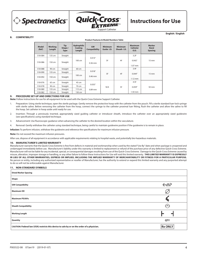



**English / English**

## **8. COMPATIBILITY**

**Product Features & Model Numbers Table**

| <b>Model</b><br>(Ref) | Working<br>Length | Tip<br>Shape /<br><b>Type</b> | <b>Hydrophilic</b><br><b>Coating</b><br>Length | <b>GW</b><br><b>Compatibility</b> | <b>Minimum</b><br>Guide I.D. | <b>Minimum</b><br>Sheath I.D. | <b>Maximum</b><br><b>Catheter</b><br>O.D. | <b>Marker</b><br><b>Band</b><br><b>Spacing</b> |
|-----------------------|-------------------|-------------------------------|------------------------------------------------|-----------------------------------|------------------------------|-------------------------------|-------------------------------------------|------------------------------------------------|
| 518-084               | 135 cm            | Straight                      |                                                |                                   |                              |                               | 3.2F                                      |                                                |
| 518-086               | 150 cm            | Straight                      | $100 \, \text{cm}$                             | 0.014''<br>$0.36$ mm              | 5F                           | 4F                            | 0.042''<br>$1.07$ mm                      | $15 \text{ mm}$                                |
| 518-088               | 90 cm             | Straight                      | 60 cm                                          |                                   |                              |                               | 3.4F                                      |                                                |
| 518-090               | 135 cm            | Straight                      |                                                | 0.018''                           |                              |                               |                                           |                                                |
| 518-092               | 150 cm            | Straight                      | 100 cm                                         | $0.46$ mm                         | 5F                           | 4F                            | 0.044''<br>$1.12 \text{ mm}$              | $15 \text{ mm}$                                |
| 518-076               | 65 cm             | Straight                      | 45 cm                                          |                                   |                              |                               | 4.5F                                      |                                                |
| 518-078               | 90 cm             | Straight                      | 70 cm                                          | 0.035''                           | N/A                          | 5F                            | 0.059''                                   | 50 mm                                          |
| 518-080               | 135 cm            | Straight                      | 115 cm                                         | $0.89$ mm                         |                              |                               |                                           |                                                |
| 518-082               | 150 cm            | Straight                      | 130 cm                                         |                                   |                              |                               | 1.50 mm                                   |                                                |

## **9. PROCEDURE SET-UP AND DIRECTIONS FOR USE**

**Note:** Follow instructions for use for all equipment to be used with the Quick-Cross Extreme Support Catheter.

- 1. Preparation: Using sterile technique, open the sterile package. Gently remove the protective hoop with the catheter from the pouch. Fill a sterile standard luer-lock syringe with sterile saline. Before removing the catheter from the hoop, connect the syringe to the catheter proximal luer fitting, flush the catheter and allow the saline to fill the hoop. Set catheter in hoop aside until ready for use.
- 2. Insertion: Through a previously inserted, appropriately sized guiding catheter or introducer sheath, introduce the catheter over an appropriately sized guidewire (see specifications) using standard technique.
- 3. Advancement: Use fluoroscopic guidance when advancing the catheter to the desired location within the vasculature.
- 4. Removal: Gently withdraw the catheter using standard technique, being careful to maintain guidewire position if the guidewire is to remain in place.

**Infusion:** To perform infusion, withdraw the guidewire and reference the specifications for maximum infusion pressure.

**Note:** Do not exceed the maximum infusion pressures.

After use, dispose of all equipment in accordance with applicable requirements relating to hospital waste, and potentially bio-hazardous materials.

## **10. MANUFACTURER'S LIMITED WARRANTY**

Manufacturer warrants that the Quick-Cross Extreme is free from defects in material and workmanship when used by the stated "Use By" date and when package is unopened and undamaged immediately before use. Manufacturer's liability under this warranty is limited to replacement or refund of the purchase price of any defective Quick-Cross Extreme. Manufacturer will not be liable for any incidental, special, or consequential damages resulting from use of the Quick-Cross Extreme. Damage to the Quick-Cross Extreme caused by misuse, alteration, improper storage or handling, or any other failure to follow these Instructions for Use will void this limited warranty. **THIS LIMITED WARRANTY IS EXPRESSLY IN LIEU OF ALL OTHER WARRANTIES, EXPRESS OR IMPLIED, INCLUDING THE IMPLIED WARRANTY OF MERCHANTABILITY OR FITNESS FOR A PARTICULAR PURPOSE.** No person or entity, including any authorized representative or reseller of Manufacturer, has the authority to extend or expand this limited warranty and any purported attempt to do so will not be enforceable against Manufacturer.

## **11. NON-STANDARD SYMBOLS**

| <b>Distal Marker Spacing</b>                                                                |                            |
|---------------------------------------------------------------------------------------------|----------------------------|
| Shape                                                                                       |                            |
| <b>GW Compatibility</b>                                                                     | $\leftarrow$ GW $\bigcirc$ |
| <b>Maximum OD</b>                                                                           |                            |
| <b>Maximum PSI/kPa</b>                                                                      |                            |
| <b>Sheath Compatibility</b>                                                                 | <b>SC</b>                  |
| <b>Working Length</b>                                                                       |                            |
| Quantity                                                                                    | QTY                        |
| CAUTION: Federal law (USA) restricts this device to sale by or on the order of a physician. | <b>Rx ONLY</b>             |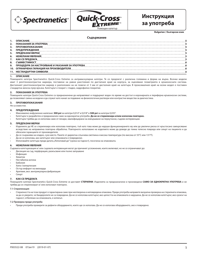



## **Инструкция за употреба**

#### **Bulgarian / български език**

## **Съдържание**

## **1. ОПИСАНИЕ**

Помощните катетри Spectranetics Quick-Cross Extreme са интраваскуларни катетри. Те се предлагат с различна големина и форма на върха. Всички модели имат 3 рентгеноконтрастни маркера, поставени на равни разстояния по дисталния край на корпуса, за оценяване геометрията в кръвоносната система. Дисталният рентгеноконтрастен маркер е разположен на не повече от 3 мм от дисталния край на катетъра. В проксималния край на всеки модел е поставен стандартна женска луер връзка. Катетърът е покрит с гладко, хидрофилно покритие.

### **2. ПОКАЗАНИЯ ЗА УПОТРЕБА**

Помощните катетри Quick-Cross Extreme са предназначени да направляват и поддържат водач по време на достъп в коронарната и периферна кръвоносни системи, да позволяват смяна на водачи и да служат като канал за подаване на физиологични разтвори или контрастни вещества за диагностика.

#### **3. ПРОТИВОПОКАЗАНИЯ**

Не са известни.

## **4. ПРЕДУПРЕЖДЕНИЯ**

- Максимално инфузионно налягане: **300 psi** за катетри 0,014" и 0,018" и **500 psi** за катетри 0,035".
- Катетърът е разработен и предназначен само за еднократна употреба. **Да не се стерилизира и/или използва повторно.**
- Катетърът трябва да се използва само от лекари, квалифицирани за извършване на перкутанни, съдови интервенции.

## **5. ПРЕДПАЗНИ МЕРКИ**

- Изделието да НЕ се стерилизира или използва повторно, тъй като това може да наруши функционирането му или да увеличи риска от кръстосано замърсяване вследствие на неправилна повторна обработка. Повторното използване на изделието може да доведе до тежка телесна повреда или смърт на пациента и да обезсили гаранциите от производителя.
- Да се съхранява на хладно, сухо място. Пазете от директна слънчева светлина и висока температура (по-висока от 55°C или 131°F).
- Да не се използва, ако катетърът или опаковката е повреден(а).
- Използвайте катетъра преди датата "Използвай до" (срока на годност), посочена на опаковката.

#### **6. НЕЖЕЛАНИ ЯВЛЕНИЯ**

Съдовата катетъризация и/ или съдовата интервенция могат да причинят усложнения, които включват, но не се ограничават до:

• Дисекция на съд, перфорация, разкъсване или пълно запушване

- Инфекция
- Хематом
- Нестабилна ангина
- **Емболия**
- Хипо-/хипертензия
- Остър инфаркт на миокарда
- Аритмия, вкл. вентрикуларна фибрилация
- Смърт

#### **7. КАК СЕ ПРЕДЛАГА**

Помощните катетри Spectranetics Quick-Cross Extreme се доставят **СТЕРИЛНИ**. Изделията са предназначени и произведени **САМО ЗА ЕДНОКРАТНА УПОТРЕБА** и не трябва да се стерилизират и/ или използват повторно.

#### **7.1 Стерилизация**

Стерилността на този продукт е гарантирана само при неотворена и неповредена опаковка. Преди употреба направете визуална проверка на стерилната опаковка, за да се уверите, че бандеролите не са повредени. Да не се използва катетърът, ако целостта на опаковката е нарушена. Да не се използва катетърът, ако срокът на годност, отбелязан на опаковката, е изтекъл.

#### **7.2 Проверка преди употреба**

• Преди употреба проверете за дефекти оборудването, което ще се използва. Да не се използва оборудването, ако е повредено.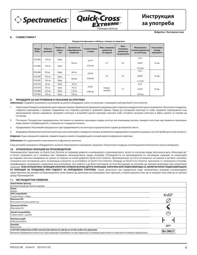



## **Инструкция за употреба**

**Bulgarian / български език**

## **8. СЪВМЕСТИМОСТ**

#### **Продуктови функции и таблица с номера на моделите**

| Модел<br>$(Pe\phi.)$ | Работна<br>дължина | Форма на<br>върха/<br>тип | Дължина на<br>хидрофилното<br>покритие | Съвместимост<br>с водач | Мин. вътрешен<br>диаметър<br>на водача | Мин.<br>вътрешен<br>диаметър<br>на дезилето | <b>Максимален</b><br>външен диаметър <br>на катетъра | Разстояние<br>между<br>маркерите |
|----------------------|--------------------|---------------------------|----------------------------------------|-------------------------|----------------------------------------|---------------------------------------------|------------------------------------------------------|----------------------------------|
| 518-084              | 135 см             | Прав                      |                                        | 0.014''                 |                                        |                                             | 3,2F                                                 |                                  |
| 518-086              | 150 см             | Прав                      | 100 см                                 | 0.36 MM                 | 5 F                                    | 4 F                                         | 0.042''<br>1.07 MM                                   | <b>15 MM</b>                     |
| 518-088              | 90 см              | Прав                      | 60 см                                  | 0.018''                 |                                        |                                             | 3,4 F                                                |                                  |
| 518-090              | 135 см             | Прав                      |                                        |                         | 5 F                                    | 4F                                          | 0.044''                                              | <b>15 MM</b>                     |
| 518-092              | 150 см             | Прав                      | 100 см                                 | 0.46 MM                 |                                        |                                             | 1,12 MM                                              |                                  |
| 518-076              | 65 CM              | Прав                      | 45 CM                                  |                         |                                        |                                             | 4,5 F                                                |                                  |
| 518-078              | 90 см              | Прав                      | 70 CM                                  | 0.035''                 | Непри-                                 | 5 F                                         | 0,059''                                              | 50 MM                            |
| 518-080              | 135 см             | Прав                      | 115 cm                                 | 0,89 MM                 | ложимо                                 |                                             |                                                      |                                  |
| 518-082              | 150 см             | Прав                      | 130 см                                 |                         |                                        |                                             | 1,50 MM                                              |                                  |

## **9. ПРОЦЕДУРА ЗА НАСТРОЙВАНЕ И УКАЗАНИЯ ЗА УПОТРЕБА**

**Забележка:** Следвайте указанията за употреба за цялото оборудване, което се използва с помощните катетри Quick-Cross Extreme.

- 1. Подготовка: Отворете опаковката чрез стерилна техника. Внимателно премахнете луеровия хъб от картата и извадете катетъра от опаковката. Напълнете стандартна, стерилна спринцовка с луерово съединение със стерилен разтвор и промийте лумена. Преди да отстраните катетъра от хъба, свържете спринцовката към проксималния луеров накрайник, промийте катетъра и изчакайте докато разтвора напълни хъба. Оставете настрани катетъра в обръч докато се наложи да се ползва.
- 2. Поставяне: Посредством предварително поставяне на правилно оразмерен водещ катетър или въвеждащо дезиле, въведете катетъра над правилно оразмерен водач (вижте спецификациите), с помощта на стандартна техника.
- 3. Придвижване: Използвайте флуороскоп при придвижването на катетъра в кръвоносните съдове до желаното място.
- 4. Изваждане: Внимателно изтеглете катетъра, като използвате стандартна техника, внимателно поддържайте позицията на водача, ако той трябва да остане на място.

**Инфузия:** За да извършите инфузия, извадете водача и вижте спецификациите за максимално инфузионно налягане.

**Забележка:** Не надвишавайте максималното инфузионно налягане.

След употреба изхвърлете оборудването съгласно приложимите изисквания, свързани с болничните отпадъци и потенциалните биологично опасни материали.

#### **10. ОГРАНИЧЕНА ГАРАНЦИЯ НА ПРОИЗВОДИТЕЛЯ**

Производителят гарантира, че Quick-Cross Extreme не проявява дефекти в материалите и производството, когато се използва преди посочената дата "Използвай до" и когато опаковката не е отворена или повредена непосредствено преди употреба. Отговорността на производителя по настоящата гаранция се ограничава до подмяна или възстановяване на сумата за покупка на всеки дефектен Quick-Cross Extreme. Производителят не носи отговорност за каквито и да било случайни, специални или последващи щети, възникващи в резултат на употребата на Quick-Cross Extreme. Повреда на Quick-Cross Extreme, причинена от неправилна употреба, модифициране, неправилно съхранение или използване, или каквото и да било неспазване на тези Инструкции за употреба ще направи невалидна тази ограничена гаранция. **ТАЗИ ОГРАНИЧЕНА ГАРАНЦИЯ ИЗРИЧНО ОТМЕНЯ ВСИЧКИ ДРУГИ ГАРАНЦИИ, ИЗРИЧНИ ИЛИ ПОДРАЗБИРАЩИ СЕ, ВКЛЮЧИТЕЛНО ПОДРАЗБИРАЩАТА СЕ ГАРАНЦИЯ ЗА ПРОДАЖБА ИЛИ ГОДНОСТ ЗА ОПРЕДЕЛЕНА УПОТРЕБА.** Никое физическо или юридическо лице, включително всякакви упълномощени представители или дилъри на Производителя, няма правото да удължава или разширява тази гаранция, и никой умишлен опит да се направи това няма да се прилага срещу Производителя.

## **11. НЕСТАНДАРТНИ СИМВОЛИ**

| <b>Distal Marker Spacing</b>                                                                                                                |                            |
|---------------------------------------------------------------------------------------------------------------------------------------------|----------------------------|
| Интервал между дисталните маркери                                                                                                           |                            |
| <b>Shape</b>                                                                                                                                |                            |
| Форма                                                                                                                                       |                            |
| <b>GW Compatibility</b>                                                                                                                     | $\leftarrow$ GW $\bigcirc$ |
| Съвместимост с водач                                                                                                                        |                            |
| <b>Maximum OD</b>                                                                                                                           |                            |
| Максимален външен диаметър                                                                                                                  |                            |
| Maximum PSI/kPa                                                                                                                             |                            |
| Максимум кРа                                                                                                                                |                            |
| <b>Sheath Compatibility</b>                                                                                                                 |                            |
| Съвместимост с дезиле                                                                                                                       |                            |
| <b>Working Length</b>                                                                                                                       |                            |
| Работна дължина                                                                                                                             |                            |
| Quantity                                                                                                                                    |                            |
| Количество                                                                                                                                  | <b>QTY</b>                 |
| CAUTION: Federal law (USA) restricts this device to sale by or on the order of a physician.                                                 |                            |
| Внимание: Федералните закони (на САЩ) разрешават продажбата на това изделие да се извършва единствено от лекар или по лекарско предписание. | <b>Rx ONLY</b>             |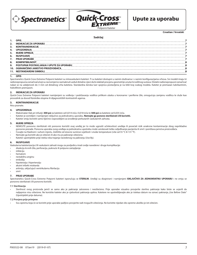



## **Upute za uporabu**

#### **Croatian / hrvatski**

## **Sadržaj**

#### **1. OPIS**

Spectranetics Quick-Cross Extreme Potporni kateteri su intravaskularni kateteri. Ti su kateteri dostupni u raznim dužinama i s raznim konfiguracijama vrhova. Svi modeli imaju tri radionepropusna označivača koji su ravnomjerno razmaknuti uzduž distalne cijevi da bi olakšali procjenu geometrije unutar krvožilnog sustava. Distalni radionepropusni označivač nalazi se na udaljenosti do 3 mm od distalnog vrha katetera. Standardna ženska luer spojnica postavljena je na bliži kraj svakog modela. Kateter je premazan lubrikantnim, hidrofilnim premazom.

## **2. INDIKACIJE ZA UPORABU**

Quick-Cross Extreme Potporni kateteri namijenjeni su vođenju i podržavanju vodilice prilikom ulaska u koronarne i periferne žile, omogućuju zamjenu vodilica te služe kao provodnik za dovod fiziološke otopine ili dijagnostičkih kontrastnih agensa.

## **3. KONTRAINDIKACIJE**

## Nisu poznate.

#### **4. UPOZORENJA**

- Maksimalan tlak pri infuziji: **300 psi** za katetere od 0,014 inča i 0,018 inča te **500 psi** za katetere od 0,035 inča.
- Kateter je osmišljen i namijenjen isključivo za jednokratnu uporabu. **Nemojte ga ponovo sterilizirati i/ili koristiti.**
- Kateter smiju koristiti samo liječnici osposobljeni za izvođenje perkutanih vaskularnih zahvata.

#### **5. MJERE OPREZA**

- NEMOJTE ponovno sterilizirati niti ponovno koristiti ovaj uređaj jer to može ugroziti učinkovitost uređaja ili povećati rizik unakrsne kontaminacije zbog neprikladne ponovne prerade. Ponovna uporaba ovog uređaja za jednokratnu upotrebu može uzrokovati teško ozljeđivanje pacijenta ili smrt i poništava jamstva proizvođača.
- Čuvajte na hladnom i suhom mjestu. Zaštitite od izravne sunčeve svjetlosti i visoke temperature (više od 55 °C ili 131 °F).
- Nemojte ga koristiti ako je oštećen ili ako mu je pakiranje oštećeno.
- Kateter upotrijebite prije isteka roka trajanja navedenog na pakiranju (Use By).

#### **6. NUSPOJAVE**

Vaskularna kateterizacija i/ili vaskularni zahvati mogu za posljedicu imati ovdje navedene i druge komplikacije:

- disekciju krvnih žila, perforaciju, puknuće ili potpuno začepljenje
- infekciju
- hematom
- nestabilnu anginu
- emboliju
- hipotenziju i hipertenziju
- akutni infarkt miokarda
- aritmiju, uključujući ventrikularnu fibrilaciju
- smrt

## **7. PRIJE UPORABE**

Spectranetics Quick-Cross Extreme Potporni kateteri isporučuju se **STERILNI**. Uređaji su dizajnirani i namijenjeni **ISKLJUČIVO ZA JEDNOKRATNU UPORABU** i ne smiju se ponovno sterilizirati i/ili ponovno koristiti.

#### **7.1 Sterilizacija**

• Sterilnost ovog proizvoda jamči se samo ako je pakiranje zatvoreno i neoštećeno. Prije uporabe vizualno provjerite sterilno pakiranje kako biste se uvjerili da naljepnice nisu oštećene. Ne koristite kateter ako je cjelovitost pakiranja upitna. Katetere ne upotrebljavajte ako je istekao datum na oznaci pakiranja "Use Before Date" (Upotrijebiti prije datuma).

## **7.2 Provjera prije primjene**

• Svu opremu koja će se koristiti prije uporabe pažljivo provjerite radi mogućih oštećenja. Ne koristite nijedan dio opreme ukoliko je isti oštećen.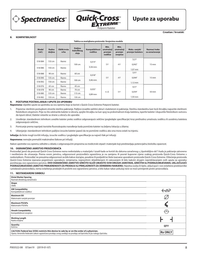



## **Upute za uporabu**

**Croatian / hrvatski**

## **8. KOMPATIBILNOST**

### **Tablica sa značajkama proizvoda i brojevima modela**

| <b>Model</b><br>(ref.) | Radna<br>duljina | Oblik/vrsta<br>vrha | <b>Duljina</b><br>hidrofilnog<br>sloja | Kompatibilnost<br>vodilice | Min.<br>unutrašnji<br>promjer<br>vodilice | Min.<br>unutrašnji<br>promjer<br>ovojnice | Maks. vanjski<br>promjer katetera | Razmaci trake<br>za označavanje |
|------------------------|------------------|---------------------|----------------------------------------|----------------------------|-------------------------------------------|-------------------------------------------|-----------------------------------|---------------------------------|
| 518-084                | 135 cm           | Ravno               | 100 cm                                 | 0,014''                    | 5 F                                       | 4 F                                       | 3,2F<br>0.042''                   | $15 \, \text{mm}$               |
| 518-086                | 150 cm           | Rayno               |                                        | $0.36$ mm                  |                                           |                                           | 1,07 mm                           |                                 |
| 518-088                | 90 cm            | Ravno               | 60 cm                                  | 0,018''                    |                                           |                                           | 3,4 F                             |                                 |
| 518-090                | 135 cm           | Ravno               |                                        |                            | 5 F                                       | 4F                                        | 0,044''                           | $15 \, \text{mm}$               |
| 518-092                | 150 cm           | Ravno               | 100 cm                                 | 0.46 mm                    |                                           |                                           | $1,12 \text{ mm}$                 |                                 |
| 518-076                | 65 cm            | Ravno               | 45 cm                                  |                            |                                           |                                           | 4,5F                              |                                 |
| 518-078                | 90 cm            | Ravno               | 70 cm                                  | 0,035''                    |                                           |                                           |                                   |                                 |
| 518-080                | 135 cm           | Ravno               | 115 cm                                 | $0.89$ mm                  | n. d.                                     | 5 F                                       | 0.059''                           | 50 mm                           |
| 518-082                | 150 cm           | Ravno               | 130 cm                                 |                            |                                           |                                           | $1.50$ mm                         |                                 |

## **9. POSTUPAK POSTAVLJANJA I UPUTE ZA UPORABU**

**Napomena:** slijedite upute za upotrebu za svu opremu koja se koristi s Quick-Cross Extreme Potporni kateter.

- 1. Priprema: sterilnim postupkom otvorite sterilno pakiranje. Pažljivo izvadite zaštitni obruč s kateterom iz pakiranja. Sterilnu standardnu luer-lock štrcaljku napunite sterilnom fiziološkom otopinom. Prije no što odstranite kateter iz obruča, spojite štrcaljku na luer spoj na proksimalnom kraju katetera, isperite kateter i dopustite fiziološkom rastvoru da ispuni obruč. Kateter ostavite sa strane u obruču do uporabe.
- 2. Uvođenje: standardnom tehnikom uvedite kateter preko vodilice odgovarajuće veličine (pogledajte specifikacije) kroz prethodno umetnutu vodilicu ili uvodnicu katetera odgovarajuće veličine.
- 3. Pomicanje prema naprijed: koristite fluoroskopsko navođenje kada pomičete kateter na željenu lokaciju u žilama.
- 4. Uklanjanje: standardnom tehnikom pažljivo izvucite kateter pazeći da ne pomičete vodilicu ako ona mora ostati na mjestu.

Infuzija: da biste mogli izvršiti infuziju, izvucite vodilicu i pogledajte specifikacije za najveći tlak pri infuziji.

**Napomena:** nemojte premašiti maksimalne tlakove pri infuziji.

Nakon upotrebe svu opremu odložite u skladu s odgovarajućim propisima za medicinski otpad i materijale koji predstavljaju potencijalnu biološku opasnost.

## **10. OGRANIČENO JAMSTVO PROIZVOĐAČA**

Proizvođač jamči da proizvod Quick-Cross Extreme nema nedostataka u materijalu i izradi kada se koristi do datuma označenog s "Upotrebljivo do" i kada je pakiranje zatvoreno i neoštećeno do otvaranja. Prema ovom jamstvu, odgovornost proizvođača ograničena je na zamjenu ili povrat kupovne cijene svakog proizvoda Quick-Cross Extreme s nedostatkom. Proizvođač ne preuzima odgovornost za bilo kakve slučajne, posebne ili posljedične štete izazvane uporabom proizvoda Quick-Cross Extreme. Oštećenja proizvoda Quick-Cross Extreme izazvana pogrešnom uporabom, izmjenama, nepravilnim skladištenjem ili rukovanjem ili bilo kakvim drugim nepridržavanjem ovih uputa za uporabu poništavaju ovo ograničeno jamstvo. **OVO OGRANIČENO JAMSTVO IZRIČITO SLUŽI UMJESTO SVIH DRUGIH JAMSTAVA, IZRIČITIH ILI PODRAZUMIJEVANIH, UKLJUČUJUĆI**  PODRAZUMIJEVANO JAMSTVO PRIMJERENOSTI ZA PRODAJU ILI PRIKLADNOSTI ZA ODREĐENU NAMJENU. Nijedna osoba ili tijelo, uključujući i sve ovlaštene predstavnike i prodavače proizvođača, nema ovlaštenja produljiti ili proširiti ovo ograničeno jamstvo, a bilo kakav takav pokušaj neće se moći primijeniti protiv proizvođača.

## **11. NESTANDARDNI SIMBOLI**

| <b>Distal Marker Spacing</b><br>Razmak distalnog označivača                                                                                                                                                     |                 |
|-----------------------------------------------------------------------------------------------------------------------------------------------------------------------------------------------------------------|-----------------|
| Shape<br>Oblik                                                                                                                                                                                                  |                 |
| <b>GW Compatibility</b><br>Kompatibilnost vodilice                                                                                                                                                              | $\leftarrow$ GW |
| <b>Maximum OD</b><br>Maksimalni vanjski promjer                                                                                                                                                                 |                 |
| l Maximum PSI/kPa<br>Maksimalni PSI/kPa                                                                                                                                                                         |                 |
| <b>Sheath Compatibility</b><br>Kompatibilnost ovojnice                                                                                                                                                          |                 |
| <b>Working Length</b><br>Radna duljina                                                                                                                                                                          |                 |
| Quantity<br>Količina                                                                                                                                                                                            | <b>QTY</b>      |
| CAUTION: Federal law (USA) restricts this device to sale by or on the order of a physician.<br>Oprez: Američki federalni zakon ograničava prodaju ovog uređaja na prodaju od liječnika ili po nalogu liječnika. | <b>Rx ONLY</b>  |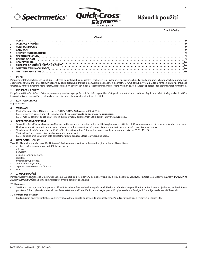



## **Návod k použití**

### **Czech / Česky**

#### **Obsah**

| 9. PŘÍPRAVA POSTUPU A NÁVOD K POUŽITÍ |  |
|---------------------------------------|--|
|                                       |  |
|                                       |  |

## **1. POPIS**

Podpůrné katétry Spectranetics Quick-Cross Extreme jsou intravaskulární katétry. Tyto katétry jsou k dispozici v nejrůznějších délkách a konfiguracích hrotu. Všechny modely mají 3 rentgenkontrastní značky se stejnými rozestupy podél distálního dříku jako pomůcku při odhadování geometrie v rámci cévního systému. Distální rentgenkontrastní značka je umístěna 3 mm od distálního hrotu katétru. Na proximálním konci všech modelů je standardní konektor luer s vnitřním závitem. Katétr je potažen lubrikačním hydrofilním filmem.

## **2. INDIKACE K POUŽITÍ**

Podpůrné katétry Quick-Cross Extreme jsou určeny k vedení a podpoře vodicího drátu v průběhu přístupu do koronární nebo periferní cévy, k umožnění výměny vodicích drátů a k poskytnutí cesty pro podání fyziologického roztoku nebo diagnostických kontrastních látek.

## **3. KONTRAINDIKACE**

Nejsou známy.

## **4. VAROVÁNÍ**

- Maximální infuzní tlak: **300 psi** pro katétry 0,014" a 0,018" a **500 psi** pro katétry 0,035".
- Katétr je navržen a určen pouze k jednomu použití. **Neresterilizujte ho ani znovu nepoužívejte.**
- Katétr mohou používat pouze lékaři s kvalifikací k provádění perkutánních vaskulárních intervenčních zákroků.

## **5. BEZPEČNOSTNÍ OPATŘENÍ**

- Toto zařízení se NESMÍ opakovaně používat ani sterilizovat, neboť by se tím mohla snížit jeho výkonnost a zvýšit riziko křížové kontaminace z důvodu nesprávného zpracování. Opakované použití tohoto jednorázového zařízení by mohlo způsobit vážné poranění pacienta nebo jeho smrt, jakož i zrušení záruky výrobce.
- Skladujte na chladném a suchém místě. Chraňte před přímým slunečním světlem a před vysokými teplotami (vyšší než 55 °C / 131 °F).
- V případě poškození zařízení nebo obalu produkt nepoužívejte.
- Katétr použijte před uplynutím data použitelnosti (data expirace), které je uvedeno na obalu.

## **6. NEŽÁDOUCÍ ÚČINKY**

Vaskulární katetrizace anebo vaskulární intervenční zákroky mohou mít za následek mimo jiné následující komplikace:

• disekce, perforace, ruptura nebo totální okluze cévy,

- infekce.
- hematom,
- nestabilní angina pectoris,
- embolie,
- hypotenze/hypertenze,
- akutní infarkt myokardu,
- arytmie, včetně komorové fibrilace,
- smrt.

## **7. ZPŮSOB DODÁNÍ**

Pomoný Katétry Spectranetics Quick-Cross Extreme Support jsou sterilizovány pomocí etylénoxidu a jsou dodávány **STERILNÍ**. Nástroje jsou určeny a navrženy **POUZE PRO JEDNORÁZOVÉ POUŽITÍ** a nesmí se resterilizovat a/nebo používat opakovaně.

#### **7.1 Sterilizace**

• Sterilita produktu je zaručena pouze v případě, že je balení neotevřené a nepoškozené. Před použitím vizuálně prohlédněte sterilní balení a ujistěte se, že těsnění není porušeno. Pokud byla celistvost obalu narušena, katétr nepoužívejte. Katétr nepoužívejte, pokud již uplynulo datum "Použijte do", které je uvedeno na štítku obalu.

## **7.2 Kontrola před použitím**

• Před použitím pečlivě zkontrolujte veškeré vybavení, které budete používat, zda není poškozeno. Pokud zjistíte poškození, vybavení nepoužívejte.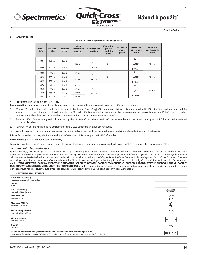



## **Návod k použití**

**Czech / Česky**

## **8. KOMPATIBILITA**

### **Tabulka s vlastnostmi produktu a modelovými čísly**

| <b>Model</b><br>(Ref. č.) | Pracovní<br>délka | <b>Tvar hrotu</b><br>/typ | <b>Délka</b><br>hydrofilního<br>povrchu | <b>Kompatibilita</b><br>s drátem | Min. vnitřní<br>průměr<br>vodicího<br>drátu | Min. vnitřní<br>průměr<br>pláště | Maximální<br>vnější průměr<br>katétru | Rozestup<br>značkovacích<br>pruhů |
|---------------------------|-------------------|---------------------------|-----------------------------------------|----------------------------------|---------------------------------------------|----------------------------------|---------------------------------------|-----------------------------------|
| 518-084                   | 135 cm            | Rovný                     | $100 \text{ cm}$                        | 0,014''                          | 5 F                                         | 4 F                              | 3,2F<br>0,042''                       | $15 \text{ mm}$                   |
| 518-086                   | 150 cm            | Rovný                     |                                         | $0.36$ mm                        |                                             |                                  | 1.07 mm                               |                                   |
| 518-088                   | 90 cm             | Rovný                     | 60 cm                                   | 0.018''                          |                                             |                                  | 3,4F                                  |                                   |
| 518-090                   | 135 cm            | Rovný                     |                                         |                                  | 5 F                                         | 4F                               | 0.044''                               | $15 \, \text{mm}$                 |
| 518-092                   | 150 cm            | Rovný                     | 100 cm                                  | $0.46$ mm                        |                                             |                                  | $1,12$ mm                             |                                   |
| 518-076                   | 65 cm             | Rovný                     | 45 cm                                   |                                  |                                             |                                  | 4,5 F                                 |                                   |
| 518-078                   | 90 cm             | Rovný                     | 70 cm                                   | 0.035''                          |                                             | 5 F                              | 0.059''                               | 50 mm                             |
| 518-080                   | 135 cm            | Rovný                     | 115 cm                                  | $0.89$ mm                        |                                             |                                  |                                       |                                   |
| 518-082                   | 150 cm            | Rovný                     | 130 cm                                  |                                  |                                             |                                  | 1.50 mm                               |                                   |

## **9. PŘÍPRAVA POSTUPU A NÁVOD K POUŽITÍ**

**Poznámka:** Dodržujte pokyny k použití u veškerého vybavení, které používáte spolu s podpůrnými katétry Quick-Cross Extreme.

- 1. Příprava: Za dodržení sterilních podmínek otevřete sterilní balení. Opatrně vyjměte ochrannou objímku s katétrem z vaku. Naplňte sterilní stříkačku se standardním konektorem typu luer sterilním fyziologickým roztokem. Před vyjmutím katétru z objímky připojte stříkačku k proximální luer spojce katétru, propláchněte katétr a nechte objímku naplnit fyziologickým roztokem. Katétr v objímce odložte, dokud nebude připraven k použití.
- 2. Zavedení: Přes dříve zavedený vodicí katétr nebo plášťový zavaděč se správnou velikostí zaveďte standardním postupem katétr přes vodicí drát o vhodné velikosti (viz technické údaje).
- 3. Posunutí: Při posunování katétru na požadované místo v cévě používejte skiaskopické navádění.
- 4. Vyjmutí: Opatrně vytáhněte katétr standardním postupem a dávejte pozor, abyste zachovali polohu vodicího drátu, pokud má drát zůstat na místě.

**Infúze:** Pro provedení infúze vytáhněte vodicí drát a přečtěte si technické údaje pro maximální infuzní tlak.

**Poznámka:** Nepřekračujte doporučené infuzní tlaky.

Po použití zlikvidujte veškeré vybavení v souladu s platnými požadavky ve vztahu k nemocničnímu odpadu a potenciálně biologicky nebezpečným materiálům.

## **10. OMEZENÁ ZÁRUKA VÝROBCE**

Výrobce zaručuje, že výrobek Quick-Cross Extreme, pokud byl uzavřen v původním neporušeném balení, nebude mít při použití do uvedeného data (viz "Spotřebujte do") vady materiálu a zpracování. Odpovědnost výrobce v rámci této záruky je omezena na výměnu nebo vrácení kupní ceny u defektního výrobku Quick-Cross Extreme. Výrobce nenese odpovědnost za jakékoli náhodné, zvláštní nebo následné škody vzniklé následkem použití výrobku Quick-Cross Extreme. Poškození výrobku Quick-Cross Extreme způsobené nevhodným použitím, úpravou, nesprávným skladováním či manipulací nebo jiným selháním při dodržování těchto pokynů k použití způsobí zneplatnění omezené záruky. **TATO OMEZENÁ ZÁRUKA VÝSLOVNĚ NAHRAZUJE VŠECHNY OSTATNÍ ZÁRUKY, VYJÁDŘENÉ ČI PŘEDPOKLÁDANÉ, VČETNĚ PŘEDPOKLÁDANÉ ZÁRUKY OBCHODOVATELNOSTI NEBO VHODNOSTI PRO KONKRÉTNÍ ÚČEL.** Žádná osoba nebo společnost, včetně jakéhokoli autorizovaného zástupce výrobce nebo prodejce, nemá právo rozšiřovat nebo prodlužovat tuto omezenou záruku a jakýkoli zamýšlený pokus tak učinit není u výrobce vymahatelný.

## **11. NESTANDARDNÍ SYMBOL**

| <b>Distal Marker Spacing</b><br>Rozestup mezi distálními značkami                                                                                                                                          |                                                                             |
|------------------------------------------------------------------------------------------------------------------------------------------------------------------------------------------------------------|-----------------------------------------------------------------------------|
| Shape<br>Tvar                                                                                                                                                                                              |                                                                             |
| <b>GW Compatibility</b><br>Kompatibilita s drátem                                                                                                                                                          | $\begin{array}{cc} \leftarrow & GW \\ \hline \uparrow & Max OD \end{array}$ |
| <b>Maximum OD</b><br>Maximální VP                                                                                                                                                                          |                                                                             |
| <b>Maximum PSI/kPa</b><br>Maximální PSI/kPa                                                                                                                                                                |                                                                             |
| <b>Sheath Compatibility</b><br>Kompatibilita s pláštěm                                                                                                                                                     |                                                                             |
| <b>Working Length</b><br>Pracovní délka                                                                                                                                                                    |                                                                             |
| Quantity<br>Množství                                                                                                                                                                                       | <b>QTY</b>                                                                  |
| CAUTION: Federal law (USA) restricts this device to sale by or on the order of a physician.<br>Upozornění: Federální zákony (USA) omezují prodej tohoto zařízení pouze na lékaře nebo na lékařský předpis. | <b>Rx ONL</b>                                                               |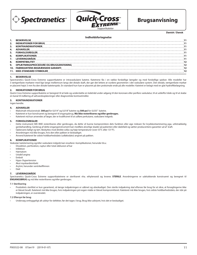



## **Brugsanvisning**

### **Danish / Dansk**

## **Indholdsfortegnelse**

## **1. BESKRIVELSE**

Spectranetics Quick-Cross Extreme supportkatetre er intravaskulære katetre. Katetrene fås i en række forskellige længder og med forskellige spidser. Alle modeller har 3 røntgenfaste markører med lige lange mellemrum langs det distale skaft, der gør det lettere at vurdere geometrien i det vaskulære system. Den distale, røntgenfaste markør er placeret højst 3 mm fra den distale kateterspids. En standard hun-luer er placeret på den proksimale ende på alle modeller. Katetret er belagt med en glat hydrofilbelægning.

## **2. INDIKATIONER FOR BRUG**

Quick-Cross Extreme supportkatetre er beregnet til at lede og understøtte en ledetråd under adgang til den koronare eller perifere vaskulatur, til at udskifte tråde og til at skabe en kanal til indføring af saltvandsopløsninger eller diagnostiske kontrastmidler.

## **3. KONTRAINDIKATIONER**

Ingen kendte.

## **4. ADVARSLER**

- Maksimalt infusionstryk: **300 psi** for 0,014" og 0,018" katetre og **500 psi** for 0,035" katetre.
- Kateteret er kun konstrueret og beregnet til engangsbrug. **Må ikke resteriliseres og/eller genbruges.**
- Kateteret må kun anvendes af læger, der er kvalificeret til at udføre perkutane, vaskulære indgreb.

## **5. FORHOLDSREGLER**

- Dette instrument MÅ IKKE resteriliseres eller genbruges, da dette vil kunne kompromitere dets funktion eller øge risikoen for krydskontaminering pga. utilstrækkelig genbehandling. Genbrug af dette engangsinstrument kan medføre alvorlige skader på patienten eller dødsfald og sætter producentens garantier ud af kraft.
- Opbevares køligt og tørt. Beskyttes mod direkte sollys og høje temperaturer (over 55°C eller 131°F).
- Anordningen må ikke bruges, hvis den eller pakken er beskadiget.
- Anvend kateteret før sidste holdbarhedsdato (udløbsdato) angivet på pakken.

## **6. KOMPLIKATIONER**

Vaskulær kateterisering og/eller vaskulære indgreb kan resultere i komplikationer, herunder bl.a.:

- Dissektion, perforation, ruptur eller total okklusion af kar
- **Infektion**
- Hæmatom
- Ustabil angina
- **Fmboli**
- Hypo-/hypertension
- Akut myokardieinfarkt
- Arytmi, herunder ventrikelflimren
- Død

## **7. LEVERINGSMÅDE**

Spectranetics Quick-Cross Extreme supportkatetrene er steriliseret vha. ethylenoxid og leveres **STERILE**. Anordningerne er udelukkende konstrueret og beregnet til **ENGANGSBRUG** og må ikke resteriliseres og/eller genbruges.

#### **7.1 Sterilisering**

• Produktets sterilitet er kun garanteret, så længe indpakningen er uåbnet og ubeskadiget. Den sterile indpakning skal efterses før brug for at sikre, at forseglingerne ikke er blevet brudt. Kateteret må ikke bruges, hvis indpakningen på nogen måde er blevet kompromitteret. Kateteret må ikke bruges, hvis sidste holdbarhedsdato, der står på indpakningen, er overskredet.

#### **7.2 Eftersyn før brug**

• Undersøg omhyggeligt alt udstyr for defekter, før det tages i brug. Brug ikke udstyret, hvis det er beskadiget.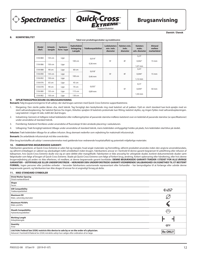



## **Brugsanvisning**

**Danish / Dansk**

## **8. KOMPATIBILITET**

### **Tabel over produktegenskaber og modelnumre**

| <b>Model</b><br>(Ref) | Arbejds-<br>længde | <b>Spidsens</b><br>form / type | Hydrofobisk<br>belægning<br>Længde | <b>Trådkompatibilitet</b> | <b>Ledekateters</b><br>min. indv.<br>diameter | Hylsters min.<br>Indy.<br>diameter | <b>Kateters</b><br>maks.<br>udv. diameter | <b>Afstand</b><br>mellem<br>markørbånd |
|-----------------------|--------------------|--------------------------------|------------------------------------|---------------------------|-----------------------------------------------|------------------------------------|-------------------------------------------|----------------------------------------|
| 518-084               | 135 cm             | Lige                           | 100 cm                             | 0,014''                   | 5F                                            | 4F                                 | 3,2 F<br>0,042''                          | $15 \, \text{mm}$                      |
| 518-086               | 150 cm             | Lige                           |                                    | 0.36 mm                   |                                               |                                    | 1,07 mm                                   |                                        |
| 518-088               | 90 cm              | Lige                           | 60 cm                              | 0,018''                   |                                               |                                    | 3,4F                                      |                                        |
| 518-090               | 135 cm             | Lige                           |                                    |                           | 5F                                            | 4F                                 | 0.044''                                   | $15 \text{ mm}$                        |
| 518-092               | 150 cm             | Lige                           | 100 cm                             | 0,46 mm                   |                                               |                                    | $1,12$ mm                                 |                                        |
| 518-076               | 65 cm              | Lige                           | 45 cm                              |                           |                                               |                                    | 4,5 F                                     |                                        |
| 518-078               | 90 cm              | Lige                           | 70 cm                              | 0,035''                   |                                               | 5F                                 | 0.059''                                   | 50 mm                                  |
| 518-080               | 135 cm             | Lige                           | 115 cm                             | 0,89 mm                   |                                               |                                    |                                           |                                        |
| 518-082               | 150 cm             | Lige                           | 130 cm                             |                           |                                               |                                    | 1,50 mm                                   |                                        |

## **9. OPSÆTNINGSPROCEDURE OG BRUGSANVISNING**

**Bemærk:** Følg brugsanvisningerne til alt udstyr, der skal bruges sammen med Quick-Cross Extreme supportkatetrene.

- 1. Klargøring: Den sterile pakke åbnes vha, steril teknik. Tag forsigtigt den beskyttende ring med katetret ud af pakken. Fyld en steril standard luer-lock-sprøjte med en steril saltvandsopløsning. Før katetret fjernes fra ringen, tilsluttes sprøjten til katetrets proksimale luer-fitting, katetret skylles, og ringen fyldes med saltvandsopløsningen. Læg katetret i ringen til side, indtil det skal bruges.
- 2. Indsætning: Gennem et tidligere indsat ledekateter eller indføringshylster af passende størrelse indføres kateteret over en ledetråd af passende størrelse (se specifikationer) under anvendelse af standard teknik.
- 3. Fremføring: Kateteret fremføres under anvendelse af fluoroskopi til den ønskede placering i vaskulaturen.
- 4. Udtagning: Træk forsigtigt kateteret tilbage under anvendelse af standard teknik, mens ledetråden omhyggeligt holdes på plads, hvis ledetråden skal blive på stedet.

**Infusion:** Træk ledetråden tilbage for at udføre infusion. Brug skemaet nedenfor som vejledning for maksimalt infusionstryk.

**Bemærk:** De anbefalede infusionstryk må ikke overskrides.

Efter brug bortskaffes alt udstyr i overensstemmelse med gældende krav vedrørende hospitalsaffald og potentielt miljøfarlige materialer.

## **10. FABRIKANTENS BEGRÆNSEDE GARANTI**

Fabrikanten garanterer, at Quick-Cross Extreme er uden fejl og mangler, hvad angår materialer og fremstilling, såfremt produktet anvendes inden den angivne anvendelsesdato, og såfremt emballagen er uåbnet og ubeskadiget indtil umiddelbart inden brugen. Fabrikantens ansvar er i henhold til denne garanti begrænset til udskiftning eller refusion af købsprisen, hvis Quick-Cross Extreme skulle vise sig at være defekt eller mangelfuldt. Fabrikanten er ikke ansvarlig for utilsigtede skader, konkret dokumenterede skader samt følgeskader som følge af brugen af Quick-Cross Extreme. Skade på Quick-Cross Extreme som følge af forkert brug, ændring, forkert opbevaring eller håndtering, eller hvis denne brugervejledning på anden vis ikke efterleves, vil medføre, at denne begrænsede garanti bortfalder. **DENNE BEGRÆNSEDE GARANTI TRÆDER I STEDET FOR ALLE ØVRIGE GARANTIER – UDTRYKKELIGE ELLER UNDERFORSTÅEDE – HERUNDER DEN UNDERFORSTÅEDE GARANTI VEDRØRENDE SALGBARGHED OG EGNETHED TIL ET BESTEMT FORMÅL.** Ingen personer eller juridiske enheder – herunder fabrikantens autoriserede repræsentant eller forhandler – har bemyndigelse til at forlænge eller udvide denne begrænsede garanti, og fabrikanten kan ikke drages til ansvar for et angiveligt forsøg på dette.

## **11. IKKE-STANDARD SYMBOLER**

| <b>Distal Marker Spacing</b><br>Distal markørafstand                                                                                                                                             |                            |
|--------------------------------------------------------------------------------------------------------------------------------------------------------------------------------------------------|----------------------------|
| Shape<br>Facon                                                                                                                                                                                   |                            |
| <b>GW Compatibility</b><br>Trådkompatibilitet                                                                                                                                                    | $\leftarrow$ GW $\bigcirc$ |
| <b>Maximum OD</b><br>Maks. udvendig diamater                                                                                                                                                     |                            |
| Maximum PSI/kPa<br>Maks. psi/kPa                                                                                                                                                                 |                            |
| <b>Sheath Compatibility</b><br>Hylsterkompatibilitet                                                                                                                                             |                            |
| <b>Working Length</b><br>Arbejdslængde                                                                                                                                                           |                            |
| Quantity<br>Antal                                                                                                                                                                                | QTY                        |
| CAUTION: Federal law (USA) restricts this device to sale by or on the order of a physician.<br>Advarsel: I henhold til føderal lov (USA) må dette udstyr kun sælges efter ordination af en læge. | <b>Rx ONLY</b>             |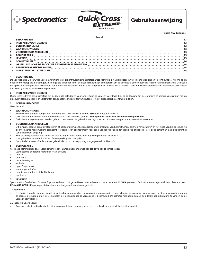



## **Gebruiksaanwijzing**

## **Dutch / Nederlands**

## **1. BESCHRIJVING**

De Spectranetics Quick-Cross Extreme steunkatheters zijn intravasculaire katheters. Deze katheters zijn verkrijgbaar in verschillende lengtes en tipconfiguraties. Alle modellen hebben drie radiopake markeringen, die op gelijke afstanden langs de distale schacht zijn aangebracht om de geometrie binnen het vaatstelsel te kunnen inschatten. De distale radiopake markering bevindt zich minder dan 3 mm van de distale kathetertip. Op het proximale uiteinde van elk model is een vrouwelijke standaardluer aangebracht. De katheter is van een gladde, hydrofiele coating voorzien.

## **2. INDICATIES VOOR GEBRUIK**

Quick-Cross Extreme steunkatheters zijn bedoeld als geleider en voor ondersteuning van een voerdraad tijdens de toegang tot de coronaire of perifere vasculatuur, maken draaduitwisseling mogelijk en verschaffen een kanaal voor de afgifte van zoutoplossing of diagnostische contrastmiddelen.

## **3. CONTRA-INDICATIES**

Geen bekend.

### **4. WAARSCHUWINGEN**

- Maximale infusiedruk: **300 psi** voor katheters van 0,014" en 0,018" en **500 psi** voor katheters van 0,035".
- De katheter is uitsluitend ontworpen en bestemd voor eenmalig gebruik. **Niet opnieuw steriliseren en/of opnieuw gebruiken.**
- De katheter mag uitsluitend worden gebruikt door artsen die gekwalificeerd zijn voor het uitvoeren van percutane vasculaire interventies.

#### **5. VOORZORGSMAATREGELEN**

- Dit instrument NIET opnieuw steriliseren of hergebruiken, aangezien daardoor de prestaties van het instrument kunnen verslechteren en het risico van kruisbesmetting door verkeerde herverwerking toeneemt. Hergebruik van dit instrument voor eenmalig gebruik kan leiden tot ernstig of dodelijk letsel bij de patiënt en maakt de garanties van de fabrikant ongeldig.
- Koel en droog bewaren. Bescherm het product tegen direct zonlicht en hoge temperaturen (boven 55 °C).
- Niet gebruiken als het hulpmiddel of de verpakking beschadigd is.
- Gebruik de katheter vóór de uiterste gebruiksdatum op de verpakking (aangegeven door "Use by").

## **6. COMPLICATIES**

Vasculaire katheterisatie en/of vasculaire ingrepen kunnen onder andere leiden tot de volgende complicaties:

- vaatdissectie, perforatie, ruptuur of totale occlusie
- **infectie**
- hematoom
- instabiele angina
- embolie
- hypo-/hypertensie
- acuut myocardinfarct
- aritmie, waaronder ventrikel fibrilleren
- overlijden

## **7. LEVERING**

Spectranetics Quick-Cross Extreme Support katheters zijn gesteriliseerd met ethyleenoxide en worden **STERIEL** geleverd. De instrumenten zijn uitsluitend bestemd voor **EENMALIG GEBRUIK** en mogen niet opnieuw worden gesteriliseerd en/of gebruikt.

#### **7.1 Sterilisatie**

• De steriliteit van het product wordt uitsluitend gegarandeerd als de verpakking ongeopend en onbeschadigd is. Inspecteer vóór gebruik de steriele verpakking om na te gaan of de sluiting intact is. De katheter niet gebruiken als de verpakking is beschadigd. De katheter niet gebruiken als de uiterste gebruiksdatum (te vinden op de verpakking) voorbij is.

#### **7.2 Inspectie vóór gebruik**

• Controleer alle te gebruiken hulpmiddelen zorgvuldig op eventuele defecten en gebruik beschadigde hulpmiddelen niet.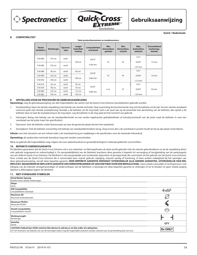



## **Gebruiksaanwijzing**

**Dutch / Nederlands**

## **8. COMPATIBILITEIT**

**Tabel productkenmerken en modelnummers**

| <b>Model</b><br>(artikelnr.) | Werklengte | Tipvorm/-<br>type | Lengte<br>hydrofiele<br>coating | Compatibiliteit<br>voerdraad | Min.<br>binnendiam.<br>geleider | Min.<br>binnendiam.<br>schacht | Max.<br>buitendiam.<br>katheter | <b>Tussenafstand</b><br>markerings-<br>banden |  |
|------------------------------|------------|-------------------|---------------------------------|------------------------------|---------------------------------|--------------------------------|---------------------------------|-----------------------------------------------|--|
| 518-084                      | 135 cm     | recht             | 100 cm                          | 0,014''                      | 5F                              | 4F                             | 3,2F<br>0.042''                 | 15 mm                                         |  |
| 518-086                      | 150 cm     | recht             |                                 | 0,36 mm                      |                                 |                                | 1.07 mm                         |                                               |  |
| 518-088                      | 90 cm      | recht             | 60 cm                           | 0,018''                      |                                 |                                | 3,4F                            |                                               |  |
| 518-090                      | 135 cm     | recht             |                                 |                              | 5F                              | 4F                             | 0,044"                          | $15 \text{ mm}$                               |  |
| 518-092                      | 150 cm     | recht             | $100 \text{ cm}$                | $0.46$ mm                    |                                 |                                |                                 | $1.12 \text{ mm}$                             |  |
| 518-076                      | 65 cm      | recht             | 45 cm                           |                              |                                 |                                | 4.5 F                           |                                               |  |
| 518-078                      | 90 cm      | recht             | 70 cm                           | 0.035''                      | n.v.t.                          | 5F                             | 0,059''                         | 50 mm                                         |  |
| 518-080                      | 135 cm     | recht             | 115 cm                          | $0.89$ mm                    |                                 |                                |                                 |                                               |  |
| 518-082                      | 150 cm     | recht             | 130 cm                          |                              |                                 |                                | $1.50$ mm                       |                                               |  |

## **9. OPSTELLING VOOR DE PROCEDURE EN GEBRUIKSAANWIJZING**

**Opmerking:** volg de gebruiksaanwijzing van alle hulpmiddelen die samen met de Quick-Cross Extreme steunkatheters gebruikt worden.

- 1. Voorbereiding: Open de steriele verpakking met behulp van steriele techniek. Haal voorzichtig de beschermende ring met de katheter uit de zak. Vul een steriele standaard LuerLock-spuit met steriele zoutoplossing. Voordat u de katheter uit de ring haalt, sluit u de spuit aan op de proximale luer-aansluiting van de katheter, dan spoelt u de katheter door en laat de zoutoplossing in de ring lopen. Leg de katheter in de ring opzij tot het moment van gebruik.
- 2. Inbrengen: Breng met behulp van de standaardtechniek via een eerder ingebrachte geleidekatheter of introducerschacht van de juiste maat de katheter in over een voerdraad van de juiste maat (zie specificaties).
- 3. Opvoeren: Voer de katheter onder fluoroscopie op naar de gewenste plaats binnen het vaatstelsel.
- 4. Verwijderen: Trek de katheter voorzichtig met behulp van standaardtechnieken terug. Zorg ervoor dat u de voerdraad in positie houdt als hij op zijn plaats moet blijven.

Infusie: voor het uitvoeren van een infusie trekt u de voerdraad terug en raadpleegt u de specificaties voor de maximale infusiedruk.

**Opmerking:** de aanbevolen nominale barstdruk mag niet worden overschreden.

Werp na gebruik alle hulpmiddelen weg volgens de voor ziekenhuisafval en gevaarlijk biologisch materiaal geldende voorschriften.

## **10. BEPERKTE FABRIEKSGARANTIE**

De fabrikant garandeert dat de Quick-Cross Extreme vrij is van materiaal- en fabricagefouten als deze wordt gebruikt vóór de uiterste gebruiksdatum en als de verpakking direct vóór gebruik ongeopend en onbeschadigd is. De aansprakelijkheid van de fabrikant krachtens deze garantie is beperkt tot vervanging of terugbetaling van de aankoopprijs van een defecte Quick-Cross Extreme. De fabrikant is niet aansprakelijk voor incidentele, bijzondere of gevolgschade die voortvloeit uit het gebruik van de Quick-Cross Extreme. Door schade aan de Quick-Cross Extreme die is veroorzaakt door onjuist gebruik, wijziging, onjuiste opslag of hantering, of door andere nalatigheid bij het opvolgen van deze gebruiksaanwijzing, vervalt deze beperkte garantie. **DEZE BEPERKTE GARANTIE VERVANGT UITDRUKKELIJK ALLE ANDERE GARANTIES, UITDRUKKELIJK DAN WEL IMPLICIET, WAARONDER DE IMPLICIETE GARANTIE VAN VERKOOPBAARHEID OF GESCHIKTHEID VOOR EEN BEPAALD DOEL.** Geen enkele natuurlijke of rechtspersoon, met inbegrip van de erkende vertegenwoordiger of wederverkoper van de fabrikant, is bevoegd om deze beperkte garantie te verlengen of uit te breiden en geen enkele poging daartoe is afdwingbaar jegens de fabrikant.

## **11. NIET-STANDAARD SYMBOLEN**

| <b>Distal Marker Spacing</b>                                                                                                                |                                                                               |
|---------------------------------------------------------------------------------------------------------------------------------------------|-------------------------------------------------------------------------------|
| Ruimte tussen distale markeringen                                                                                                           |                                                                               |
| <b>Shape</b>                                                                                                                                |                                                                               |
| Vorm                                                                                                                                        |                                                                               |
| <b>GW Compatibility</b>                                                                                                                     |                                                                               |
| Compatibiliteit voerdraad                                                                                                                   | $\begin{array}{cc} \leftarrow & GW = \\ \uparrow & \text{Max OD} \end{array}$ |
| <b>Maximum OD</b>                                                                                                                           |                                                                               |
| Maximale buitendiameter                                                                                                                     |                                                                               |
| Maximum PSI/kPa                                                                                                                             |                                                                               |
| Maximale PSI/kPa                                                                                                                            |                                                                               |
| <b>Sheath Compatibility</b>                                                                                                                 | ' SC                                                                          |
| Compatibiliteit schacht                                                                                                                     |                                                                               |
| <b>Working Length</b>                                                                                                                       |                                                                               |
| Werklengte                                                                                                                                  |                                                                               |
| Quantity                                                                                                                                    |                                                                               |
| Aantal                                                                                                                                      | <b>QTY</b>                                                                    |
| CAUTION: Federal law (USA) restricts this device to sale by or on the order of a physician.                                                 |                                                                               |
| LET OP: Krachtens de federale wet van de Verenigde Staten mag dit hulpmiddel uitsluiten worden verkocht aan of op bestelling door een arts. | <b>Rx ONLY</b>                                                                |
|                                                                                                                                             |                                                                               |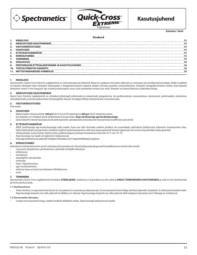



## **Kasutusjuhend**

## **Estonian / Eesti**

### **Sisukord**

## **1. KIRJELDUS**

Spectranetics Quick-Cross Extreme tugikateetrid on intravaskulaarsed kateetrid. Need on saadaval erinevates pikkustes ja erinevate otsa konfiguratsioonidega. Kõigil mudelitel on kateetri distaalsel otsal võrdsetel vahemaadel 3 röntgenkontrastset markerit, aidates hinnata asukohta veresoonkonnas. Distaalne röntgenkontrastne marker asub kateetri distaalsest otsast 3 mm kaugusel. Iga mudeli proksimaalses otsas asub standardne emane luer-otsik. Kateeter on kaetud libestava hüdrofiilse kihiga.

## **2. NÄIDUSTUSED KASUTAMISEKS**

Quick-Cross Extreme tugikateetrid on mõeldud juhtetraadi juhtimiseks ja toetamiseks pärgarterisse või perifeersetesse veresoontesse sisestamisel, juhtetraatide vahetamise võimaldamiseks ja kanali pakkumiseks füsioloogiliste lahuste või diagnostiliste kontrastainete manustamiseks.

## **3. VASTUNÄIDUSTUSED**

Pole teada.

## **4. HOIATUSED**

- Maksimaalne infusioonirõhk: **300 psi** 0,014" ja 0,018" kateetrite ja **500 psi** 0,035" kateetrite puhul.
- See kateeter on mõeldud ainult ühekordseks kasutamiseks. **Ärge steriliseerige ega korduvkasutage.**
- Seda kateetrit võivad kasutada ainult perkutaansete vaskulaarsete protseduuride teostamiseks kvalifitseeruvad arstid.

### **5. ETTEVAATUSABINÕUD**

- ÄRGE steriliseerige ega korduvkasutage seda seadet, kuna see võib ohustada seadme jõudlust või suurendada sobimatust töötlemisest tulenevat ristsaastumise ohtu. Selle ühekordseks kasutamiseks mõeldud seadme korduvkasutamine võib tuua kaasa patsiendi tõsised vigastused või surma ning tühistab tootja garantiid.
- Hoida jahedas, kuivas kohas. Kaitsta otsese päikesevalguse ja kõrge temperatuuri eest (üle 55 °C või 131 °F).
- Ärge kasutage, kui seade või pakend on kahjustunud.
- Kasutage kateetrit enne pakendil märgitud "Kasutada enne" (aegumistähtaeg) kuupäeva.

#### **6. KÕRVALTOIMED**

Vaskulaarne kateteriseerimine ja/või vaskulaarsed protseduurid võivad põhjustada järgnevaid komplikatsioone (kuid mitte ainult):

- veresoone dissektsioon, perforatsioon, rebendid või täielik oklusioon;
- infektsioon:
- hematoom;
- ebastabiilne stenokardia;
- emboolia;
- hüpo-/hüpertensioon;
- äge müokardiinfarkt;
- arütmia, kaasa arvatud ventrikulaarne fibrillatsioon;
- surm.

## **7. TARNIMINE**

Spectranetics Quick-Cross tugikateetrid tarnitakse **STERIILSEINA**. Seadmed on kujundatud ja ette nähtud **AINULT ÜHEKORDSEKS KASUTAMISEKS** ja neid ei tohi steriliseerida ja/või korduvkasutada.

### **7.1 Steriliseerimine**

• Toote steriilsus on garanteeritud ainult siis, kui pakend on avamata ja kahjustamata. Enne kasutamist kontrollige steriilset pakendit visuaalselt, et selle pitserid poleks katki. Ärge kasutage kateetrit, kui selle pakendi terviklikkus on rikutud. Ärge kasutage kateetrit, kui selle pakendi sildil märgitud "Kasutada enne" tähtaeg on möödunud.

#### **7.2 Kasutuseelne ülevaatus**

• Uurige enne kasutamist kogu seadet hoolikalt defektide suhtes. Ärge kasutage kahjustunud seadet.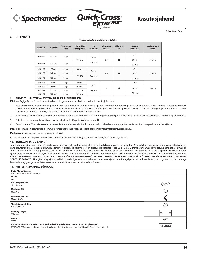



## **Kasutusjuhend**

**Estonian / Eesti**

## **8. ÜHILDUVUS**

**Tooteomaduste ja mudelinumbrite tabel**

| Mudel (nr) | <b>Tööpikkus</b> | Otsa kuju /<br>tüüp | <b>Hüdrofiilse</b><br>katte pikkus | JTr<br>ühilduvus | Juhtetraadi<br>min. SD   | Hülsi min.<br><b>SD</b> | <b>Kateetri</b><br>maks. VD | <b>Markerribade</b><br>vahe |                   |  |
|------------|------------------|---------------------|------------------------------------|------------------|--------------------------|-------------------------|-----------------------------|-----------------------------|-------------------|--|
| 518-084    | 135 cm           | Sirge               | 100 cm                             | 0.014''          | 5 F                      | 4 F                     | 3,2F<br>0,042"              | $15 \text{ mm}$             |                   |  |
| 518-086    | 150 cm           | Sirge               |                                    | 0,36 mm          |                          |                         | 1,07 mm                     |                             |                   |  |
| 518-088    | 90 cm            | Sirge               | 60 cm                              |                  |                          |                         | 3,4F                        |                             |                   |  |
| 518-090    | 135 cm           | Sirge               |                                    |                  | 0,018''                  | 5 F                     | 4 F                         | 0.044''                     | 15 mm             |  |
| 518-092    | 150 cm           | Sirge               | 100 cm                             | 0,46 mm          |                          |                         |                             |                             | $1,12 \text{ mm}$ |  |
| 518-076    | 65 cm            | Sirge               | 45 cm                              |                  |                          |                         | 4,5 F                       |                             |                   |  |
| 518-078    | 90 cm            | Sirge               | 70 cm                              | 0.035''          | $\overline{\phantom{0}}$ | 5 F                     | 0,059''                     | 50 mm                       |                   |  |
| 518-080    | 135 cm           | Sirge               | 115 cm                             | 0,89 mm          |                          |                         |                             |                             |                   |  |
| 518-082    | 150 cm           | Sirge               | 130 cm                             |                  |                          |                         | 1,50 mm                     |                             |                   |  |

## **9. PROTSEDUURI ETTEVALMISTAMINE JA KASUTUSJUHISED**

**Märkus.** Järgige Quick-Cross Extreme tugikateetritega kasutatavate kõikide seadmete kasutusjuhendeid.

- 1. Ettevalmistamine. Avage steriilne pakend steriilset tehnikat kasutades. Eemaldage kaitseümbris koos kateetriga ettevaatlikult kotist. Täitke steriilne standardne luer-lock süstal steriilse füsioloogilise lahusega. Enne kateetri eemaldamist ümbrisest ühendage süstal kateetri proksimaalse otsa lueri adapteriga, loputage kateeter ja laske soolalahusel ümbris täita. Pange kateeter koos ümbrisega kuni kasutamiseni kõrvale.
- 2. Sisestamine. Viige kateeter standardset tehnikat kasutades läbi eelnevalt sisestatud õige suurusega juhtkateetri või sisestushülsi õige suurusega juhtetraadil (vt kirjeldust).
- 3. Paigaldamine. Kasutage kateetri veresoonde paigaldamise jälgimiseks röntgenkontrolli.
- 4. Eemaldamine. Tõmmake kateeter ettevaatlikult, standardset tehnikat kasutades välja, säilitades samal ajal juhtetraadi asendi, kui see peab oma kohale jääma.

Infusioon. Infusiooni teostamiseks tõmmake juhtetraat välja ja vaadake spetsifikatsioonist maksimaalset infusioonirõhku.

**Märkus.** Ärge ületage soovitatud infusioonirõhkusid.

Pärast kasutamist käidelge seadet vastavalt nõuetele, mis käsitlevad haiglajäätmeid ja bioloogiliselt ohtlikke jäätmeid.

## **10. TOOTJA PIIRATUD GARANTII**

Tootja garanteerib, et tootel Quick-Cross Extreme pole materjali ja valmistamise defekte, kui seda kasutatakse enne määratud"Kasutada kuni" kuupäeva ning kui pakend on vahetult enne kasutamist avamata ja kahjustamata. Tootja vastutus antud garantii järgi on piiratud iga defektse toote Quick-Cross Extreme asendamisega või ostuhinna tagasimaksmisega. Tootja ei vastuta mis tahes juhuslike, eriliste või põhjuslike kahjude eest, mis tulenevad toote Quick-Cross Extreme kasutamisest. Käesoleva garantii tühistavad toote Quick-Cross Extreme kahjustused, mille on põhjustanud väärkasutus, muutmine, sobimatu hoiundamine või käsitsemine või mis tahes muu antud kasutusjuhendi mittejärgimine. **KÄESOLEV PIIRATUD GARANTII ASENDAB OTSESELT KÕIK TEISED OTSESED VÕI KAUDSED GARANTIID, SEALHULGAS MÜÜGIKÕLBLIKKUSE VÕI TEATAVAKS OTSTARBEKS SOBIVUSE GARANTII.** Ühelgi isikul ega juriidilisel isikul, sealhulgas tootja mis tahes volitatud esindajal või edasimüüjal pole volitust käesolevat piiratud garantiid pikendada ega laiendada ning igasugune väidetav katse seda teha ei ole tootja vastu täitmisele pööratav.

## **11. MITTESTANDARDSED SÜMBOLID**

| <b>Distal Marker Spacing</b>                                                                                                                                                                                  |                 |
|---------------------------------------------------------------------------------------------------------------------------------------------------------------------------------------------------------------|-----------------|
| Distaalsete markerite vahekaugus                                                                                                                                                                              |                 |
| Shape<br>Kuju                                                                                                                                                                                                 |                 |
| <b>GW Compatibility</b><br>JTr ühilduvus                                                                                                                                                                      | $\leftarrow$ GW |
| <b>Maximum OD</b><br>Maks. VD                                                                                                                                                                                 |                 |
| l Maximum PSI/kPa<br>Maks. PSI/kPa                                                                                                                                                                            |                 |
| <b>Sheath Compatibility</b><br>Hülsi ühilduvus                                                                                                                                                                |                 |
| <b>Working Length</b><br>Tööpikkus                                                                                                                                                                            |                 |
| Quantity<br>Kogus                                                                                                                                                                                             | QTY             |
| CAUTION: Federal law (USA) restricts this device to sale by or on the order of a physician.<br>ETTEVAATUST! Ameerika Ühendriikide föderaalseadus lubab seda seadet müüa vaid arstil või arsti ettekirjutusel. | <b>Rx ONLY</b>  |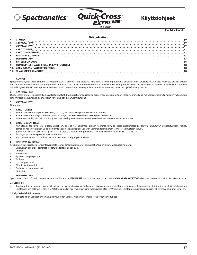



## **Käyttöohjeet**

**Finnish / Suomi**

## **Sisällysluettelo**

## **1. KUVAUS**

Spectranetics Quick-Cross Extreme -tukikatetrit ovat laskimonsisäisiä katetreja. Niitä on saatavina eripituisina ja erilaisin kärjin varustettuina. Kaikissa malleissa distaalivarteen on asetettu tasavälein kolme röntgenpositiivista merkkiä auttamaan katetrin sijoittamisessa verisuoniin. Röntgenpositiivinen distaalimerkki on asetettu 3 mm:n sisälle katetrin distaalikärjestä. Kunkin mallin proksimaalisessa päässä on tavallinen naaraspuolinen luer-liitin. Katetrissa on liukas, hydrofiilinen pinnoite.

## **2. KÄYTTÖAIHEET**

Quick-Cross Extreme -tukikatetrit ohjaavat ja tukevat johdinvaijeria koronaariseen tai perifeeriseen verisuonistoon sisäänviennin aikana, mahdollistavat johdinvaijerien vaihtamisen ja toimivat suolaliuosten ja diagnostisten varjoaineiden sisäänvientiputkena.

## **3. VASTA-AIHEET**

Ei tunneta.

## **4. VAROITUKSET**

- Suurin sallittu infuusiopaine: **300 psi** 0,014" ja 0,018" katetreille ja **500 psi** 0,035" katetreille.
- Katetri on suunniteltu ja tarkoitettu vain kertakäyttöön. **Ei saa steriloida tai käyttää uudestaan.**
- Katetria saavat käyttää vain lääkärit, jotka ovat perehtyneet perkutaanisten, vaskulaaristen interventioiden tekemiseen.

#### **5. VAROTOIMENPITEET**

- ÄLÄ steriloi tai käytä tätä laitetta uudelleen, sillä se voi heikentää laitteen toimintakykyä tai lisätä asiattomasta käsittelystä aiheutuvan ristisaastumisen vaaraa. Tämän kertakäyttölaitteen uudelleenkäyttö voi aiheuttaa potilalle vakavan vamman tai kuoleman ja mitätöi valmistajan takuut.
- Säilytettävä kuivassa ja viileässä paikassa. Suojattava suoralta auringonvalolta ja korkeilta lämpötiloilta (yli 55 °C tai 131 °F).
- Älä käytä, jos laite tai pakkaus on vaurioitunut.
- Käytä katetri ennen pakkauksessa mainittua viimeistä käyttöpäivämäärää.

## **6. HAITTAVAIKUTUKSET**

Verisuonten katetrisaatiosta ja/tai interventiosta saattaa aiheutua seuraavia komplikaatioita, niihin kuitenkaan rajoittumatta:

• Verisuonen dissektio, perforaatio, ruptuura tai täydellinen tukos

- Infektio
- Hematooma
- Epävakaa angina pectoris
- Embolia
- Hypo-/hypertensio
- Akuutti sydäninfarkti
- Arytmia, ml. kammiovärinä
- Kuolema

## **7. TOIMITUSTAPA**

Spectranetics Quick-Cross Extreme -tukikatetrit toimitetaan **STERIILEINÄ**. Ne on suunniteltu ja tarkoitettu **VAIN KERTAKÄYTTÖÖN** eikä niitä saa steriloida eikä käyttää uudestaan.

## **7.1 Sterilointi**

• Tuotteen steriiliys taataan vain, mikäli pakkaus on avaamaton ja ehjä. Tarkasta steriili pakkaus ennen käyttöä silmämääräisesti ja varmista, että sinetit ovat ehjiä. Katetria ei saa käyttää, jos sen pakkaus ei ole ehjä. Katetria ei saa käyttää myöskään siinä tapauksessa, että sen "Viimeinen käyttöpäivämäärä", pakkauksen etiketissä, on kulunut umpeen.

#### **7.2 Käyttöä edeltävä tarkastus**

• Tarkasta kaikki välineet ennen käyttöä vaurioiden varalta. Älä käytä välineitä, jotka ovat vaurioituneet.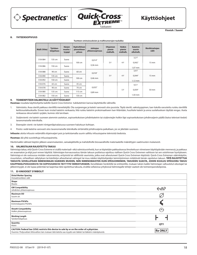



## **Käyttöohjeet**

**Finnish / Suomi**

## **8. YHTEENSOPIVUUS**

## **Tuotteen ominaisuuksien ja mallinumerojen taulukko**

| <b>Malli (Viite)</b> | Työsken-<br>telypituus | Kärjen<br>muoto /<br>tyyppi | <b>Hydrofiilisen</b><br>pinnoitteen<br>pituus | Johtojen<br>yhteensopivuus | Ohjaimen<br>pienin<br>sisähalk. | <b>Holkin</b><br>pienin<br>sisähalk. | <b>Katetrin</b><br>suurin<br>ulkohalk. | Merkkiraitojen<br>välit |
|----------------------|------------------------|-----------------------------|-----------------------------------------------|----------------------------|---------------------------------|--------------------------------------|----------------------------------------|-------------------------|
| 518-084              | 135 cm                 | Suora                       | 100 cm                                        | 0,014''                    | 5 F                             | 4 F                                  | 3,2F<br>0,042"                         | 15 mm                   |
| 518-086              | 150 cm                 | Suora                       |                                               | $0.36$ mm                  |                                 |                                      | 1,07 mm                                |                         |
| 518-088              | 90 cm                  | Suora                       | 60 cm                                         | 0,018''                    |                                 |                                      | 3,4 F                                  |                         |
| 518-090              | 135 cm                 | Suora                       |                                               |                            | 5 F                             | 4 F                                  | 0,044"                                 | 15 mm                   |
| 518-092              | 150 cm                 | Suora                       | 100 cm                                        | $0.46$ mm                  |                                 |                                      | $1,12$ mm                              |                         |
| 518-076              | 65 cm                  | Suora                       | 45 cm                                         |                            |                                 |                                      | 4,5 F                                  |                         |
| 518-078              | 90 cm                  | Suora                       | 70 cm                                         | 0,035''                    |                                 |                                      |                                        |                         |
| 518-080              | 135 cm                 | Suora                       | 115 cm                                        | $0.89$ mm                  | $\overline{\phantom{0}}$        | 5 F                                  | 0.059''                                | 50 mm                   |
| 518-082              | 150 cm                 | Suora                       | 130 cm                                        |                            |                                 |                                      | 1,50 mm                                |                         |

## **9. TOIMENPITEEN VALMISTELU JA KÄYTTÖOHJEET**

**Huomaa:** noudata käyttöohjetta kaikille Quick-Cross Extreme -tukikatetrien kanssa käytettäville välineille.

- 1. Valmistelu: Avaa steriili pakkaus steriilillä menettelyllä. Ota suojarengas ja katetri varovasti ulos pussista. Täytä steriili, vakiotyyppinen, luer-lukolla varustettu ruisku steriilillä keittosuolaliuoksella. Ennen kuin irrotat katetrin renkaasta, liitä ruisku katetrin proksimaaliseen luer-liitäntään, huuhtele katetri ja anna suolaliuoksen täyttää rengas. Aseta renkaassa oleva katetri syrjään, kunnes sitä tarvitaan.
- 2. Sisäänvienti: vie katetri suoneen aiemmin asetetun, sopivankokoisen johdinkatetrin tai sisäänviejän holkin läpi sopivankokoisen johdinvaijerin päällä (katso tekniset tiedot) tavanomaisella tekniikalla.
- 3. Eteenpäin vienti: vie katetri röntgenläpivalaisussa suoneen haluttuun kohtaan.
- 4. Poisto: vedä katetria varovasti ulos tavanomaisella tekniikalla siirtämättä johdinvaijeria paikaltaan, jos se jätetään suoneen.

**Infuusio:** aloita infuusio vetämällä ohjainvaijeri pois ja tarkistamalla suurin sallittu infuusiopaine teknisistä tiedoista.

**Huomaa:** älä ylitä suositeltuja infuusiopaineita.

Hävitä kaikki välineet käytön jälkeen asianmukaisten, sairaalajätteille ja mahdollisille biovaarallisille materiaaleille määrättyjen vaatimusten mukaisesti.

## **10. VALMISTAJAN RAJOITETTU TAKUU**

Valmistaja takaa, että Quick-Cross Extreme ei sisällä materiaali- eikä valmistusvirheitä, kun se käytetään pakkauksessa ilmoitettuun viimeiseen käyttöpäivään mennessä, ja pakkaus on avaamaton ja ehjä juuri ennen käyttöä. Valmistajan korvausvastuu tämän takuun puitteissa rajoittuu viallisen Quick-Cross Extremen vaihtoon tai sen ostohinnan hyvitykseen. Valmistaja ei ole vastuussa mistään satunnaisista, erityisistä tai välillisistä vaurioista, jotka ovat aiheutuneet Quick-Cross Extremen käytöstä. Quick-Cross Extremen väärinkäytön, muuntelun, virheellisen säilytyksen tai käsittelyn aiheuttamat vahingot tai muu näiden käyttöohjeiden laiminlyöminen mitätöivät tämän rajoitetun takuun. **TÄTÄ RAJOITETTUA TAKUUTA SOVELLETAAN NIMENOMAAN KAIKKIEN MUIDEN, NIIN NIMENOMAISTEN KUIN EPÄSUORIENKIN, TAKUIDEN SIJASTA, JOIHIN KUULUU EPÄSUORA TAKUU KAUPPAKELPOISUUDESTA TAI SOPIVUUDESTA TIETTYYN TARKOITUKSEEN.** Kenelläkään henkilöllä tai entiteetillä, mukaan lukien kaikki Valmistajan valtuutetut edustajat tai jälleenmyyjät, ei ole lupaa pidentää tai laajentaa tätä rajoitettua takuuta, eivätkä sellaisissa yrityksissä Valmistajalle tehdyt vaateet ole toimeenpanokelpoisia.

## **11. EI-VAKIOISET SYMBOLIT**

| <b>Distal Marker Spacing</b><br>Distaalimerkkien välit                                                                                                                                                        |                            |
|---------------------------------------------------------------------------------------------------------------------------------------------------------------------------------------------------------------|----------------------------|
| Shape<br>Muoto                                                                                                                                                                                                |                            |
| <b>GW Compatibility</b><br>Johdinten yhteensopivuus                                                                                                                                                           | $\leftarrow$ GW $\bigcirc$ |
| <b>Maximum OD</b><br>Suurin uh.                                                                                                                                                                               |                            |
| <b>Maximum PSI/kPa</b><br>Enimmäispaine PSI/kPa                                                                                                                                                               |                            |
| <b>Sheath Compatibility</b><br>Holkin yhteensopivuus                                                                                                                                                          |                            |
| <b>Working Length</b><br>Työskentelypituus                                                                                                                                                                    |                            |
| Quantity<br>Määrä                                                                                                                                                                                             | QTY                        |
| CAUTION: Federal law (USA) restricts this device to sale by or on the order of a physician.<br>Huomio: Yhdysvaltain liittovaltion lain mukaan tätä laitetta saa myydä vain lääkäri tai lääkärin määräyksestä. | <b>Rx ONL</b>              |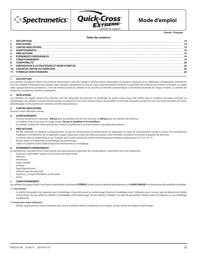



## **Mode d'emploi**

**French / Français** 

## **Table des matières**

| 8. COMPATIBILITÉ $\ldots$ |  |
|---------------------------|--|
|                           |  |
|                           |  |
|                           |  |
|                           |  |

## **1. DESCRIPTION**

Les cathéters de support Quick-Cross Extreme Spectranetics sont des cathéters intravasculaires, disponibles en plusieurs longueurs et en différentes configurations d'extrémité. Tous les modèles comportent trois repères radio-opaques équidistants le long du corps distal permettant d'estimer la géométrie de l'intérieur du système vasculaire. Le repère radio-opaque distal est positionné à 3 mm de l'embout distal du cathéter et un raccord Luer femelle standard figure à l'extrémité proximale de chaque modèle. Le cathéter est enduit d'un revêtement lubrifié et hydrophile.

## **2. INDICATIONS**

Les cathéters de support Quick-Cross Extreme sont des dispositifs de perfusion et d'échange sur quide concus pour être utilisés dans le système vasculaire coronaire ou périphérique. Les cathéters ont pour but de soutenir un guide lors d'un accès intravasculaire, de permettre un échange de guide et de fournir une voie d'administration de sérum physiologique ou de produits de contraste à des fins diagnostiques.

## **3. CONTRE-INDICATIONS**

Aucune contre-indication connue.

## **4. AVERTISSEMENTS**

- Pression de perfusion maximale : **300 psi** pour les cathéters de 0,014 et 0,018 po. et **500 psi** pour les cathéters de 0,035 po.
- Le cathéter a été conçu pour un usage unique. **Ne pas le réutiliser ni le restériliser.**
- Le cathéter ne doit être utilisé que par des médecins qualifiés pour les interventions vasculaires percutanées.

## **5. PRÉCAUTIONS**

- NE PAS restériliser et réutiliser ce dispositif pour ne pas en compromettre les performances et augmenter le risque de contamination croisée en raison d'un retraitement inadéquat. La réutilisation de ce dispositif à usage unique peut causer des blessures graves, voire mortelles, au patient, et annuler la garantie du fabricant.
- Conserver dans un endroit frais et sec. Protéger de la lumière directe du soleil et des températures élevées (supérieures à 55 °C ou 131 °F).
- Ne pas utiliser si le dispositif ou l'emballage est endommagé.
- Utiliser le cathéter avant la date d'expiration mentionnée sur l'emballage.

## **6. ÉVÉNEMENTS INDÉSIRABLES**

Le cathétérisme vasculaire et/ou l'intervention vasculaire peuvent engendrer des complications, notamment (liste non exhaustive) :

- Dissection, perforation, rupture ou occlusion vasculaire totale
- **Infection**
- Hématome
- Angor instable
- **Embolie**
- Hypo/hypertension
- Infarctus aigu du myocarde
- Arythmie, y compris fibrillation ventriculaire
- Décès

## **7. CONDITIONNEMENT**

Les cathéters de support Quick-Cross Extreme Spectranetics sont fournis **STÉRILES**. Ils sont conçus et destinés exclusivement à un **USAGE UNIQUE** et ne doivent pas être restérilisés ni réutilisés.

#### **7.1 Stérilisation**

La stérilité du produit n'est garantie que si l'emballage n'a pas été ouvert ou endommagé. Examiner l'emballage avant l'utilisation pour s'assurer que les témoins de stérilité soient intacts. Ne pas utiliser le cathéter si l'emballage a été endommagé. Ne pas utiliser le cathéter si la date de péremption (Utiliser avant le) indiquée sur son emballage est dépassée.

#### **7.2 Inspection avant utilisation**

Vérifier soigneusement avant l'utilisation que tout le matériel à utiliser ne présente aucun défaut. Ne pas utiliser de matériel endommagé.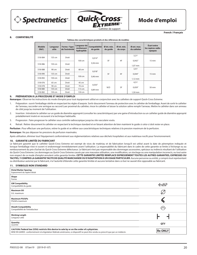



## **Mode d'emploi**

**French / Français** 

## **8. COMPATIBILITÉ**

## **Tableau des caractéristiques produits et des références de modèles**

| Modèle<br>(Ref.) | Longueur<br>utile | Forme / Type<br>de l'extrémité | Longueur du<br>revêtement<br>hydrophile | Compatibilité<br>du guide | $Ø$ int. min.<br>du guide | $Ø$ int. min.<br>du corps | Ø ext. max.<br>du cathéter | Écart entre<br>les repères radio-<br>opaques |
|------------------|-------------------|--------------------------------|-----------------------------------------|---------------------------|---------------------------|---------------------------|----------------------------|----------------------------------------------|
| 518-084          | $135 \text{ cm}$  | Droit                          | 100 cm                                  | 0,014''                   | 5F                        | 4F                        | 3,2F<br>0,042"             | $15 \text{ mm}$                              |
| 518-086          | $150 \text{ cm}$  | Droit                          |                                         | $0.36$ mm                 |                           |                           | 1,07 mm                    |                                              |
| 518-088          | 90 cm             | Droit                          | 60 cm<br>0.018''<br>100 cm<br>$0.46$ mm |                           |                           |                           | 3,4F                       |                                              |
| 518-090          | 135 cm            | Droit                          |                                         |                           | 5F                        | 4F                        | 0.044''                    | 15 mm                                        |
| 518-092          | 150 cm            | Droit                          |                                         |                           |                           |                           |                            | $1.12 \text{ mm}$                            |
| 518-076          | 65 cm             | Droit                          | 45 cm                                   |                           |                           |                           | 4,5F                       |                                              |
| 518-078          | 90 cm             | Droit                          | 70 cm                                   | 0.035''                   | N/D                       | 5F                        | 0,059''                    | 50 mm                                        |
| 518-080          | 135 cm            | Droit                          | 115 cm                                  | 0,89 mm                   |                           |                           |                            |                                              |
| 518-082          | 150 cm            | Droit                          | 130 cm                                  |                           |                           |                           | 1,50 mm                    |                                              |

## **9. PRÉPARATION À LA PROCÉDURE ET MODE D'EMPLOI**

**Remarque :** Observer les instructions du mode d'emploi pour tout équipement utilisé en conjonction avec les cathéters de support Quick-Cross Extreme.

- 1. Préparation : ouvrir l'emballage stérile en respectant les règles d'asepsie. Sortir doucement l'anneau de protection avec le cathéter de l'emballage. Avant de sortir le cathéter de l'anneau, raccorder une seringue au raccord Luer proximal du cathéter, rincer le cathéter et laisser la solution saline remplir l'anneau. Mettre le cathéter dans son anneau de côté jusqu'au moment de l'utilisation.
- 2. Insertion : Introduire le cathéter sur un guide de diamètre approprié (consulter les caractéristiques) par une gaine d'introduction ou un cathéter guide de diamètre approprié préalablement inséré en recourant à la technique habituelle.
- 3. Progression : Faire progresser le cathéter sous contrôle radioscopique jusqu'au site vasculaire voulu.
- 4. Retrait : Retirer doucement le cathéter en respectant la technique standard et en faisant attention de bien maintenir le guide si celui-ci doit rester en place.

Perfusion : Pour effectuer une perfusion, retirer le quide et se référer aux caractéristiques techniques relatives à la pression maximum de la perfusion.

**Remarque :** Ne pas dépasser les pressions de perfusion maximales.

Après utilisation, éliminer tout l'équipement conformément aux réglementations relatives aux déchets hospitaliers et aux matériaux nocifs pour l'environnement.

## **10. GARANTIE LIMITÉE DU FABRICANT**

Le fabricant garantit que le cathéter Quick-Cross Extreme est exempt de vices de matériau et de fabrication lorsqu'il est utilisé avant la date de péremption indiquée et lorsque l'emballage n'est ni ouvert ni endommagé immédiatement avant l'utilisation. La responsabilité du fabricant dans le cadre de cette garantie se limite à l'échange ou au remboursement du prix d'achat du Quick-Cross Extreme défectueux. Le fabricant n'est pas responsable des dommages accessoires, spéciaux ou indirects résultant de l'utilisation du Quick-Cross Extreme. Les dommages au Quick-Cross Extreme causés par une mauvaise utilisation, une modification, un stockage ou une manipulation incorrects, ou tout autre non-respect de ce mode d'emploi annulent cette garantie limitée. **CETTE GARANTIE LIMITÉE REMPLACE EXPRESSÉMENT TOUTES LES AUTRES GARANTIES, EXPRESSES OU TACITES, Y COMPRIS LA GARANTIE TACITE DE QUALITÉ MARCHANDE OU D'ADAPTATION À UN USAGE PARTICULIER.** Aucune personne ou entité, y compris tout représentant ou distributeur autorisé par le fabricant, n'a l'autorité d'étendre cette garantie limitée et aucune tentative dans ce but ne saurait être opposable au fabricant.

## **11. SYMBOLES NON STANDARD**

| <b>Distal Marker Spacing</b><br>Espacement du repère distal                                                                                                                                                                        |                 |
|------------------------------------------------------------------------------------------------------------------------------------------------------------------------------------------------------------------------------------|-----------------|
| Shape<br>Forme                                                                                                                                                                                                                     |                 |
| <b>GW Compatibility</b><br>Compatibilité du guide                                                                                                                                                                                  | $\leftarrow$ GW |
| <b>Maximum OD</b><br>D.E. maximum                                                                                                                                                                                                  |                 |
| <b>Maximum PSI/kPa</b><br>PSI/kPa maximum                                                                                                                                                                                          |                 |
| <b>Sheath Compatibility</b><br>Compatibilité de l'introducteur                                                                                                                                                                     | ' sc            |
| <b>Working Length</b><br>Longueur utile                                                                                                                                                                                            |                 |
| Quantity<br>Quantité                                                                                                                                                                                                               | QTY             |
| CAUTION: Federal law (USA) restricts this device to sale by or on the order of a physician.<br>MISE EN GARDE : conformément à la législation fédérale américaine, ce dispositif ne peut être vendu ou prescrit que par un médecin. | <b>Rx ONL</b>   |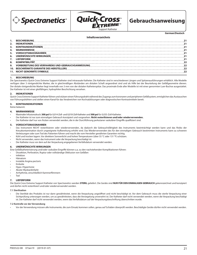



## **Gebrauchsanweisung**

## **German/Deutsch**

## **Inhaltsverzeichnis**

| 8. KOMPATIBILITÄT                                                                                                  |  |
|--------------------------------------------------------------------------------------------------------------------|--|
|                                                                                                                    |  |
|                                                                                                                    |  |
| 11. NICHT GENORMTE SYMBOLE Under Alternation and Alternation and Alternation and Alternation and Alternation and A |  |

## **1. BESCHREIBUNG**

Die Spectranetics Quick-Cross Extreme Support Katheter sind intravasale Katheter. Die Katheter sind in verschiedenen Längen und Spitzenausführungen erhältlich. Alle Modelle verfügen über 3 röntgendichte Marker, die in gleichmäßigen Abständen am distalen Schaft angeordnet sind und als Hilfe bei der Beurteilung der Gefäßgeometrie dienen. Der distale röntgendichte Marker liegt innerhalb von 3 mm von der distalen Katheterspitze. Das proximale Ende aller Modelle ist mit einer genormten Luer-Buchse ausgestattet. Der Katheter ist mit einer gleitfähigen, hydrophilen Beschichtung versehen.

## **2. INDIKATIONEN**

Quick-Cross Extreme Support Katheter führen und stützen einen Führungsdraht während des Zugangs zum koronaren und peripheren Gefäßsystem, ermöglichen das Austauschen von Führungsdrähten und stellen einen Kanal für das Verabreichen von Kochsalzlösungen oder diagnostischen Kontrastmitteln bereit.

## **3. KONTRAINDIKATIONEN**

Keine bekannt.

## **4. WARNHINWEISE**

- Maximaler Infusionsdruck: **300 psi** für 0,014-Zoll- und 0,018-Zoll-Katheter und **500 psi** für 0,035-Zoll-Katheter.
- Der Katheter ist nur zum einmaligen Gebrauch konzipiert und vorgesehen. **Nicht resterilisieren und/oder wiederverwenden.**
- Der Katheter darf nur von Ärzten verwendet werden, die in der Durchführung perkutaner vaskulärer Eingriffe qualifiziert sind.

## **5. VORSICHTSMASSNAHMEN**

- Das Instrument NICHT resterilisieren oder wiederverwenden, da dadurch die Gebrauchsfähigkeit des Instruments beeinträchtigt werden kann und das Risiko der Kreuzkontamination durch ungeeignete Aufbereitung erhöht wird. Das Wiederverwenden des für den einmaligen Gebrauch bestimmten Instruments kann zu schweren Verletzungen oder zum Tod des Patienten führen und macht die vom Hersteller gewährten Garantien nichtig.
- Kühl und trocken lagern. Vor direktem Sonnenlicht und hohen Temperaturen (über 55 °C oder 131 °F) schützen.
- Nicht verwenden, wenn das Instrument oder die Verpackung beschädigt ist.
- Der Katheter muss vor dem auf der Verpackung angegebenen Verfallsdatum verwendet werden.

## **6. UNERWÜNSCHTE WIRKUNGEN**

Eine Gefäßkatheterisierung und/oder vaskuläre Eingriffe können u.a. zu den nachstehenden Komplikationen führen:

- Dissektion, Perforation, Ruptur oder vollständige Okklusion von Gefäßen
- **Infektion**
- Hämatom
- Instabile Angina pectoris
- Embolie
- Hypo-/Hypertonie
- Akuter Myokardinfarkt
- Arrhythmie, einschließlich Kammerflimmern
- Tod

## **7. LIEFERFORM**

Die Quick-Cross Extreme Support Katheter von Spectranetics werden **STERIL** geliefert. Die Geräte sind **NUR FÜR DEN EINMALIGEN GEBRAUCH** gekennzeichnet und konzipiert und dürfen nicht resterilisiert und/oder wiederverwendet werden.

#### **7.1 Sterilisation**

Die Sterilität des Produkts ist nur dann gewährleistet, wenn die Verpackung ungeöffnet und nicht beschädigt ist. Vor dem Gebrauch muss die sterile Verpackung einer Sichtprüfung unterzogen werden, um zu gewährleisten, dass die Versiegelung unversehrt ist. Der Katheter darf nicht verwendet werden, wenn die Verpackung beschädigt ist. Der Katheter darf nicht verwendet werden, wenn das Verfallsdatum auf der Verpackungsbeschriftung überschritten wurde.

#### **7.2 Kontrolle vor der Verwendung**

• Vor der Verwendung müssen alle Instrumente, die zum Einsatz kommen sollen, genau auf Schäden überprüft werden. Beschädigte Geräte dürfen nicht verwendet werden.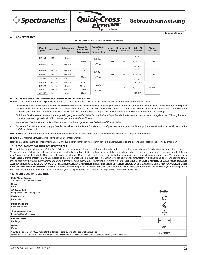



## **Gebrauchsanweisung**

**German/Deutsch**

## **8. KOMPATIBILITÄT**

## **Tabelle: Produkteigenschaften und Modellnummern**

| <b>Modell</b><br>(Ref) | <b>Nutzlänge</b> | Spitzenform/<br>-typ | Länge der<br>hydrophilen<br><b>Beschichtung</b> | Kompatibilität<br>mit<br>Führungsdraht | <b>Mindest-ID</b><br>Führung | Mindest-ID<br><b>Schleuse</b> | Höchst-AD<br><b>Katheter</b> | Marker-<br>abstände |
|------------------------|------------------|----------------------|-------------------------------------------------|----------------------------------------|------------------------------|-------------------------------|------------------------------|---------------------|
| 518-084                | 135 cm           | Gerade               |                                                 | $0.014$ Zoll                           |                              |                               | 3,2 Fr.                      |                     |
| 518-086                | 150 cm           | Gerade               | 100 cm                                          | $0.36$ mm                              | 5 Fr.                        | 4 Fr.                         | 0,042 Zoll<br>1,07 mm        | $15 \text{ mm}$     |
| 518-088                | 90 cm            | Gerade               | 60 cm                                           | $0.018$ Zoll                           |                              |                               | 3,4 Fr.                      |                     |
| 518-090                | 135 cm           | Gerade               |                                                 |                                        | 5 Fr.                        | 4 Fr.                         | 0.044 Zoll                   | $15 \, \text{mm}$   |
| 518-092                | $150 \text{ cm}$ | Gerade               | 100 cm                                          | $0.46$ mm                              |                              |                               | $1,12 \text{ mm}$            |                     |
| 518-076                | 65 cm            | Gerade               | 45 cm                                           |                                        |                              |                               | 4,5 Fr.                      |                     |
| 518-078                | 90 cm            | Gerade               | 70 cm                                           | $0.035$ Zoll                           |                              | 5 Fr.                         |                              |                     |
| 518-080                | 135 cm           | Gerade               | 115 cm                                          | $0.89$ mm                              | -                            |                               | 0,059 Zoll                   | 50 mm               |
| 518-082                | 150 cm           | Gerade               | 130 cm                                          |                                        |                              |                               | 1,50 mm                      |                     |

## **9. VORBEREITUNG DES VERFAHRENS UND GEBRAUCHSANWEISUNG**

**Hinweis:** Der Gebrauchsanweisung für alle Instrumente folgen, die mit den Quick-Cross Extreme Support Katheter verwendet werden sollen.

- 1. Vorbereitung: Die sterile Verpackung mit sterilen Methoden öffnen. Den Schutzreifen vorsichtig mit dem Katheter aus dem Beutel nehmen. Eine sterile Luer-Lock-Normspritze mit steriler Kochsalzlösung füllen. Vor der Entnahme des Katheters aus dem Schutzreifen die Spritze mit dem Luer-Lock-Anschluss des Katheters am proximalen Ende verbinden, den Katheter spülen und ein Füllen des Reifens mit Kochsalzlösung ermöglichen. Den Katheter im Reifen bis zur Verwendung beiseitelegen.
- 2. Einführen: Den Katheter über einen Führungsdraht geeigneter Größe (siehe "Technische Daten") per Standardverfahren durch einen bereits eingebrachten Führungskatheter bzw. eine bereits eingebrachte Einführschleuse geeigneter Größe einführen.
- 3. Vorschieben: Den Katheter unter Durchleuchtungskontrolle zur gewünschten Stelle im Gefäß vorschieben.
- 4. Entfernen: Den Katheter vorsichtig per Standardverfahren zurückziehen. Dabei muss darauf geachtet werden, dass der Führungsdraht seine Position beibehält, wenn er im Gefäß verbleiben soll.

**Infusion:** Vor der Infusion den Führungsdraht herausziehen und die technischen Daten bezüglich des maximalen Infusionsdrucks beachten.

**Hinweis:** Der maximale Infusionsdruck darf nicht überschritten werden.

Nach dem Gebrauch sind alle Instrumente unter Einhaltung der zutreffenden Anforderungen für Krankenhausabfälle und potenziell biogefährliche Stoffe zu entsorgen.

## **10. BESCHRÄNKTE GARANTIE DES HERSTELLERS**

Der Hersteller garantiert, dass der Quick-Cross Extreme frei von Material- und Herstellungsfehlern ist, sofern er vor dem angegebenen Verfallsdatum verwendet wird und die Verpackung unmittelbar vor Gebrauch ungeöffnet und unbeschädigt ist. Die Haftung des Herstellers im Rahmen dieser Garantie ist auf den Ersatz oder die Erstattung des Kaufpreises für fehlerhafte Quick-Cross Extreme beschränkt. Der Hersteller haftet für keine beiläufigen, Sonder- oder Folgeschäden, die durch die Verwendung des Quick-Cross Extreme entstehen. Eine Beschädigung des Quick-Cross Extreme durch die fehlerhafte Verwendung, Veränderung, falsche Aufbewahrung oder Handhabung sowie jede andere Nichtbefolgung der vorliegenden Gebrauchsanweisung machen diese beschränkte Garantie nichtig. **DIESE BESCHRÄNKTE GARANTIE ERSETZT AUSDRÜCKLICH ALLE ANDEREN AUSDRÜCKLICHEN ODER STILLSCHWEIGENDEN GARANTIEN, EINSCHLIESSLICH DER STILLSCHWEIGENDEN GARANTIE DER MARKTGÄNGIGKEIT ODER EIGNUNG FÜR EINEN BESTIMMTEN ZWECK.** Keine natürliche oder juristische Person, einschließlich aller autorisierten Vertreter oder Händler des Herstellers, ist berechtigt, diese beschränkte Garantie zu verlängern oder zu erweitern, und entsprechende Versuche sind nicht gegen den Hersteller einklagbar.

## **11. NICHT GENORMTE SYMBOLE**

| <b>Distal Marker Spacing</b><br>Abstand zwischen distalen Markern                                                                                                                                                              |                 |
|--------------------------------------------------------------------------------------------------------------------------------------------------------------------------------------------------------------------------------|-----------------|
| Shape<br>Form                                                                                                                                                                                                                  |                 |
| <b>GW Compatibility</b><br>Kompatibilität mit Führungsdraht                                                                                                                                                                    | $\leftarrow$ GW |
| <b>Maximum OD</b><br>Höchst-AD                                                                                                                                                                                                 |                 |
| Maximum PSI/kPa<br>Maximaler PSI/kPa                                                                                                                                                                                           |                 |
| <b>Sheath Compatibility</b><br>Kompatibilität mit Schleuse                                                                                                                                                                     |                 |
| <b>Working Length</b><br>Nutzlänge                                                                                                                                                                                             |                 |
| Quantity<br>Menge                                                                                                                                                                                                              | <b>QTY</b>      |
| CAUTION: Federal law (USA) restricts this device to sale by or on the order of a physician.<br>VORSICHT: Laut US-amerikanischem Bundesgesetz darf dieses Produkt nur von Ärzten oder auf ärztliche Verordnung verkauft werden. | <b>Rx ONL\</b>  |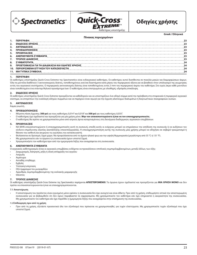



# **Οδηγίες χρήσης**

**Greek / Ελληνικά**

## **Πίνακας περιεχοµένων**

| $\sim$ |  |
|--------|--|
|        |  |
|        |  |
|        |  |
|        |  |
|        |  |
|        |  |
|        |  |
|        |  |
|        |  |
|        |  |
|        |  |

## **1. ΠΕΡΙΓΡΑΦΗ**

Οι καθετήρες υποστήριξης Quick-Cross Extreme της Spectranetics είναι ενδαγγειακοί καθετήρες. Οι καθετήρες αυτοί διατίθενται σε ποικιλία μηκών και διαμορφώσεων άκρων. Όλα τα μοντέλα διαθέτουν 3 ακτινοσκιερούς δείκτες, τοποθετημένους ανά ίσα διαστήματα κατά μήκος του περιφερικού άξονα για να βοηθούν στον υπολογισμό της γεωμετρίας εντός του αγγειακού συστήματος. Ο περιφερικός ακτινοσκιερός δείκτης είναι τοποθετημένος εντός 3 mm του περιφερικού άκρου του καθετήρα. Στο εγγύς άκρο κάθε μοντέλου είναι τοποθετημένο ένα στάνταρ θηλυκό προσάρτημα luer. Ο καθετήρας είναι επιστρωμένος με ολισθηρή, υδρόφιλη επικάλυψη.

## **2. ΕΝΔΕΙΞΕΙΣ ΧΡΗΣΗΣ**

Οι καθετήρες υποστήριξης Quick-Cross Extreme προορίζονται να καθοδηγούν και να υποστηρίζουν ένα οδηγό σύρμα κατά την πρόσβαση στο στεφανιαίο ή περιφερικό αγγειακό σύστημα, να επιτρέπουν την εναλλαγή οδηγών συρμάτων και να παρέχουν έναν αγωγό για την έγχυση αλατούχων διαλυμάτων ή διαγνωστικών σκιαγραφικών ουσιών.

## **3. ΑΝΤΕΝΔΕΙΞΕΙΣ**

Καμία γνωστή.

## **4. ΠΡΟΕΙΔΟΠΟΙΗΣΕΙΣ**

- Μέγιστη πίεση έγχυσης: **300 psi** για τους καθετήρες 0,014" και 0,018" και **500 psi** για τους καθετήρες 0,035".
- Ο καθετήρας έχει σχεδιαστεί και προορίζεται για μία χρήση μόνο. **Μην τον επαναποστειρώνετε ή/και να τον επαναχρησιµοποιείτε.**
- Ο καθετήρας θα πρέπει να χρησιμοποιείται μόνο από ιατρούς άρτια καταρτισμένους στη διενέργεια διαδερμικών, αγγειακών επεμβάσεων.

#### **5. ΠΡΟΦΥΛΑΞΕΙΣ**

- ΝΑ ΜΗΝ επαναποστειρώνετε ή επαναχρησιμοποιείτε αυτή τη συσκευή, επειδή αυτές οι ενέργειες μπορεί να επηρεάσουν την απόδοση της συσκευής ή να αυξήσουν τον κίνδυνο επιμόλυνσης εξαιτίας ακατάλληλης επανεπεξεργασίας. Η επαναχρησιμοποίηση αυτής της συσκευής μίας χρήσης μπορεί να οδηγήσει σε σοβαρό τραυματισμό ή θάνατο του ασθενή και ακυρώνει τις εγγυήσεις του κατασκευαστή.
- Φυλάσσεται σε δροσερό, ξηρό χώρο. Να προφυλάσσεται από το άμεσο ηλιακό φως και την υψηλή θερμοκρασία (μεγαλύτερη από 55 °C ή 131 °F).
- Μη χρησιμοποιείτε εάν το όργανο ή η συσκευασία έχουν υποστεί ζημιά.
- Χρησιμοποιήστε τον καθετήρα πριν από την ημερομηνία λήξης που αναγράφεται στη συσκευασία.

## **6. ΑΝΕΠΙΘΥΜΗΤΑ ΣΥΜΒΑΝΤΑ**

Ο αγγειακός καθετηριασμός ή/και οι αγγειακές επεμβάσεις ενδέχεται να προκαλέσουν επιπλοκές συμπεριλαμβανομένων, μεταξύ άλλων, των εξής:

- Διαχωρισμός, διάτρηση, ρήξη ή ολική απόφραξη του αγγείου
- Λοίμωξη
- Αιμάτωμα
- Ασταθής στηθάγχη
- Εμβολή
- Υπόταση/υπέρταση
- Οξύ έμφραγμα του μυοκαρδίου
- Αρρυθμία, συμπεριλαμβανομένης της κοιλιακής μαρμαρυγής
- Θάνατος

## **7. ΤΡΟΠΟΣ ΔΙΑΘΕΣΗΣ**

Οι καθετήρες υποστήριξης Quick-Cross Extreme της Spectranetics παρέχονται **ΑΠΟΣΤΕΙΡΩΜΕΝΟΙ**. Τα όργανα έχουν σχεδιαστεί και προορίζονται για **ΜΙΑ ΧΡΗΣΗ ΜΟΝΟ** και δεν πρέπει να επαναποστειρώνονται ή/και να επαναχρησιμοποιούνται.

## **7.1 Αποστείρωση**

• Η αποστείρωση του προϊόντος είναι εγγυημένη μόνο εφόσον η συσκευασία δεν έχει ανοιχτεί και είναι άθικτη. Πριν από τη χρήση, επιθεωρήστε οπτικά την αποστειρωμένη συσκευασία για να βεβαιωθείτε ότι δεν έχουν παραβιαστεί τα σφραγίσματα. Μη χρησιμοποιείτε τον καθετήρα εάν έχει επηρεαστεί η ακεραιότητα της συσκευασίας. Μη χρησιμοποιείτε τον καθετήρα εάν έχει παρέλθει η ημερομηνία λήξης που αναγράφεται στην επισήμανση της συσκευασίας.

## **7.2 Επιθεώρηση πριν από τη χρήση**

• Πριν από τη χρήση, εξετάστε προσεκτικά όλο τον εξοπλισμό που πρόκειται να χρησιμοποιηθεί, για τυχόν ελαττώματα. Μη χρησιμοποιείτε τυχόν εξοπλισμό που έχει υποστεί ζημιά.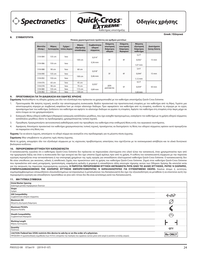



# **Οδηγίες χρήσης**

**Greek / Ελληνικά**

## **8. ΣΥΜΒΑΤΟΤΗΤΑ**

#### **Πίνακας χαρακτηριστικών προϊόντος και αριθµών μοντέλων**

| Μοντέλο<br>(Αναφ.) | Μήκος<br>λειτουργίας | Σχήμα/<br>τύπος άκρου | Μήκος<br>υδρόφιλης<br>επικάλυψης | Συμβατότητα<br>οδηγού<br>σύρματος | Ελάχιστη<br>εσωτερική<br>διάμετρος<br>οδηγού | Ελάχιστη<br>εσωτερική<br>διάμετρος<br>θηκαριού | Μέγιστη<br>εξωτερική<br>διάμετρος<br>καθετήρα | Διαστήματα<br>ζώνης δείκτη |  |
|--------------------|----------------------|-----------------------|----------------------------------|-----------------------------------|----------------------------------------------|------------------------------------------------|-----------------------------------------------|----------------------------|--|
| 518-084            | 135 cm               | Ίσιο                  | 100 cm                           | 0,014''                           | 5F                                           | 4F                                             | 3,2F<br>0.042''                               | 15 mm                      |  |
| 518-086            | 150 cm               | Ίσιο                  |                                  | $0.36$ mm                         |                                              |                                                |                                               | $1.07$ mm                  |  |
| 518-088            | 90 cm                | Ίσιο                  | 60 cm                            | 0.018''                           |                                              |                                                | 3,4F                                          |                            |  |
| 518-090            | 135 cm               | Ίσιο                  |                                  |                                   | 5F                                           | 4F                                             | 0.044''                                       | $15 \, \text{mm}$          |  |
| 518-092            | $150 \text{ cm}$     | Ίσιο                  | $100 \text{ cm}$                 | $0.46$ mm                         |                                              |                                                |                                               | $1.12 \text{ mm}$          |  |
| 518-076            | 65 cm                | Ίσιο                  | 45 cm                            |                                   |                                              |                                                | 4,5F                                          |                            |  |
| 518-078            | 90 cm                | Ίσιο                  | 70 cm                            | 0,035''                           | <b>AEN</b>                                   | 5F                                             | 0.059''                                       | 50 mm                      |  |
| 518-080            | 135 cm               | Ίσιο                  | 115 cm                           | $0.89$ mm                         | ΔΙΑΤΙΘΕΤΑΙ                                   |                                                |                                               |                            |  |
| 518-082            | 150 cm               | Ίσιο                  | 130 cm                           |                                   |                                              |                                                | 1.50 mm                                       |                            |  |

## **9. ΠΡΟΕΤΟΙΜΑΣΙΑ ΓΙΑ ΤΗ ΔΙΑΔΙΚΑΣΙΑ ΚΑΙ ΟΔΗΓΙΕΣ ΧΡΗΣΗΣ**

**Σηµείωση:** Ακολουθήστε τις οδηγίες χρήσης για όλο τον εξοπλισμό που πρόκειται να χρησιμοποιηθεί με τον καθετήρα υποστήριξης Quick-Cross Extreme.

- 1. Προετοιμασία: Με άσηπτη τεχνική, ανοίξτε την αποστειρωμένη συσκευασία. Βγάλτε προσεκτικά την προστατευτική στεφάνη με τον καθετήρα από τη θήκη. Γεμίστε μια αποστειρωμένη σύριγγα με συμβατική ασφάλεια luer με στείρο αλατούχο διάλυμα. Πριν αφαιρέσετε τον καθετήρα από τη στεφάνη, συνδέστε τη σύριγγα με το εγγύς προσάρτημα luer του καθετήρα, ξεπλύνετε τον καθετήρα και αφήστε το αλατούχο διάλυμα να γεμίσει τη στεφάνη. Αφήστε τον καθετήρα στη στεφάνη στην άκρη μέχρι να είστε έτοιμοι να τον χρησιμοποιήσετε.
- 2. Εισαγωγή: Μέσω οδηγού καθετήρα ή θηκαριού εισαγωγής κατάλληλου μεγέθους, που έχει εισαχθεί προηγουμένως, εισαγάγετε τον καθετήρα με τη χρήση οδηγού σύρματος κατάλληλου μεγέθους (δείτε τις προδιαγραφές), χρησιμοποιώντας τυπική τεχνική.
- 3. Προώθηση: Χρησιμοποιήστε ακτινοσκοπική καθοδήγηση κατά την προώθηση του καθετήρα στην επιθυμητή θέση εντός του αγγειακού συστήματος.
- 4. Αφαίρεση: Αποσύρετε προσεκτικά τον καθετήρα χρησιμοποιώντας τυπική τεχνική, προσέχοντας να διατηρήσετε τη θέση του οδηγού σύρματος εφόσον αυτό προορίζεται να παραμείνει στη θέση του.

**Έγχυση:** Για να κάνετε έγχυση, αποσύρετε το οδηγό σύρμα και ανατρέξτε στις προδιαγραφές για τη μέγιστη πίεση έγχυσης.

**Σηµείωση:** Μην υπερβαίνετε τις μέγιστες τιμές πίεσης έγχυσης.

Μετά τη χρήση, απορρίψτε όλο τον εξοπλισμό σύμφωνα με τις ισχύουσες προβλεπόμενες απαιτήσεις που σχετίζονται με τα νοσοκομειακά απόβλητα και τα υλικά δυνητικού βιολογικού κινδύνου.

## **10. ΠΕΡΙΟΡΙΣΜΕΝΗ ΕΓΓΥΗΣΗ ΤΟΥ ΚΑΤΑΣΚΕΥΑΣΤΗ**

Ο κατασκευαστής εγγυάται ότι ο καθετήρας Quick-Cross Extreme δεν πρόκειται να παρουσιάσει ελαττώματα στο υλικό ή/και την κατασκευή, όταν χρησιμοποιείται πριν από την ημερομηνία λήξης και όταν η συσκευασία δεν έχει ανοιχτεί και δεν έχει υποστεί ζημιά αμέσως πριν από τη χρήση. Η ευθύνη του κατασκευαστή σύμφωνα με την παρούσα εγγύηση περιορίζεται στην αντικατάσταση ή την επιστροφή χρημάτων της τιμής αγοράς για οποιοδήποτε ελαττωματικό καθετήρα Quick-Cross Extreme. Ο κατασκευαστής δεν θα είναι υπεύθυνος για ακούσιες, ειδικές ή αποθετικές ζημίες που προκύπτουν από τη χρήση του καθετήρα Quick-Cross Extreme. Ζημιά στον καθετήρα Quick-Cross Extreme που προκαλείται από κακή μεταχείριση, τροποποίηση, εσφαλμένη φύλαξη ή χειρισμό ή οποιαδήποτε άλλη αποτυχία τήρησης αυτών των Οδηγιών Χρήσης θα αποτελεί αιτία για την ακύρωση της παρούσας περιορισμένης εγγύησης. **Η ΠΑΡΟΥΣΑ ΠΕΡΙΟΡΙΣΜΕΝΗ ΕΓΓΥΗΣΗ ΑΝΤΙΚΑΘΙΣΤΑ ΡΗΤΑ ΟΛΕΣ ΤΙΣ ΑΛΛΕΣ ΕΓΓΥΗΣΕΙΣ, ΡΗΤΕΣ Ή ΣΙΩΠΗΡΕΣ, ΣΥΜΠΕΡΙΛΑΜΒΑΝΟΜΕΝΗΣ ΤΗΣ ΣΙΩΠΗΡΗΣ ΕΓΓΥΗΣΗΣ ΕΜΠΟΡΕΥΣΙΜΟΤΗΤΑΣ Ή ΚΑΤΑΛΛΗΛΟΤΗΤΑΣ ΓΙΑ ΣΥΓΚΕΚΡΙΜΕΝΟ ΣΚΟΠΟ.** Κανένα άτομο ή οντότητα, συμπεριλαμβανομένων οποιωνδήποτε εξουσιοδοτημένων αντιπροσώπων ή μεταπωλητών του Κατασκευαστή δεν έχει την εξουσιοδότηση να μεταθέσει ή να επεκτείνει αυτή την περιορισμένη εγγύηση και οποιαδήποτε προσπάθεια να γίνει κάτι τέτοιο δεν θα είναι εκτελέσιμη κατά του Κατασκευαστή.

## **11. ΜΗ ΤΥΠΙΚΑ ΣΥΜΒΟΛΑ**

| <b>Distal Marker Spacing</b>                                                                                                   |                 |
|--------------------------------------------------------------------------------------------------------------------------------|-----------------|
| Διάστημα μεταξύ περιφερικών δεικτών                                                                                            |                 |
| Shape                                                                                                                          |                 |
| Σχήμα                                                                                                                          |                 |
| <b>GW Compatibility</b>                                                                                                        | $\leftarrow$ GW |
| Συμβατότητα οδηγού σύρματος                                                                                                    |                 |
| <b>Maximum OD</b>                                                                                                              |                 |
| Μέγιστη εξωτερική διάμετρος                                                                                                    |                 |
| <b>Maximum PSI/kPa</b>                                                                                                         |                 |
| Μέγιστο PSI/kPa                                                                                                                |                 |
| <b>Sheath Compatibility</b>                                                                                                    |                 |
| Συμβατότητα θηκαριού                                                                                                           |                 |
| <b>Working Length</b>                                                                                                          |                 |
| Μήκος λειτουργίας                                                                                                              |                 |
| Quantity                                                                                                                       | QTY             |
| Ποσότητα                                                                                                                       |                 |
| CAUTION: Federal law (USA) restricts this device to sale by or on the order of a physician.                                    | <b>Rx ONL</b>   |
| ΠΡΟΣΟΧΗ: Η ομοσπονδιακή νομοθεσία (των Η.Π.Α.) επιτρέπει την πώληση του οργάνου αυτού μόνο από ιατρό ή κατόπιν εντολής ιατρού. |                 |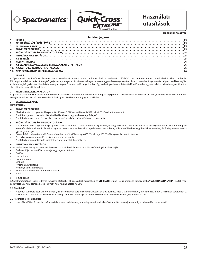



## **Használati utasítások**

## **Hungarian / Magyar**

## **Tartalomjegyzék**

## **1. LEÍRÁS**

A Spectranetics Quick-Cross Extreme támasztókatéterek intravascularis katéterek. Ezek a katéterek különböző hosszméretekben és csúcskialakításokban kaphatók. Mindegyik modell rendelkezik 3 sugárfogó jelzéssel, amelyek a distalis száron helyezkednek el egyenlő távolságban, és az érrendszeren belüli geometriai helyzet becslését segítik. A distalis sugárfogó jelzés a distalis katétervéghez képest 3 mm-en belül helyezkedik el. Egy szabványos luer csatlakozó található minden egyes modell proximalis végén. A katéter síkos, hidrofil bevonattal rendelkezik.

## **2. FELHASZNÁLÁSI JAVALLATOK**

A Quick-Cross Extreme támasztókatéterek vezetik és tartják a vezetődrótot a koronária-keringési vagy perifériás érrendszerbe való behatolás során, lehetővé teszik a vezetődrótok cseréjét, és módot biztosítanak a sóoldatok és diagnosztikai kontrasztanyagok beadására.

## **3. ELLENJAVALLATOK**

Nem ismertek.

### **4. FIGYELMEZTETÉSEK**

- Maximális infúziós nyomás: **300 psi** a 0,014"-es és 0,018"-es katéterek és **500 psi** a 0,035 "-es katéterek esetén.
- A katéter egyszer használatos. **Ne sterilizálja újra és/vagy ne használja fel újra!**
- A katétert csak percutan és vascularis beavatkozások elvégzésében jártas orvos használja!

## **5. ELŐVIGYÁZATOSSÁGI MEGFONTOLÁSOK**

- NE sterilizálja újra vagy használja újra ezt az eszközt, mert ez csökkentheti a teljesítményét, vagy növelheti a nem megfelelő újrafeldolgozás következtében létrejövő keresztfertőzés kockázatát! Ennek az egyszer használatos eszköznek az újrafelhasználása a beteg súlyos sérüléséhez vagy halálához vezethet, és érvénytelenné teszi a gyártó garanciáját.
- Száraz, hűvös helyen tartandó. Óvja a közvetlen napfénytől és magas (55 °C-nál vagy 131 °F-nál magasabb) hőmérséklettől.
- Az eszköz vagy a csomagolás sérülése esetén ne használja!
- A katétert a csomagoláson feltüntetett "Lejárati idő" előtt használja fel.

## **6. NEMKÍVÁNATOS HATÁSOK**

- Az ér katéterezése és/vagy a vascularis beavatkozás többek között az alábbi szövődményeket okozhatják:
- Ér dissectiója, perforatiója, rupturája vagy teljes elzáródása
- **Fertőzés**
- Haematoma
- Instabil angina
- Embolia
- Hypotonia/hypertonia
- Acut myocardialis infarctus
- Ritmuszavar, beleértve a kamrafibrillációt is
- Halál

## **7. KISZERELÉS**

A Spectranetics Quick-Cross Extreme támasztókatétereket etilén-oxiddal sterilizálták, és **STERILEN** kerülnek forgalomba. Az eszközöket **EGYSZERI HASZNÁLATRA** jelölték meg és tervezték, és nem sterilizálhatóak és/vagy nem használhatóak fel újra!

#### **7.1 Sterilizáció**

• A termék sterilitása csak akkor garantált, ha a csomagolás zárt és sértetlen. Használat előtt tekintse meg a steril csomagot, és ellenőrizze, hogy a lezárások sértetlenek-e. Ne használja a katétert, ha a csomagolás épsége sérült! Ne használja a katétert a csomagolás címkéjén található "Lejárati idő"-n túl!

#### **7.2 Használat előtti ellenőrzés**

• Használat előtt az összes használandó felszerelést tekintse meg az esetleges sérülések ellenőrzésére. Ne használjon semmilyen felszerelést, ha az sérült!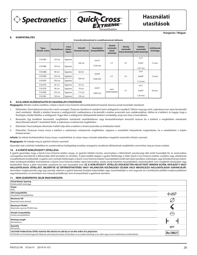



**Hungarian / Magyar**

## **8. KOMPATIBILITÁS**

#### **A termék jellemzőinek és modellszámainak táblázata**

| <b>Típus</b><br>(hivatk. szám) | <b>Munkahossz</b> | Csúcs<br>alakja/<br>típusa | <b>Hidrofil</b><br>bevonat hossza | Vezetődrót-<br>kompatibilitás | Vezető<br>minimális<br>belső<br>átmérője | <b>Hüvely</b><br>minimális<br>belső átmérője | Katéter<br>maximális<br>külső átmérője | Jelölősávok<br>távolsága |
|--------------------------------|-------------------|----------------------------|-----------------------------------|-------------------------------|------------------------------------------|----------------------------------------------|----------------------------------------|--------------------------|
| 518-084                        | 135 cm            | Egyenes                    |                                   | 0,014''                       |                                          |                                              | 3,2 F                                  |                          |
| 518-086                        | 150 cm            | Egyenes                    | 100 cm                            | $0.36$ mm                     | 5 F                                      | 4 F                                          | 0.042''<br>1.07 mm                     | 15 mm                    |
| 518-088                        | 90 cm             | Egyenes                    | 60 cm                             |                               |                                          |                                              | 3,4F                                   |                          |
| 518-090                        | 135 cm            | Egyenes                    |                                   | 0,018''                       | 5F                                       | 4F                                           | 0.044''                                | 15 mm                    |
| 518-092                        | 150 cm            | Egyenes                    | 100 cm                            | $0.46$ mm                     |                                          |                                              | 1,12 mm                                |                          |
| 518-076                        | 65 cm             | Egyenes                    | 45 cm                             |                               |                                          |                                              | 4.5 F                                  |                          |
| 518-078                        | 90 cm             | Egyenes                    | 70 cm                             | 0.035''                       | nem                                      |                                              |                                        |                          |
| 518-080                        | 135 cm            | Egyenes                    | 115 cm                            | $0.89$ mm                     | alkalmazható                             | 5 F                                          | 0,059''                                | 50 mm                    |
| 518-082                        | 150 cm            | Egyenes                    | 130 cm                            |                               |                                          |                                              | 1.50 mm                                |                          |

## **9. AZ ELJÁRÁS ELŐKÉSZÜLETEI ÉS HASZNÁLATI UTASÍTÁSOK**

**Megjegyzés:** Minden eszköz esetében, melyet a Quick-Cross Extreme támasztókatéterrel használ, kövesse annak használati utasításait.

- 1. Előkészítés: Steril eljárással nyissa fel a steril csomagot. Óvatosan távolítsa el a katétert tartó védőgyűrűt a tasakból. Töltsön meg egy steril, szabványos luer-záras fecskendőt steril sóoldattal. Mielőtt a katétert levenné a védőgyűrűről, csatlakoztassa a fecskendőt a katéter proximális luer-csatlakozójához, öblítse át a katétert, és hagyja, hogy a ziológiás sóoldat feltöltse a védőgyűrűt. Tegye félre a védőgyűrűn elhelyezkedő ketétert mindaddig, amíg nem kész a használatára.
- 2. Bevezetés: Egy korábban bevezetett, megfelelően méretezett vezetőkatéteren vagy bevezetőhüvelyen keresztül vezesse be a katétert a megfelelően méretezett (lásd "Műszaki adatok") vezetődrót felett, a szabványos módszernek megfelelően.
- 3. Előretolás: Fluoroszkópiás ellenőrzés mellett tolja előre a katétert a kívánt pozícióba az érhálózaton belül.
- 4. Eltávolítás: Óvatosan húzza vissza a katétert a szabványos módszernek megfelelően, vigyázva a vezetődrót helyzetének megtartására, ha a vezetődrótot a helyén kívánja tartani.

**Infúzió:** Az infúzió kivitelezéséhez húzza vissza a vezetődrótot, és nézze meg a műszaki adatokban megadott maximális infúziós nyomást.

**Megjegyzés:** Ne haladja meg az ajánlott infúziós nyomást!

Használat után a kórházi hulladékra és a potenciálisan biológiailag veszélyes anyagokra vonatkozó előírásoknak megfelelően semmisítse meg az összes eszközt.

## **10. A GYÁRTÓ KORLÁTOZOTT JÓTÁLLÁSA**

A gyártó garantálja, hogy a Quick-Cross Extreme katéter anyag- és gyártási hibától mentes, amennyiben a feltüntetett szavatossági időn belül használják fel, és amennyiben csomagolása közvetlenül a felhasználás előtt bontatlan és sértetlen. A jelen jótállás alapján a gyártó felelőssége a hibás Quick-Cross Extreme katéter cseréjére vagy vételárának visszafizetésére korlátozódik. A gyártó nem vonható felelősségre a Quick-Cross Extreme katéter használatából eredő bármilyen járulékos, különleges vagy következményes kárért. Jelen korlátozott jótállást érvényteleníti a Quick-Cross Extreme katéter olyan károsodása, amely annak helytelen használatából, módosításából, nem megfelelő tárolásából vagy kezeléséből, illetve a jelen használati utasítások be nem tartásából ered. **EZ A KORLÁTOZOTT JÓTÁLLÁS KIFEJEZETTEN HELYETTESÍT MINDEN EGYÉB, KIFEJEZETT VAGY HALLGATÓLAGOS JÓTÁLLÁST, BELEÉRTVE AZ ÉRTÉKESÍTHETŐSÉG VAGY VALAMILYEN KÜLÖNLEGES CÉLNAK VALÓ MEGFELELÉS HALLGATÓLAGOS GARANCIÁJÁT.** Semmilyen magánszemély vagy jogi személy, ideértve a gyártó bármely hivatalos képviselőjét vagy viszonteladóját is, nem jogosult ezt a korlátozott jótállást meghosszabbítani vagy kiterjeszteni, és semmilyen erre irányuló próbálkozás nem érvényesíthető a gyártóval szemben.

#### **11. NEM SZABVÁNYOS JELEK MAGYARÁZATA**

| <b>Distal Marker Spacing</b>                                                                                                                      |                              |
|---------------------------------------------------------------------------------------------------------------------------------------------------|------------------------------|
| Distalis jelölő távolsága                                                                                                                         |                              |
| Shape                                                                                                                                             |                              |
| Alak                                                                                                                                              |                              |
| <b>GW Compatibility</b>                                                                                                                           | $\frac{1}{1 \text{ Max OD}}$ |
| Vezetődrót-kompatibilitás                                                                                                                         |                              |
| <b>Maximum OD</b>                                                                                                                                 |                              |
| Maximális külső átmérő                                                                                                                            |                              |
| l Maximum PSI/kPa                                                                                                                                 |                              |
| Maximális nyomás PSI/kPa-ban                                                                                                                      |                              |
| <b>Sheath Compatibility</b>                                                                                                                       |                              |
| Hüvely-kompatibilitás                                                                                                                             |                              |
| <b>Working Length</b>                                                                                                                             |                              |
| Munkahossz                                                                                                                                        |                              |
| Quantity                                                                                                                                          |                              |
| Mennyiség                                                                                                                                         | QTY                          |
| CAUTION: Federal law (USA) restricts this device to sale by or on the order of a physician.                                                       | <b>Rx ONLY</b>               |
| FIGYELEM: Az Amerikai Egyesült Államok szövetségi törvényei értelmében ez az eszköz kizárólag orvos által vagy orvosi rendelvényre értékesíthető. |                              |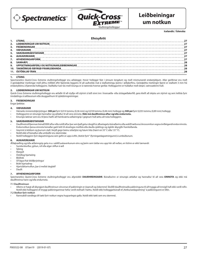



## **Leiðbeiningar um notkun**

### **Icelandic / Íslenska**

## **Efnisyfirlit**

## **1. LÝSING**

Spectranetics Quick-Cross Extreme stuðningsholleggir eru æðaleggir. Þessir holleggir fást í ýmsum lengdum og með mismunandi endastykkjum. Allar gerðirnar eru með 3 geislaþéttar merkingar með jöfnu millibili eftir fjærenda leggsins til að auðvelda mat á staðsetningu þeirra í æðakerfinu. Geislaþétta merkingin fjærst er staðsett 3 mm frá endastykkinu á fjærenda holleggsins. Staðlaður luer-lás með ístungu er á nærenda hverrar gerðar. Holleggurinn er húðaður með sleipri, vatnssækinni húð.

## **2. LEIÐBEININGAR UM NOTKUN**

Quick-Cross Extreme stuðningsholleggir eru ætlaðir til að styðja við stýrivír á leið sinni inn í kransæða- eða útslagæðakerfið, gera kleift að skipta um stýrivír og sem leiðsla fyrir inndælingu á saltlausnum eða skuggaefnum til sjúkdómsgreiningar.

## **3. FRÁBENDINGAR**

Engar þekktar.

## **4. VIÐVARANIR**

- Hámarks innrennslisþrýstingur: **300 psi** fyrir 0,014 tommu (0,36 mm) og 0,018 tommu (0,46 mm) holleggi og **500 psi** fyrir 0,035 tommu (0,89 mm) holleggi.
- Holleggurinn er einungis hannaður og ætlaður til að vera einnota. **Ekki má dauðhreinsa aftur og/eða endurnota.**
- Einungis læknar sem eru til þess hæfir að framkvæma æðainngrip í gegnum húð ættu að nota hollegginn.

## **5. VARÚÐARRÁÐSTAFANIR**

- Dauðhreinsið þennan búnað EKKI aftur eða notið aftur þar sem það getur dregið úr afkastagetu búnaðarins eða aukið hættuna á krosssmitun vegna óviðeigandi endurvinnslu. Endurnotkun þessa einnota búnaðar gæti leitt til alvarlegra meiðsla eða dauða sjúklings og ógildir ábyrgðir framleiðanda.
- Geymist á köldum og þurrum stað. Verjið gegn beinu sólarljósi og háum hita (hærri en 55° C eða 131° F).
- Notið ekki ef búnaður eða umbúðir eru skemmdar.
- Notið hollegginn fyrir dagsetninguna sem gefin er upp á eftir "Notist fyrir" (fyrningardagsetningunni) á umbúðunum.

## **6. AUKAVERKANIR**

Æðaþræðing og/eða æðainngrip geta m.a. valdið aukaverkunum eins og þeim sem taldar eru upp hér að neðan, en listinn er ekki tæmandi:

Sundurskurður, götun, rof eða alger stíflun á æð

- **Sýking**
- Margúll
- Óstöðug hjartaöng
- Blóðrek
- Of lágur/hár blóðþrýstingur
- Brátt hjartadrep
- Hjartsláttartruflun, þar á meðal sleglatif
- Dauði

## **7. AFHENDINGARFORM**

Spectranetics Quick-Cross Extreme stuðningsholleggir eru afgreiddir **DAUÐHREINSAÐIR**. Búnaðurinn er einungis ætlaður og hannaður til að vera **EINNOTA** og ekki má dauðhreinsa hann og/eða endurnota.

#### **7.1 Dauðhreinsun**

Aðeins er hægt að ábyrgjast dauðhreinsun vörunnar ef pakkningin er óopnuð og óskemmd. Skoðið dauðhreinsaða pakkninguna til að tryggja að innsigli hafi ekki verið rofin. Notið ekki hollegginn ef öryggi pakkningarinnar hefur verið stofnað í hættu. Notið ekki holleggjarbúnað ef "Notkunardagsetning" á pakkningunni er liðin.

## **7.2 Skoðun fyrir notkun**

• Rannsakið vandlega öll tæki fyrir notkun vegna hugsanlegra galla. Notið ekki tæki sem eru skemmd.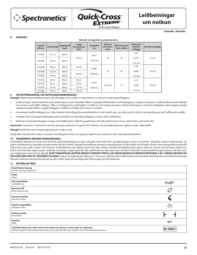



## **Leiðbeiningar um notkun**

**Icelandic / Íslenska**

## **8. SAMHÆFI**

#### **Tafla yfir vörueiginleika og tegundanúmer**

| <b>Tegund</b><br>(tilv.nr.) | Vinnulengd | Lögun/gerð<br>enda | Lengd<br>vatnssækinnar<br>húðar | Samhæfni<br>víra | <b>Minnsta</b><br>innra bvm.<br>stýriv. | Minnsta innra<br>bym. slíðurs | Mesta ytra<br>bvermál<br>holleggs | Bil milli merkinga |
|-----------------------------|------------|--------------------|---------------------------------|------------------|-----------------------------------------|-------------------------------|-----------------------------------|--------------------|
| 518-084                     | 135 cm     | Beinn              |                                 | 0.014''          |                                         |                               | 3,2F                              |                    |
| 518-086                     | 150 cm     | Beinn              | $100 \text{ cm}$                | $0.36$ mm        | 5F                                      | 4F                            | 0.042''<br>1.07 mm                | $15 \, \text{mm}$  |
| 518-088                     | 90 cm      | Beinn              | 60 cm                           | 0.018''          |                                         |                               | 3,4F                              |                    |
| 518-090                     | 135 cm     | Beinn              |                                 |                  | 5F                                      | 4F                            | 0.044''                           | $15 \, \text{mm}$  |
| 518-092                     | 150 cm     | Beinn              | 100 cm                          | $0.46$ mm        |                                         |                               | $1.12 \text{ mm}$                 |                    |
| 518-076                     | 65 cm      | Beinn              | 45 cm                           |                  |                                         |                               | 4,5F                              |                    |
| 518-078                     | 90 cm      | Beinn              | 70 cm                           | 0.035''          | Á ekki við                              | 5F                            | 0.059''                           | 50 mm              |
| 518-080                     | 135 cm     | Beinn              | 115 cm                          | $0.89$ mm        |                                         |                               |                                   |                    |
| 518-082                     | 150 cm     | Beinn              | 130 cm                          |                  |                                         |                               | 1.50 mm                           |                    |

## **9. UPPSETNINGARFERLI OG NOTKUNARLEIÐBEININGAR**

**Athugið:** Fylgið notkunarleiðbeiningum alls útbúnaðar sem notaður er með Quick-Cross Extreme stuðningsholleggjum.

- 1. Undirbúningur: Opnið dauðhreinsuðu pakkninguna með smitsæfðri aðferð. Fjarlægið hlífðarhólkinn með holleggnum varlega úr pokanum. Fyllið dauðhreinsaða staðlaða luer-sprautu með sæfðri saltlausn. Áður en holleggurinn er fjarlægður úr hólknum skal tengja sprautuna við luer-festinguna á nærenda holleggsins, skola legginn og láta saltlausnina fylla hólkinn. Leggið hollegginn í hólknum til hliðar þar til hann er notaður.
- 2. Innsetning: Þræðið hollegginn inn í áður ífærðan stýrihollegg eða undanfaraslíður af réttri stærð, utan um rétta stærð af stýrivír (sjá tæknilýsingu) með hefðbundinni aðfer.
- 3. Þræðing: Nota skal gegnumlýsingarbúnað til aðstoðar við að þræða hollegginn á réttan stað í æðakerfinu.
- 4. Brottnám: Fjarlægið hollegginn varlega með hefðbundinni aðferð og gætið þess að halda stýrivírnum á sínum stað ef hann á að verða eftir.

Innrennsli: Innrennsli er framkvæmt með því að draga stýrivírinn út og fara eftir hámarks innrennslisþrýstingi sem gefinn er upp í tæknistaðli.

**Athugið:** Notið ekki meiri innrennslisþrýsting en mælt er með.

Fargið öllum búnaði eftir notkun í samræmi við viðeigandi kröfur um úrgang á sjúkrahúsum og efnum með mögulega lífsýnahættu.

## **10. TAKMÖRKUÐ ÁBYRGÐ FRAMLEIÐANDA**

Framleiðandi ábyrgist að Quick-Cross Extreme stuðningsholleggir séu lausir við galla hvað varðar efni og frágang þegar varan er notuð fyrir uppgefinn "síðasta notkunardag" og þegar umbúðirnar eru óopnaðar og óskemmdar rétt fyrir notkun. Ábyrgð framleiðanda samkvæmt ábyrgð þessari er takmörkuð við að skipta vörunni eða endurgreiðslu kaupverðs vegna hvers kyns galla í Quick-Cross Extreme. Framleiðandi er ekki ábyrgur fyrir hvers kyns óbeinu, sérstöku eða afleiddu tjóni vegna notkunar á Quick-Cross Extreme. Skemmd á Quick-Cross Extreme vegna rangrar notkunar, breytingar, rangrar geymslu eða meðhöndlunar, eða vegna þess að ekki er farið eftir notkunarleiðbeiningum þessum að öðru leyti, mun ógilda þessa takmörkuðu ábyrgð. **ÞESSI TAKMARKAÐA ÁBYRGÐ KEMUR Í STAÐINN FYRIR ALLAR AÐRAR BEINAR OG ÓBEINAR ÁBYRGÐIR, Þ.M.T. ÓBEINA ÁBYRGÐ UM SÖLUHÆFI EÐA HÆFI TIL ÁKVEÐINS TILGANGS**. Engum einstaklingi eða aðila, þ.m.t. hvers kyns viðurkenndum fulltrúa eða endursöluaðila framleiðanda, er heimilt að framlengja eða auka við þessa takmörkuðu ábyrgð og ekki verður hægt að framfylgja slíkri tilraun gagnvart framleiðanda.

## **11. ÓSTÖÐLUÐ TÁKN**

| <b>Distal Marker Spacing</b><br>Bil milli merkinga á fjærenda                                                                                                                                                 |               |
|---------------------------------------------------------------------------------------------------------------------------------------------------------------------------------------------------------------|---------------|
| Shape<br>Lögun                                                                                                                                                                                                |               |
| <b>GW Compatibility</b><br>Samhæfni víra                                                                                                                                                                      | P↓ GW T       |
| <b>Maximum OD</b><br>Mesta ytra þvermál                                                                                                                                                                       |               |
| <b>Maximum PSI/kPa</b><br>Hámarks PSI/kPa                                                                                                                                                                     |               |
| <b>Sheath Compatibility</b><br>Samhæfni slíðra                                                                                                                                                                |               |
| <b>Working Length</b><br>Vinnulengd                                                                                                                                                                           |               |
| Quantity<br>Fjöldi                                                                                                                                                                                            | <b>QTY</b>    |
| CAUTION Federal: law (USA) restricts this device to sale by or on the order of a physician.<br>VARÚĐ: Bandarísk alríkislög takmarka sölu á þessu tæki við sölu beint til læknis eða samkvæmt tilvísun læknis. | <b>Rx ONL</b> |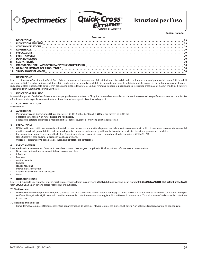



## **Istruzioni per l'uso**

## **Italian / Italiano**

#### **Sommario**

## **1. DESCRIZIONE**

I cateteri di supporto Spectranetics Quick-Cross Extreme sono cateteri intravascolari. Tali cateteri sono disponibili in diverse lunghezze e configurazioni di punta. Tutti i modelli sono provvisti di 3 marker radiopachi distanziati in modo uniforme lungo l'asse distale, in modo da agevolare la valutazione della geometria del sistema vascolare. Il marker radiopaco distale è posizionato entro 3 mm dalla punta distale del catetere. Un luer femmina standard è posizionato sull'estremità prossimale di ciascun modello. Il catetere èricoperto da un rivestimento idrofilo lubrificato.

## **2. INDICAZIONI PER L'USO**

I cateteri di supporto Quick-Cross Extreme servono per quidare e supportare un filo quida durante l'accesso alla vascolarizzazione coronarica o periferica, consentire scambi di filo e fornire un condotto per la somministrazione di soluzioni saline o agenti di contrasto diagnostici.

## **3. CONTROINDICAZIONI**

Nessuna nota.

## **4. AVVERTENZE**

- Massima pressione di infusione: **300 psi** per cateteri da 0,014 poll. e 0,018 poll. e **500 psi** per cateteri da 0,035 poll.
- Il catetere è monouso. **Non risterilizzare e/o riutilizzare.**
- L'utilizzo del catetere è riservato ai medici qualificati per l'esecuzione di interventi percutanei vascolari.

## **5. PRECAUZIONI**

- NON risterilizzare o riutilizzare questo dispositivo: tali processi possono compromettere le prestazioni del dispositivo o aumentare il rischio di contaminazione crociata a causa del ritrattamento inadeguato. Il riutilizzo di questo dispositivo monouso può causare gravi lesioni o la morte del paziente e invalida le garanzie del produttore.
- Conservare in un luogo fresco e asciutto. Evitare l'esposizione alla luce solare diretta e temperature elevate (superiori a 55 °C o 131 °F).
- Non utilizzare in caso di danni al dispositivo o alla confezione.
- Utilizzare il catetere prima della data di scadenza specificata sulla confezione.

## **6. EVENTI AVVERSI**

La cateterizzazione vascolare e/o l'intervento vascolare possono dare luogo a complicazioni incluso, a titolo informativo ma non esaustivo:

• Dissezione, perforazione, rottura o totale occlusione vascolare

- Infezione
- Ematomi
- Angina instabile
- Embolia
- Ipo/ipertensione
- Infarto miocardico acuto
- Aritmie, incluso fibrillazioni ventricolari
- **Morte**

## **7. DOTAZIONE E USO**

I cateteri di supporto Spectranetics Quick-Cross Extremevengono forniti in confezione **STERILE**. I dispositivi sono ideati e progettati **ESCLUSIVAMENTE PER ESSERE UTILIZZATI UNA SOLA VOLTA** e non devono essere risterilizzati e/o riutilizzati.

## **7.1 Sterilizzazione**

• Le condizioni sterili del prodotto vengono garantite solo se la confezione non è aperta o danneggiata. Prima dell'uso, ispezionare visualmente la confezione sterile per verificare l'integrità dei sigilli. Non utilizzare il catetere se la confezione è stata danneggiata. Non utilizzare il catetere se la "Data di scadenza" indicata sulla confezione è trascorsa.

#### **7.2 Ispezione prima dell'uso**

Prima dell'uso, esaminare attentamente l'intera apparecchiatura da usare, per rilevare la presenza di eventuali difetti. Non utilizzare l'apparecchiatura se danneggiata.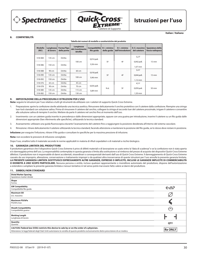



## **Istruzioni per l'uso**

**Italian / Italiano**

## **8. COMPATIBILITÀ**

## **Tabella dei numeri di modello e caratteristiche del prodotto**

| <b>Modello</b><br>(Rif.) | Lunghezza<br>di lavoro | Forma/Tipo<br>della punta | Lunghezza<br>del rivestimento<br>idrofilo | Compatibilità<br>filo quida | D. I. minimo<br>della guida | D. I. minimo<br>dell'introduttore | D. E. massimo<br>del catetere | Spaziatura della<br>fascia radiopaca |
|--------------------------|------------------------|---------------------------|-------------------------------------------|-----------------------------|-----------------------------|-----------------------------------|-------------------------------|--------------------------------------|
| 518-084                  | 135 cm                 | Diritta                   |                                           | 0,014 poll.                 |                             |                                   | 3,2F                          |                                      |
| 518-086                  | 150 cm                 | Diritta                   | 100 cm                                    | $0.36$ mm                   | 5F                          | 4F                                | 0,042 poll.<br>1.07 mm        | 15 mm                                |
| 518-088                  | 90 cm                  | Diritta                   | 60 cm                                     | 0,018 poll.                 |                             |                                   | 3,4F                          |                                      |
| 518-090                  | 135 cm                 | Diritta                   |                                           |                             | 5F                          | 4F                                | 0,044 poll.                   | 15 mm                                |
| 518-092                  | 150 cm                 | Diritta                   | 100 cm                                    | 0.46 mm                     |                             |                                   | 1,12 mm                       |                                      |
| 518-076                  | 65 cm                  | Diritta                   | 45 cm                                     |                             |                             |                                   | 4,5 F                         |                                      |
| 518-078                  | 90 cm                  | Diritta                   | 70 cm                                     | 0,035 poll.                 |                             | 5F                                |                               |                                      |
| 518-080                  | 135 cm                 | Diritta                   | 115 cm                                    | 0,89 mm                     | N.d.                        |                                   | 0,059 poll.                   | 50 mm                                |
| 518-082                  | 150 cm                 | Diritta                   | 130 cm                                    |                             |                             |                                   | 1.50 mm                       |                                      |

## **9. IMPOSTAZIONE DELLA PROCEDURA E ISTRUZIONI PER L'USO**

**Nota:** seguire le istruzioni per l'uso relative a tutti gli strumenti da utilizzare con i cateteri di supporto Quick-Cross Extreme.

- 1. Preparazione: aprire la confezione sterile adottando una tecnica asettica. Rimuovere delicatamente il cerchio protettivo con il catetere dalla confezione. Riempire una siringa luer-lock standard con soluzione salina. Prima di rimuovere il catetere dal cerchio, collegare la siringa al raccordo luer del catetere prossimale, irrigare il catetere e consentire alla soluzione salina di riempire il cerchio. Mettere da parte il catetere nel cerchio fino al momento dell'uso.
- 2. Inserimento: con un catetere guida inserito in precedenza e dalle dimensioni appropriate, oppure con una guaina per introduzione, inserire il catetere su un filo guida dalle dimensioni appropriate (fare riferimento alle specifiche), utilizzando la tecnica standard.
- 3. Avanzamento: utilizzare una guida fluoroscopica durante l'avanzamento del catetere fino a raggiungere la posizione desiderata all'interno del sistema vascolare.
- 4. Rimozione: ritirare delicatamente il catetere utilizzando la tecnica standard, facendo attenzione a mantenere la posizione del filo guida, se lo stesso deve restare in posizione.

Infusione: per eseguire l'infusione, ritirare il filo guida e consultare le specifiche per la massima pressione di infusione.

**Nota:** non eccedere le pressioni di infusione consigliate.

Dopo l'uso, smaltire tutto il materiale secondo le norme applicabili in materia di rifiuti ospedalieri e di materiali a rischio biologico.

#### **10. GARANZIA LIMITATA DEL PRODUTTORE**

Il produttore garantisce che il dispositivo Quick-Cross Extreme è privo di difetti materiali e di lavorazione se usato entro la "data di scadenza" e se la confezione non è stata aperta e/o danneggiata prima dell'uso. La responsabilità contemplata in questa garanzia si limita alla sostituzione o al rimborso del prezzo di acquisto dei dispositivi Quick-Cross Extreme difettosi. Il produttore non è responsabile di danni accidentali, straordinari o consequenziali derivanti dall'uso di Quick-Cross Extreme. Il danneggiamento di Quick-Cross Extreme causato da uso improprio, alterazione, conservazione o trattamento impropri o da qualsiasi altra inosservanza di queste istruzioni per l'uso annulla la presente garanzia limitata. **LA PRESENTE GARANZIA LIMITATA SOSTITUISCE ESPRESSAMENTE ALTRE GARANZIE, ESPRESSE O IMPLICITE, INCLUSE LE GARANZIE IMPLICITE DI COMMERCIABILITÀ O IDONEITÀ A UNO SCOPO PARTICOLARE.** Nessuna persona o entità, incluso qualsiasi rappresentante o rivenditore autorizzato del produttore, dispone dell'autorizzazione a estendere o ampliare la presente garanzia limitata e nessun tentativo in tal senso potrà mai essere fatto valere ai danni del produttore.

## **11. SIMBOLI NON STANDARD**

| <b>Distal Marker Spacing</b>                                                                                                               |                                                                               |
|--------------------------------------------------------------------------------------------------------------------------------------------|-------------------------------------------------------------------------------|
| Spaziatura marker distale                                                                                                                  |                                                                               |
| Shape                                                                                                                                      |                                                                               |
| Forma                                                                                                                                      |                                                                               |
|                                                                                                                                            |                                                                               |
| <b>GW Compatibility</b>                                                                                                                    | $\begin{array}{cc} \longleftrightarrow & GW \\ \uparrow & Max OD \end{array}$ |
| Compatibilità filo guida                                                                                                                   |                                                                               |
| <b>Maximum OD</b>                                                                                                                          |                                                                               |
| D.E. massimo                                                                                                                               |                                                                               |
|                                                                                                                                            |                                                                               |
| l Maximum PSI/kPa                                                                                                                          |                                                                               |
| PSI/kPa max                                                                                                                                |                                                                               |
|                                                                                                                                            |                                                                               |
| <b>Sheath Compatibility</b>                                                                                                                |                                                                               |
| Compatibilità guaina                                                                                                                       |                                                                               |
|                                                                                                                                            |                                                                               |
| <b>Working Length</b>                                                                                                                      |                                                                               |
|                                                                                                                                            |                                                                               |
| Lunghezza di lavoro                                                                                                                        |                                                                               |
| Quantity                                                                                                                                   |                                                                               |
| Quantità                                                                                                                                   | <b>QTY</b>                                                                    |
|                                                                                                                                            |                                                                               |
| CAUTION: Federal law (USA) restricts this device to sale by or on the order of a physician.                                                | <b>Rx ONL</b>                                                                 |
| Attenzione: le leggi federali degli Stati Uniti autorizzano la vendita di questo prodotto esclusivamente dietro prescrizione di un medico. |                                                                               |
|                                                                                                                                            |                                                                               |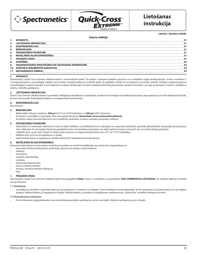



## **Lietošanas instrukcija**

## **Latvian / latviešu valoda**

#### **Satura rādītājs**

## **1. APRAKSTS**

Spectranetics Quick-Cross Extreme atbalsta katetri ir intravaskulāri katetri. Šie katetri ir pieejami dažādos garumos un ar dažādām uzgaļu konfigurācijām. Visiem modeļiem ir 3 rentgenstarojumu necaurlaidīgi marķieri, kas izvietoti vienādā attālumā uz distālā spala, lai palīdzētu noteikt to novietojumu asinsvadu sistēmā. Distālais rentgenstarojumu necaurlaidīgais marķieris atrodas 3 mm attālumā no katetra distālā gala. Uz katra modeļa proksimālā gala atrodas standarta sievišķais Luer tipa savienojums. Katetrs ir pārklāts ar slidenu, hidrofīlu pārklājumu.

### **2. LIETOŠANAS INDIKĀCIJAS**

Quick-Cross Extreme atbalsta katetri ir paredzēti vadītājstīgas ievadīšanai un atbalstam, ievadot to koronārajā vai perifērajā asinsvadā, stīgu apmaiņai, kā arī tie darbojas kā kanāls, pa kuru tiek ievadīts fizioloģiskais šķīdums vai diagnostiska kontrastviela.

## **3. KONTRINDIKĀCIJAS**

## Nav zināmas.

- **4. BRĪDINĀJUMI**
- Maksimālais infūzijas spiediens: **300 psi** 0,014" un 0,018" katetriem un **500 psi** 0,035" katetriem.
- Šis katetrs ir izstrādāts un paredzēts tikai vienreizējai lietošanai. **Nesterilizēt un/vai neizmantot atkārtoti.**
- Šo katetru drīkst izmantot tikai ārsts, kas ir kvalificēts perkutānu invazīvu vaskulāru procedūru veikšanā.

#### **5. PIESARDZĪBAS PASĀKUMI**

- Nesterilizēt un neizmantot atkārtoti šo ierīci, jo šādas darbības var pasliktināt ierīces veiktspēju vai nepareizas atkārtotas apstrādes dēļ palielināt savstarpēja piesārņojuma risku. Atkārtota šīs vienreizējai lietošanai paredzētās ierīces izmantošana pacientam var radīt nopietnu traumu vai izraisīt nāvi un anulē ražotāja garantijas.
- Uzglabāt vēsā, sausā vietā. Sargāt no tiešas saules gaismas un augstas temperatūras (virs 55°C vai 131°F) iedarbības.
- Nelietot ierīci, ja tā vai tās iepakojums ir bojāts.
- Izlietot katetru pirms uz iepakojuma norādītā "Izlietot līdz" (Izlietošanas termiņš) datuma.

#### **6. NEVĒLAMĀS BLAKUSPARĀDĪBAS**

Asinsvadu katetrizācija un/vai invazīva vaskulāra procedūra var izraisīt komplikācijas, kas ietver, bet neaprobežojas ar:

- asinsvada sieniņas atslāņošanos, perforāciju, plīsumu vai pilnīgu nosprostošanos,
- infekciju,
- hematomu,
- nestabilu stenokardiju,
- emboliju,
- hipotensiju/hipertensiju,
- akūtu miokarda infarktu,
- aritmiju, ieskaitot kambaru fibrilāciju,
- nāvi.

#### **7. PIEGĀDES VEIDS**

Spectranetics Quick-Cross Extreme atbalsta katetri tiek piegādāti **STERILI**. Ierīces ir izstrādātas un paredzētas **TIKAI VIENREIZĒJAI LIETOŠANAI**, tās nedrīkst atkārtoti sterilizēt un/vai izmantot.

### **7.1 Sterilizācija**

• Izstrādājuma sterilitāte ir garantēta tikai tad, ja iepakojums ir neatvērts un nebojāts. Pirms lietošanas vizuāli pārbaudiet sterilo iepakojumu, lai pārliecinātos, ka nav bojātas aizdares. Nelietot katetru, ja iepakojums ir bojāts. Nelietot katetru, ja beidzies uz iepakojuma marķējuma pēc "Izlietot līdz" norādītais derīguma termiņš.

#### **7.2 Pārbaude pirms lietošanas**

• Pirms lietošanas rūpīgi pārbaudiet visu izmantošanai paredzēto aprīkojumu, vai tas nav bojāts. Nelietot aprīkojumu, ja tas ir bojāts.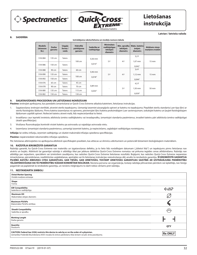



## **Lietošanas instrukcija**

**Latvian / latviešu valoda**

## **8. SADERĪBA**

#### **Izstrādājuma raksturlielumu un modeļu numuru tabula**

| <b>Modelis</b><br><i><b>(atsauces)</b></i><br>$Nr.$ ) | <b>Darba</b><br>garums | <b>Uzgaļu</b><br>forma /<br>veids | Hidrofilā<br>pārklājuma<br>garums | Saderība ar<br>vadītājstīgu | <b>Minimālais</b><br>vadītājstīgas<br>iekšējais<br>diametrs | Min. apvalka<br>iekšējais<br>diametrs | Maks, katetra<br>ārējais<br>diametrs | Attālums starp<br>markieru malām |         |  |
|-------------------------------------------------------|------------------------|-----------------------------------|-----------------------------------|-----------------------------|-------------------------------------------------------------|---------------------------------------|--------------------------------------|----------------------------------|---------|--|
| 518-084                                               | 135 cm                 | Taisns                            | $100 \text{ cm}$                  | $0.36$ mm                   | 5 F                                                         | 4F                                    | 3,2F<br>1.07 mm                      | $15 \text{ mm}$                  |         |  |
| 518-086                                               | 150 cm                 | Taisns                            |                                   | 0.014''                     |                                                             |                                       |                                      |                                  | 0.042'' |  |
| 518-088                                               | 90 cm                  | Taisns                            | 60 cm                             | 0,46 mm                     |                                                             |                                       | 3,4F                                 |                                  |         |  |
| 518-090                                               | 135 cm                 | Taisns                            |                                   |                             | 5 F                                                         | 4F                                    | $1,12$ mm                            | $15 \, \text{mm}$                |         |  |
| 518-092                                               | 150 cm                 | Taisns                            | $100 \text{ cm}$                  | 0,018''                     |                                                             |                                       | 0.044''                              |                                  |         |  |
| 518-076                                               | 65 cm                  | Taisns                            | 45 cm                             |                             |                                                             |                                       | 4,5 F                                |                                  |         |  |
| 518-078                                               | 90 cm                  | Taisns                            | 70 cm                             | $0.89$ mm                   |                                                             | 5 F                                   | 1.50 mm                              |                                  |         |  |
| 518-080                                               | 135 cm                 | Taisns                            | 115 cm                            | 0,035''                     |                                                             |                                       |                                      | 50 mm                            |         |  |
| 518-082                                               | 150 cm                 | Taisns                            | 130 cm                            |                             |                                                             |                                       | 0,059''                              |                                  |         |  |

## **9. SAGATAVOŠANĀS PROCEDŪRAI UN LIETOŠANAS NORĀDĪJUMI**

**Piezīme:** ievērojiet aprīkojuma, kas paredzēts izmantošanai ar Quick-Cross Extreme atbalsta katetriem, lietošanas instrukcijas.

- 1. Sagatavošana: ievērojot sterilitāti, atveriet sterilo iepakojumu. Uzmanīgi izņemiet aizsargājošo aptveri ar katetru no iepakojuma. Piepildiet sterilu standarta Luer tipa šļirci ar sterilu fizioloģisko šķīdumu. Pirms katetra iznemšanas no aptveres, pievienojiet šļirci katetra proksimālajam Luer savienojumam, izskalojiet katetru un ļaujiet fizioloģiskajam šķīdumam uzpildīt aptveri. Nolieciet katetru atverē malā, līdz nepieciešamībai to lietot.
- 2. Ievadīšana: caur iepriekš ievietotu atbilstoša izmēra vadītājkatetru vai ievadapvalku, izmantojot standarta paņēmienus, ievadiet katetru pāri atbilstoša izmēra vadītājstīgai (skatīt specifikācijas).
- 3. Virzīšana: fluoroskopijas kontrolē virziet katetru pa asinsvadu uz vajadzīgo asinsvada vietu.
- 4. Izņemšana: izmantojot standarta paņēmienus, uzmanīgi izņemiet katetru, ja nepieciešams, saglabājot vadītājstīgas novietojumu.

Infūzija: lai veiktu infūziju, izņemiet vadītājstīgu un skatiet maksimālā infūzijas spiediena specifikācijas.

**Piezīme:** nepārsniedziet rekomendēto infūzijas spiedienu.

Pēc lietošanas atbrīvojieties no aprīkojuma atbilstoši specifiskajām prasībām, kas attiecas uz slimnīcu atkritumiem un potenciāli bīstamiem bioloģiskajiem materiāliem.

## **10. RAŽOTĀJA IEROBEŽOTĀ GARANTIJA**

Ražotājs garantē, ka Quick-Cross Extreme nav materiālu un izgatavošanas defektu, ja to lieto līdz norādītajam datumam ("Izlietot līdz") un iepakojums pirms lietošanas nav atvērts un bojāts. Atbilstoši šai garantijai ražotājs ir atbildīgs tikai par jebkura defektīva Quick-Cross Extreme nomaiņu vai pirkuma iegādes cenas atlīdzināšanu. Ražotājs nav atbildīgs par nejaušiem, speciāliem vai izrietošiem zaudējumu, kas radušies Quick-Cross Extreme lietošanas rezultātā. Bojājumi, kas radušies Quick-Cross Extreme nepareizas izmantošanas, pārveidošanas, neatbilstošas uzglabāšanas, apstrādes vai šīs lietošanas instrukcijas neievērošanas dēļ, anulēs šo ierobežoto garantiju. **ŠĪ IEROBEŽOTĀ GARANTIJA PILNĪBĀ AIZSTĀJ JEBKURAS CITAS GARANTIJAS, GAN TIEŠĀS, GAN IZRIETOŠĀS, TOSTARP IZRIETOŠĀS GARANTIJAS SAISTĪBĀ AR IZSTRĀDĀJUMA PIEMĒROTĪBU TĀLĀKPĀRDOŠANAI VAI TĀ PIEMĒROTĪBU KĀDAM KONKRĒTAM NOLŪKAM.** Neviena persona vai organizācija, tostarp ražotāja pilnvarotais pārstāvis vai izplatītājs, nav tiesīgs pagarināt vai paplašināt šo ierobežoto garantiju, un neviens mēģinājums to darīt nebūs vēršams pret ražotāju.

## **11. NESTANDARTA SIMBOLI**

| <b>Distal Marker Spacing</b><br>Distālā marķiera atstarpe                                                                                                                                               |                            |
|---------------------------------------------------------------------------------------------------------------------------------------------------------------------------------------------------------|----------------------------|
| Shape<br>Forma                                                                                                                                                                                          |                            |
| <b>GW Compatibility</b><br>Saderība ar vadītājstīgu                                                                                                                                                     | $\leftarrow$ GW $\bigcirc$ |
| <b>Maximum OD</b><br>Maksimālais ārējais diametrs                                                                                                                                                       |                            |
| <b>Maximum PSI/kPa</b><br>Maksimālās PSI/kPa vērtības                                                                                                                                                   |                            |
| <b>Sheath Compatibility</b><br>Saderība ar apvalku                                                                                                                                                      |                            |
| <b>Working Length</b><br>Darba garums                                                                                                                                                                   |                            |
| Quantity<br>Daudzums                                                                                                                                                                                    | QTY                        |
| CAUTION: Federal law (USA) restricts this device to sale by or on the order of a physician.<br>Uzmanību! Federālā likumdošana (ASV) nosaka šīs ierīces pārdošanu tikai ārstam vai pēc ārsta pasūtījuma. | <b>Rx ON</b>               |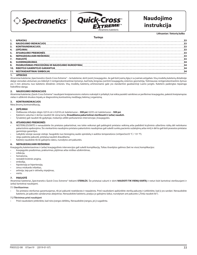



## **Naudojimo instrukcija**

#### **Lithuanian / lietuvių kalba**

**Turinys**

## **1. APRAŠAS**

Atraminiai kateteriai "Spectranetics Quick-Cross Extreme" – tai kateteriai, skirti įvesti į kraujagysles. Jie gali būti įvairių ilgių ir su įvairiais antgaliais. Visų modelių kateterių distalinėje dalyje vienodais atstumais yra išdėstyti 3 rentgenokontrastiniai žymenys, kad būtų lengviau įvertinti kraujagyslių sistemos geometriją. Tolimiausias rentgenokontrastinis žymuo yra 3 mm atstumu nuo kateterio distalinės viršūnės. Visų modelių kateterių artimesniame gale yra standartinė gaubiančioji Luerio jungtis. Kateteris padengtas tepamąja hidrofiline danga.

#### **2. NAUDOJIMO INDIKACIJOS**

Atraminiai kateteriai "Quick-Cross Extreme" naudojami kreipiamosioms vieloms nukreipti ir prilaikyti, kai reikia pasiekti vainikines ar periferines kraujagysles, pakeisti kreipiamąsias vielas ir užtikrinti druskos tirpalų ar diagnostinių kontrastinių medžiagų tiekimą į organizmą.

#### **3. KONTRAINDIKACIJOS**

Nėra žinomų kontraindikacijų.

### **4. ĮSPĖJIMAI**

- Didžiausias infuzijos slėgis: 0,014 col. ir 0,018 col. kateteriuose **300 psi**; 0,035 col. kateteriuose **500 psi**.
- Kateteris sukurtas ir skirtas naudoti tik vieną kartą. **Draudžiama pakartotinai sterilizuoti ir (arba) naudoti.**
- Šį kateterį gali naudoti tik gydytojai, mokantys atlikti perkutanines intervencijas į kraujagysles.

### **5. ATSARGUMO PRIEMONĖS**

- NESTERILIZUOKITE ir nenaudokite šio prietaiso pakartotinai, nes tokie veiksmai gali pabloginti prietaiso veikimą arba padidinti kryžminio užteršimo riziką dėl netinkamo pakartotinio apdorojimo. Šio vienkartinio naudojimo prietaiso pakartotinis naudojimas gali sukelti sunkių paciento sužalojimų arba mirtį ir dėl to gali būti prarastos prietaiso gamintojo garantijos.
- Laikykite vėsioje sausoje vietoje. Saugokite nuo tiesioginių saulės spindulių ir aukštos temperatūros (viršijančios55 °C / 131 °F).
- Jeigu pažeista pakuotė, prietaisą naudoti draudžiama.
- Kateterį naudokite tik iki galiojimo datos, nurodytos ant pakuotės.

#### **6. NEPAGEIDAUJAMI REIŠKINIAI**

- Kraujagyslių kateterizavimas ir (arba) kraujagyslinės intervencijos gali sukelti komplikacijų. Toliau išvardytos galimos (bet ne visos) komplikacijos:
- kraujagyslės pradūrimas, prakiurimas, plyšimas arba visiškas užsikimšimas,
- infekcija,
- hematoma,
- nestabili krūtinės angina,
- embolija,
- hipotenzija ar hipertenzija,
- ūmus miokardo infarktas,
- aritmija, taip pat ir skilvelių virpėjimas,
- mirtis.

#### **7. PAKUOTĖ**

Atraminiai kateteriai "Spectranetics Quick-Cross Extreme" tiekiami STERILŪS. Šie prietaisai sukurti ir skirti NAUDOTI TIK VIENĄ KARTĄ ir neturi būti kartotinai sterilizuojami ir (arba) kartotinai naudojami.

## **7.1 Sterilizavimas**

• Šio prietaiso sterilumas garantuojamas, tik jei pakuotė neatidaryta ir nepažeista. Prieš naudodami apžiūrėkite sterilią pakuotę ir įsitikinkite, kad ji yra sandari. Nenaudokite kateterio, jei pakuotės sandarumas abejotinas. Nenaudokite kateterio, praėjus jo galiojimo laikui, nurodytam ant pakuotės ("Tinka naudoti iki").

#### **7.2 Tikrinimas prieš naudojant**

• Prieš naudodami įsitikinkite, kad nėra įrangos defektų. Nenaudokite įrangos, jei ji sugadinta.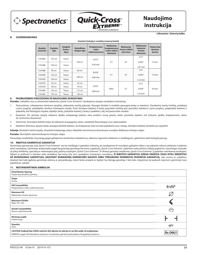



## **Naudojimo instrukcija**

**Lithuanian / lietuvių kalba**

## **8. SUDERINAMUMAS**

#### **Gaminio funkcijų ir modelių numerių lentelė**

| <b>Modelis</b><br>(nuorod.) | <b>Darbinis</b><br>ilgis | <b>Antgalio</b><br>forma /<br>tipas | <b>Hidrofilinės</b><br>dangos ilgis | <b>Kreipiamosios</b><br>vielos<br>suderinamumas | <b>Mažiausias</b><br>kreipiamosios<br>vielos vidinis<br>skersmuo | <b>Mažiausias</b><br>movos vidinis<br>skersmuo | <b>Didžiausias</b><br>kateterio<br><i>išorinis</i><br>skersmuo | <b>Tarpas tarp</b><br>žymenų<br>juostų |
|-----------------------------|--------------------------|-------------------------------------|-------------------------------------|-------------------------------------------------|------------------------------------------------------------------|------------------------------------------------|----------------------------------------------------------------|----------------------------------------|
| 518-084                     | 135 cm                   | Tiesus                              |                                     | 0.014''                                         |                                                                  |                                                | 3,2F                                                           |                                        |
| 518-086                     | 150 cm                   | <b>Tiesus</b>                       | $100 \, \text{cm}$                  | $0.36$ mm                                       | 5 F                                                              | 4 F                                            | 0,042"<br>1.07 mm                                              | $15 \text{ mm}$                        |
| 518-088                     | 90 cm                    | Tiesus                              | 60 cm                               | 0.018''                                         |                                                                  |                                                | 3,4 F                                                          |                                        |
| 518-090                     | 135 cm                   | Tiesus                              |                                     |                                                 | 5 F                                                              | 4 F                                            | 0,044"                                                         | $15 \text{ mm}$                        |
| 518-092                     | 150 cm                   | Tiesus                              | $100 \text{ cm}$                    | 0.46 mm                                         |                                                                  |                                                | $1,12 \text{ mm}$                                              |                                        |
| 518-076                     | 65 cm                    | Tiesus                              | 45 cm                               |                                                 |                                                                  |                                                | 4,5F                                                           |                                        |
| 518-078                     | 90 cm                    | Tiesus                              | 70 cm                               | 0,035''                                         |                                                                  |                                                |                                                                |                                        |
| 518-080                     | 135 cm                   | Tiesus                              | 115 cm                              | 0,89 mm                                         | Nėra                                                             | 5 F                                            | 0.059''                                                        | 50 mm                                  |
| 518-082                     | 150 cm                   | Tiesus                              | 130 cm                              |                                                 |                                                                  |                                                | 1.50 mm                                                        |                                        |

## **9. PASIRUOŠIMAS PROCEDŪRAI IR NAUDOJIMO NURODYMAI**

Pastaba. Laikykitės visų su atraminiais kateteriais "Quick-Cross Extreme" naudojamos įrangos naudojimo instrukcijų.

- 1. Pasiruošimas. Laikydamiesi sterilumo taisyklių, atidarykite sterilią pakuotę. Atsargiai išimkite iš maišelio apsauginį lanką su kateteriu. Standartinį sterilų švirkštą, pritaikytą Luerio jungčiai, pripildykite sterilaus fiziologinio tirpalo. Prieš išimdami kateterį iš lanko prijunkite švirkštą prie specialios kateterio Luerio jungties, praplaukite kateterį ir palaukite, kol fiziologinis tirpalas užpildys lanką. Įstatykite kateterį į lanką ir padėkite į šalį, kol pasiruošite naudoti.
- 2. Įterpimas. Per pirmiau įterptą reikiamo dydžio kreipiamąjį kateterį arba įvedimo movą įprastu būdu įstumkite kateterį virš tinkamo dydžio kreipiamosios vielos (žr. techninius duomenis).
- 3. Stūmimas. Stumdami kateterį tolyn iki reikiamos kraujagyslių vietos, naudokite fluoroskopą ir juo vadovaukitės.
- 4. Kateterio išėmimas. Įprastu būdu atsargiai išimkite kateterį. Jei kreipiamoji viela turi būti paliekama savo vietoje, išimdami kateterį stenkitės jos nejudinti.

**Infuzija.** Norėdami lašinti tirpalų, ištraukite kreipiamąją vielą ir laikykitės techniniuose duomenyse nurodyto didžiausio infuzijos slėgio.

**Pastaba.** Neviršykite rekomenduojamo infuzijos slėgio.

Panaudoję sunaikinkite visą įrangą pagal galiojančius konkrečius reikalavimus, taikomus ligoninės atliekoms ir medžiagoms, galinčioms kelti biologinį pavojų.

## **10. RIBOTOJI GAMINTOJO GARANTIJA**

Gamintojas garantuoja, kad "Quick-Cross Extreme" yra be medžiagų ir gamybos trūkumų, jei naudojamas iki nurodytos galiojimo datos ir jei pakuotė nebuvo atidaryta ir pažeista prieš naudojimą. Gamintojo atsakomybė pagal šią garantiją apsiriboja bet kurio sugedusio "Quick-Cross Extreme" pakeitimu arba pirkimo išlaidų grąžinimu. Gamintojas neatsako už jokią atsitiktinę, specialią ar netiesioginę žalą, patirtą naudojant "Quick-Cross Extreme". Ši ribotoji garantija netaikoma "Quick-Cross Extreme" jį pažeidus netinkamai naudojant, laikant ar prižiūrint ir keičiant arba nesilaikius bet kurių kitų šios naudojimo instrukcijos nurodymų. ŠI RIBOTOJI GARANTIJA AIŠKIAI PAKEIČIA VISAS KITAS IŠREIKŠTAS **AR NUMANOMAS GARANTIJAS, ĮSKAITANT NUMANOMĄ KOMERCINĖS NAUDOS ARBA TINKAMUMO KONKREČIAI PASKIRČIAI GARANTIJĄ.** Joks asmuo ar subjektas, įskaitant bet kokį įgaliotą gamintojo atstovą ar perpardavėją, neturi teisės pratęsti ar išplėsti šią ribotąją garantiją ir bet koks mėginimas tai padaryti neprivers gamintojo tuos pakeitimus vykdyti.

## **11. NESTANDARTINIAI SIMBOLIAI**

| <b>Distal Marker Spacing</b>                                                                                                                                                                          |                 |
|-------------------------------------------------------------------------------------------------------------------------------------------------------------------------------------------------------|-----------------|
| Tarpas tarp distalinių žymenų                                                                                                                                                                         |                 |
| Shape<br>Forma                                                                                                                                                                                        |                 |
| <b>GW Compatibility</b><br>Kreipiamosios vielos suderinamumas                                                                                                                                         | $\leftarrow$ GW |
| <b>Maximum OD</b><br>Maksimalus išorinis skersmuo                                                                                                                                                     |                 |
| <b>Maximum PSI/kPa</b><br>Maks. PSI / kPa                                                                                                                                                             |                 |
| <b>Sheath Compatibility</b><br>Movos suderinamumas                                                                                                                                                    |                 |
| <b>Working Length</b><br>Darbinis ilgis                                                                                                                                                               |                 |
| Quantity<br>Kiekis                                                                                                                                                                                    | QTY             |
| CAUTION: Federal law (USA) restricts this device to sale by or on the order of a physician.<br>DĖMESIO: pagal JAV federalinius įstatymus šis prietaisas gali būti parduodamas tik gydytojui paskyrus. | <b>Rx ONI</b>   |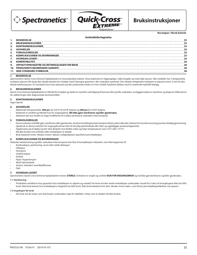



## **Bruksinstruksjoner**

#### **Norwegian / Norsk bokmål**

## **Innholdsfortegnelse**

## **1. BESKRIVELSE**

Spectranetics Quick-Cross Extreme hjelpekatetre er intravaskulære katetre. Disse katetrene er tilgjengelige i ulike lengder og med ulike spisser. Alle modeller har 3 røntgentette markører plassert likt langs den distale akselen for å hjelpe med å beregne geometri i det vaskulære systemet. Den distale røntgentett markøren er plassert innen 3 mm fra den distale kateterspissen. En standard hunn-luer plasseres på den proksimale enden av hver modell. Kateteret dekkes med et smørende hydrofilt belegg.

## **2. BRUKSINDIKASJONER**

Quick-Cross Extreme hjelpekatetre er tiltenkt for å hjelpe og støtte en styreline ved tilgang til koronar eller perifer vaskulatur, muliggjøre bytte av styreliner, og skape en tilførselsvei for saltløsninger eller diagnostiske kontrastmidler.

## **3. KONTRAINDIKASJONER**

Ingen kjente.

## **4. ADVARSLER**

- Maksimalt infusjonstrykk: **300 psi**. for 0.014" & 0.018" katetre og **500 psi** for 0.035" katetre.
- Kateteret er utviklet og tiltenkt kun for engangsbruk. **Må ikke gjen-steriliseres og/eller gjenbrukes.**
- Kateteret bør kun brukes av leger kvalifiserte til å utføre perkutane vaskulære intervensjoner.

## **5. FORHOLDSREGLER**

- Denne enheten må IKKE gjen-steriliseres eller gjenbrukes, da disse handlingene kan kompromittere ytelse eller øke risikoen for kryssforurensing grunnet uheldig gjenvinning. Gjenbruk av denne enheten for engangsbruk kan føre til alvorlig pasientskade eller død, og ugyldiggjør produsentgarantier.
- Oppbevares på et kjølig og tørt sted. Beskytt mot direkte sollys og høye temperaturer (over 55°C eller 131°F).
- Må ikke brukes hvis enheten eller emballasjen er skadet.
- Bruk kateteret innen «Brukes innen»-datoen (utløpsdatoen) spesifisert på emballasjen.

## **6. KOMPLIKASJONER OG BIVIRKNINGER**

- Vaskulær kateterisering og/eller vaskulære intervensjoner kan føre til komplikasjon inkludert, men ikke begrenset til:
- Kardisseksjon, perforering, revne eller totalt okklusjon
- Infeksjon
- Hematom
- Ustabil angina
- Emboli
- Hypo-/hypertensjon
- Akutt hjerteinfarkt
- Arytmi, inkludert ventrikkelflimmer
- Død

## **7. HVORDAN LEVERT**

Spectranetics Quick-Cross Extreme hjelpekatetre leveres **STERILE**. Enhetene er angitt og utviklet **KUN FOR ENGANGSBRUK** og må ikke gjensteriliseres og/eller gjenbrukes.

## **7.1 Sterilisering**

• Produktets sterilitet er kun garantert hvis emballasjen er uåpnet og uskadd. Før bruk må den sterile emballasjen undersøkes visuelt for å sikre at forseglingene ikke har blitt brutt. Ikke bruk kateret hvis emballasjens integritet har blitt brutt. Ikke bruk kateteret hvis dets «Brukes innen-dato», som nnes på emballasjeetiketten, har passert.

## **7.2 Inspeksjon før bruk**

• Før bruk må alt utstyr som skal brukes undersøkes nøye for defekter. Utstyr som er skadet må ikke brukes.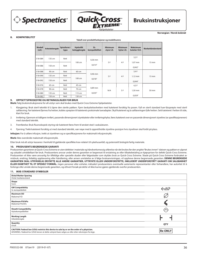



## **Bruksinstruksjoner**

**Norwegian / Norsk bokmål**

## **8. KOMPATIBILITET**

**Tabell over produktfunksjoner og modellnumre**

| <b>Modell</b><br>(ref.) | Arbeidslengde | Spissform/-<br>type | <b>Hydrofilt</b><br>belegglengde | SL-<br>kompatibilitet | <b>Minimum</b><br>styre I.D. | <b>Minimum</b><br>hylse I.D. | <b>Maksimum</b><br>kateter O.D. | Markørbåndavstand |  |
|-------------------------|---------------|---------------------|----------------------------------|-----------------------|------------------------------|------------------------------|---------------------------------|-------------------|--|
| 518-084                 | 135 cm        | Rett                | $0,36$ mm                        |                       |                              |                              | 3,2 F                           |                   |  |
| 518-086                 | 150 cm        | Rett                | 100 cm                           | 0,014''               | 5 F                          | 4 F                          | 1,07 mm<br>0,042"               | $15 \text{ mm}$   |  |
| 518-088                 | 90 cm         | Rett                | 60 cm                            |                       |                              |                              | 3,4 F                           |                   |  |
| 518-090                 | 135 cm        | Rett                |                                  | 0,46 mm               | 5 F                          | 4 F                          | $1,12 \text{ mm}$               | 15 mm             |  |
| 518-092                 | 150 cm        | Rett                | 100 cm                           | 0.018''               |                              |                              |                                 | 0,044"            |  |
| 518-076                 | 65 cm         | Rett                | 45 cm                            |                       |                              |                              | 4,5 F                           |                   |  |
| 518-078                 | 90 cm         | Rett                | 70 cm                            | 0,89 mm               | N/A                          | 5 F                          | 1,50 mm                         | 50 mm             |  |
| 518-080                 | 135 cm        | Rett                | 115 cm                           | 0,035''               |                              |                              |                                 |                   |  |
| 518-082                 | 150 cm        | Rett                | 130 cm                           |                       |                              |                              | 0.059''                         |                   |  |

## **9. OPPSETTSPROSEDYRE OG RETNINGSLINJER FOR BRUK**

**Merk:** Følg bruksinstruksjonene for alt utstyr som skal brukes med Quick-Cross Extreme hjelpekateter.

- 1. Klargjøring: Bruk steril teknikk til å åpne den sterile pakken. Fjern beskyttelseshetten med kateteret forsiktig fra posen. Fyll en steril standard luer-låssprøyte med steril saltløsning. Før kateteret fjernes fra hetten, kobles sprøyten til kateterets proksimale lueradapter. Skyll kateteret og la saltløsningen fylle hetten. Sett kateteret i hetten til side, klart for bruk.
- 2. Innføring: Gjennom et tidligere innført, passende dimensjonert styrekateter eller innføringshylse, føres kateteret over en passende dimensjonert styreline (se spesifikasjonenen) med standard teknikk.
- 3. Fremførelse: Bruk fluoroskopisk styring når kateteret føres frem til ønsket sted i vaskulaturen.
- 4. Fjerning: Trekk kateteret forsiktig ut med standard teknikk, vær nøye med å opprettholde styreline-posisjon hvis styrelinen skal forbli på plass.

Infusjon: For å utføre infusjon, trekk ut styrelinen og se spesifikasjonene for maksimalt infusjonstrykk.

**Merk:** Ikke overskride maksimalt infusjonstrykk.

Etter bruk må alt utstyr kasseres i henhold til gjeldende spesifikke krav relatert til sykehusavfall, og potensielt biologisk farlig materiale.

## **10. PRODUSENTS BEGRENSEDE GARANTI**

Produsenten garanterer at Quick-Cross Extreme er uten defekter i materiale og håndverksmessig utførelse når det brukes før den angitte "Brukes innen"-datoen og pakken er uåpnet og uskadet umiddelbart før bruk. Produsentens ansvar under denne garantien er begrenset til erstatning av eller tilbakebetaling av kjøpsprisen for defekt Quick-Cross Extreme. Produsenten vil ikke være ansvarlig for tilfeldige eller spesielle skader eller følgeskader som skyldes bruk av Quick-Cross Extreme. Skade på Quick-Cross Extreme forårsaket av misbruk, endring, feilaktig oppbevaring eller håndtering, eller annen unnlatelse av å følge bruksanvisningen, vil oppheve denne begrensede garantien. **DENNE BEGRENSEDE GARANTIEN SKAL UTRYKKELIG ERSTATTE ALLE ANDRE GARANTIER, UTTRYKTE ELLER UNDERFORSTÅTTE, INKLUDERT UNDERFORSTÅTT GARANTI OM SALGBARHET ELLER EGNETHET TIL ET SPESIELT FORMÅL.** Ingen personer eller enheter, inkludert produsentens eventuelle autoriserte representanter eller forhandlere, har autoritet til å forlenge eller utvide denne begrensede garantien, og ethvert forsøk på dette vil ikke kunne gjøres gjeldende overfor produsenten.

## **11. IKKE-STANDARD SYMBOLER**

| <b>Distal Marker Spacing</b><br>Distal markøravstand                                                                                                                                                 |                 |
|------------------------------------------------------------------------------------------------------------------------------------------------------------------------------------------------------|-----------------|
| Shape<br>Form                                                                                                                                                                                        |                 |
| <b>GW Compatibility</b><br>SL-kompatibilitet                                                                                                                                                         | $\leftarrow$ GW |
| <b>Maximum OD</b><br>Maksimal YD                                                                                                                                                                     |                 |
| <b>Maximum PSI/kPa</b><br>Maksimal PSI/kPa                                                                                                                                                           |                 |
| <b>Sheath Compatibility</b><br>Hylsekompatibilitet                                                                                                                                                   |                 |
| <b>Working Length</b><br>Arbeidslengde                                                                                                                                                               |                 |
| Quantity<br>Antall                                                                                                                                                                                   | QTY             |
| CAUTION: Federal law (USA) restricts this device to sale by or on the order of a physician.<br>ADVARSEL: Føderal lov (USA) krever at dette utstyret bare selges av eller etter rekvisisjon fra lege. | <b>Rx ONL</b>   |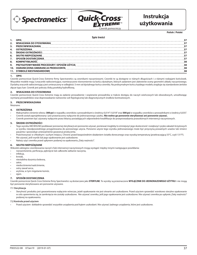



## **Instrukcja użytkowania**

## **Polish / Polski**

### **Spis treści**

| 9. PRZYGOTOWYWANIE PROCEDURY I SPOSÓB UŻYCIA MEDIANIEM MARANIEM MARANIEM MARANIEM MARANIEM PROCEDURY I SPOSÓB UŻYCIA |  |
|----------------------------------------------------------------------------------------------------------------------|--|
|                                                                                                                      |  |
|                                                                                                                      |  |

## **1. OPIS**

Cewniki pomocnicze Quick-Cross Extreme firmy Spectranetics są cewnikami naczyniowymi. Cewniki te są dostępne w różnych długościach i z różnymi rodzajami końcówek. Wszystkie modele mają 3 znaczniki radiocieniujące, rozmieszczone równomiernie na końcu dystalnym, których zadaniem jest ułatwienie oceny geometrii układu naczyniowego. Dystalny znacznik radiocieniujący jest umieszczony w odległości 3 mm od dystalnego końca cewnika. Na proksymalnym końcu każdego modelu znajduje się standardowe żeńskie złącze typu luer. Cewnik jest pokryty śliską powłoką hydrofilową.

## **2. WSKAZANIA DO STOSOWANIA**

Cewniki pomocnicze Quick-Cross Extreme mają za zadanie prowadzenie i wspieranie prowadnika w trakcie dostępu do naczyń wieńcowych lub obwodowych, umożliwiając wymianę prowadników oraz doprowadzanie roztworów soli fizjologicznej lub diagnostycznych środków kontrastowych.

#### **3. PRZECIWWSKAZANIA**

Nieznane.

#### **4. OSTRZEŻENIA**

- Maksymalne ciśnienie wlewu: **300 psi** w wypadku cewników z prowadnikami o średnicy 0,014" i 0,018" oraz **500 psi** w wypadku cewników z prowadnikami o średnicy 0,035".
- Cewnik został zaprojektowany i jest przeznaczony wyłącznie do jednorazowego użytku. **Nie wolno go ponownie sterylizować ani ponownie używać.**
- Cewnik powinien być używany wyłącznie przez lekarzy posiadających odpowiednie kwalifikacje do przeprowadzania przezskórnych interwencji naczyniowych.

## **5. ŚRODKI OSTROŻNOŚCI**

- Tego wyrobu NIE WOLNO poddawać ponownej sterylizacji ani ponownie używać, ponieważ mogłoby to zmniejszyć jego skuteczność i zwiększyć ryzyko zakażeń krzyżowych w wyniku nieodpowiedniego przygotowania do ponownego użycia. Ponowne użycie tego wyrobu jednorazowego może być przyczyną poważnych urazów lub śmierci pacjenta i spowoduje unieważnienie gwarancji producenta.
- Przechowywać w chłodnym i suchym miejscu. Chronić przed bezpośrednim działaniem światła słonecznego oraz wysoką temperaturą (przekraczającą 55°C, czyli 131°F).
- Nie używać, jeśli wyrób lub jego opakowanie jest uszkodzone.
- Należy użyć cewnika przed upływem podanej na opakowaniu "Daty ważności".

## **6. SKUTKI NIEPOŻĄDANE**

Wskutek zabiegów cewnikowania naczyń i/lub interwencji naczyniowych mogą wystąpić między innymi następujące powikłania:

- rozwarstwienie, perforacja, pęknięcie lub całkowite zatkanie naczynia,
- infekcia,
- krwiak,
- niestabilna dusznica bolesna,
- zator,
- niedociśnienie/nadciśnienie,
- ostry zawał serca,
- arytmia, w tym migotanie komór,
- zgon.

#### **7. SPOSÓB DOSTARCZENIA**

Cewniki pomocnicze Quick-Cross Extreme firmy Spectranetics są dostarczane jako STERYLNE. Te wyroby są przeznaczone WYŁĄCZNIE DO JEDNORAZOWEGO UŻYTKU i nie mogą być ponownie sterylizowane ani ponownie używane.

#### **7.1 Sterylizacja**

• Sterylność produktu jest gwarantowana wyłącznie wówczas, jeżeli opakowanie nie jest otwarte ani uszkodzone. Przed użyciem sprawdzić wzrokowo sterylne opakowanie w celu upewnienia się, że zamknięcia nie zostały uszkodzone. Nie używać cewnika, jeśli jego opakowanie jest uszkodzone. Nie używać cewnika po upływie "Daty ważności" podanej na opakowaniu.

## **7.2 Kontrola przed użyciem**

• Przed użyciem dokładnie sprawdzić wszystkie urządzenia pod kątem uszkodzeń. Nie używać żadnego urządzenia, które jest uszkodzone.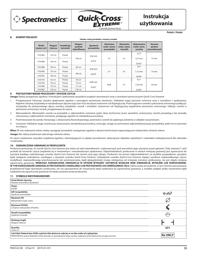



**Tabela: cechy produktu i numery modeli**

## **Instrukcja użytkowania**

Cewnik pomocnicz<sup>,</sup>

## **Polish / Polski**

## **8. KOMPATYBILNOŚĆ**

|                              | Tabela: cechy produktu i humery modeli |                         |                                           |                        |                                                |                                              |                                       |                                           |  |  |  |
|------------------------------|----------------------------------------|-------------------------|-------------------------------------------|------------------------|------------------------------------------------|----------------------------------------------|---------------------------------------|-------------------------------------------|--|--|--|
| <b>Model</b><br>(numer ref.) | <b>Długość</b><br>robocza              | Kształt/typ<br>końcówki | <b>Długość</b><br>powłoki<br>hydrofilowej | Zgodność<br>prowadnika | <b>Minimalna</b><br>średn. wewn.<br>prowadnika | <b>Minimalna</b><br>średn, wewn.<br>koszulki | Maksymalna<br>średn. zewn.<br>cewnika | <b>Rozstaw</b><br>pasków<br>znacznikowych |  |  |  |
| 518-084                      | 135 cm                                 | Prosta                  |                                           | $0.36$ mm              |                                                |                                              | 3,2 F                                 |                                           |  |  |  |
| 518-086                      | 150 cm                                 | Prosta                  | $100 \, \text{cm}$                        | 0.014''                | 5 F                                            | 4 F                                          | $1.07$ mm<br>0,042"                   | 15 mm                                     |  |  |  |
| 518-088                      | 90 cm                                  | Prosta                  | 60 cm                                     |                        |                                                |                                              | 3,4 F                                 |                                           |  |  |  |
| 518-090                      | 135 cm                                 | Prosta                  | 100 cm                                    | $0.46$ mm              | 5 F                                            | 4 F                                          | $1.12 \text{ mm}$                     | $15 \text{ mm}$                           |  |  |  |
| 518-092                      | 150 cm                                 | Prosta                  |                                           | 0.018''                |                                                |                                              | 0.044''                               |                                           |  |  |  |
| 518-076                      | 65 cm                                  | Prosta                  | 45 cm                                     |                        |                                                |                                              | 4,5F                                  |                                           |  |  |  |
| 518-078                      | 90 cm                                  | Prosta                  | 70 cm                                     | 0,89 mm                |                                                |                                              |                                       |                                           |  |  |  |
| 518-080                      | 135 cm                                 | Prosta                  | 115 cm                                    | 0,035''                | brak                                           | 5 F                                          | 1.50 mm                               | 50 mm                                     |  |  |  |
| 518-082                      | 150 cm                                 | Prosta                  | 130 cm                                    |                        |                                                |                                              | 0,059''                               |                                           |  |  |  |

## **9. PRZYGOTOWYWANIE PROCEDURY I SPOSÓB UŻYCIA**

**Uwaga:** Należy postępować zgodnie z instrukcjami użytkowania wszystkich urządzeń stosowanych wraz z cewnikami pomocniczymi Quick-Cross Extreme.

- 1. Przygotowanie: Otworzyć sterylne opakowanie zgodnie z wymogami zachowania sterylności. Delikatnie wyjąć pierścień ochronny wraz z cewnikiem z opakowania. Napełnić sterylną strzykawkę ze standardowym złączem typu luer-lock sterylnym roztworem soli fizjologicznej. Przed wyjęciem cewnika z pierścienia ochronnego podłączyć strzykawkę do proksymalnego złącza cewnika, przepłukać cewnik i umożliwić roztworowi soli fizjologicznej wypełnienie pierścienia ochronnego. Odłożyć cewnik w pierścieniu ochronnym na bok, przygotowany do użycia.
- 2. Wprowadzanie: Wprowadzić cewnik na prowadnik o odpowiednim rozmiarze (patrz dane techniczne) przez uprzednio umieszczony cewnik prowadzący lub koszulkę naczyniową o odpowiednim rozmiarze, postępując zgodnie ze standardową procedurą.
- 3. Przemieszczanie do przodu: Korzystając z obrazowania uoroskopowego, przemieścić cewnik do żądanego położenia w układzie naczyniowym.
- 4. Usuwanie: Delikatnie wyjąć cewnik przy zastosowaniu standardowej procedury, zwracając uwagę na zachowanie odpowiedniej pozycji prowadnika, jeżeli ma on pozostać na miejscu.

**Wlew:** W celu wykonania wlewu należy wyciągnąć prowadnik i postępować zgodnie z danymi technicznymi zapewniającymi maksymalne ciśnienie wlewu.

**Uwaga:** Nie należy przekraczać zalecanego ciśnienia wlewu.

Po użyciu zutylizować wszystkie urządzenia zgodnie z obowiązującymi w szpitalu procedurami. dotyczącymi odpadów szpitalnych i materiałów niebezpiecznych dla człowieka i środowiska.

## **10. OGRANICZONA GWARANCJA PRODUCENTA**

Producent gwarantuje, że cewnik Quick-Cross Extreme jest wolny od wad materiałowych i wykonawczych pod warunkiem jego używania przed upływem "Daty ważności" i jeśli produkt do momentu użycia znajdował się w nieotwartym i nieuszkodzonym opakowaniu. Odpowiedzialność producenta w ramach niniejszej gwarancji jest ograniczona do wymiany każdego uszkodzonego cewnika Quick-Cross Extreme lub zwrotu ceny jego zakupu. Producent nie ponosi odpowiedzialności za wszelkie przypadkowe, specjalne bądź następcze uszkodzenia, wynikające z używania cewnika Quick-Cross Extreme. Uszkodzenie cewnika Quick-Cross Extreme, będące wynikiem nieprawidłowego użycia, modyfikacji, nieprawidłowego przechowywania lub przemieszczania, badź jakiegokolwiek innego odstępstwa od niniejszej instrukcji użytkowania, nie jest objęte niniejsza ograniczoną gwarancję. **NINIEJSZA OGRANICZONA GWARANCJA W SPOSÓB WYRAŹNY ZASTĘPUJE WSZELKIE INNE GWARANCJE, WYRAŹNE LUB DOROZUMIANE, W TYM DOROZUMIANE GWARANCJE PRZYDATNOŚCI HANDLOWEJ LUB PRZYDATNOŚCI DO OKREŚLONEGO CELU**. Żadna osoba ani podmiot, w tym również autoryzowany przedstawiciel bądź dystrybutor producenta, nie ma upoważnienia do rozszerzania bądź wydłużania tej ograniczonej gwarancji, a wszelkie podjęte próby rozszerzenia bądź wydłużenia tej ograniczonej gwarancji nie będą uznawane przez producenta.

## **11. SYMBOLE NIESTANDARDOWE**

| <b>Distal Marker Spacing</b><br>Rozstaw znaczników dystalnych                                                                                                                                                      |                 |
|--------------------------------------------------------------------------------------------------------------------------------------------------------------------------------------------------------------------|-----------------|
| Shape<br>Kształt                                                                                                                                                                                                   |                 |
| <b>GW Compatibility</b><br>Zgodność prowadnika                                                                                                                                                                     | $\leftarrow$ GW |
| <b>Maximum OD</b><br>Maksymalna średn. zewn.                                                                                                                                                                       |                 |
| l Maximum PSI/kPa<br>Ciśnienie maksymalne (PSI/kPa)                                                                                                                                                                |                 |
| <b>Sheath Compatibility</b><br>Zgodność koszulki                                                                                                                                                                   | SC              |
| <b>Working Length</b><br>Długość robocza                                                                                                                                                                           |                 |
| Quantity<br>Liczba szt.                                                                                                                                                                                            | QTY             |
| CAUTION: Federal law (USA) restricts this device to sale by or on the order of a physician.<br>PRZESTROGA: prawo federalne (USA) zezwala na sprzedawanie tego wyrobu wyłącznie przez lekarza lub na jego zlecenie. | <b>Rx ONLY</b>  |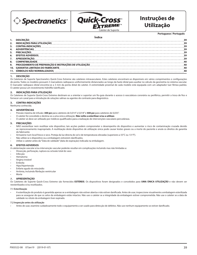



## **Instruções de Utilização**

### **Portuguese / Português**

| 8. COMPATIBILIDADE [ ] [40] COMPATIBILIDADE [ ] [40] COMPATIBILIDADE [ ] [40] COMPATIBILIDADE [ ] [40] COMPATIBILIDADE [ ] [40] COMPATIBILIDADE [ ] [40] COMPATIBILIDADE [ ] [40] COMPATIBILIDADE [ ] [40] COMPATIBILIDADE PRE |  |
|--------------------------------------------------------------------------------------------------------------------------------------------------------------------------------------------------------------------------------|--|
|                                                                                                                                                                                                                                |  |
|                                                                                                                                                                                                                                |  |
|                                                                                                                                                                                                                                |  |

**Índice**

## **1. DESCRIÇÃO**

Os Cateteres de Suporte Spectranetics Quick-Cross Extreme são cateteres intravasculares. Estes cateteres encontram-se disponíveis em vários comprimentos e configurações de ponta. Todos os modelos possuem 3 marcadores radiopacos uniformemente distanciados ao longo da haste distal para auxiliar no cálculo da geometria no sistema vascular. O marcador radiopaco distal encontra-se a 3 mm da ponta distal do cateter. A extremidade proximal de cada modelo está equipada com um adaptador luer fêmea padrão. O cateter possui um revestimento hidrófilo lubrificado.

## **2. INDICAÇÕES PARA UTILIZAÇÃO**

Os Cateteres de Suporte Quick-Cross Extreme destinam-se a orientar e suportar um fio-quia durante o acesso à vasculatura coronária ou periférica, permitir a troca de fios e fornecer um canal para a introdução de soluções salinas ou agentes de contraste para diagnóstico.

## **3. CONTRA-INDICAÇÕES**

#### Nenhuma conhecida.

#### **4. ADVERTÊNCIAS**

- Pressão máxima de infusão: **300 psi** para cateteres de 0,014" e 0,018" e **500 psi** para cateteres de 0,035".
- O cateter foi concebido e destina-se a uma única utilização. **Não volte a esterilizar e/ou a utilizar.**
- O cateter só deve ser utilizado por médicos qualificados para a realização de intervenções vasculares percutâneas.

### **5. PRECAUÇÕES**

- NÃO reesterilizar nem reutilizar este dispositivo; tais acções podem comprometer o desempenho do dispositivo e aumentar o risco de contaminação cruzada devido ao reprocessamento inapropriado. A reutilização deste dispositivo de utilização única pode causar lesões graves ou a morte do paciente e anula os direitos de garantia do fabricante.
- Armazene num local fresco e seco. Proteja da luz directa do sol e de temperaturas elevadas (superiores a 55°C ou 131°F).
- Não utilize se o dispositivo ou a embalagem estiverem danificados.
- Utilize o cateter antes da "Data de validade" (data de expiração) indicada na embalagem.

## **6. EFEITOS ADVERSOS**

A cateterização vascular e/ou intervenção vascular poderão resultar em complicações incluindo mas não limitadas a:

• Dissecção, perfuração, ruptura ou oclusão total do vaso

- Infecção
- Hematoma
- Angina instável
- **Embolia**
- Hipo/hipertensão
- Enfarte agudo do miocárdio
- Arritmia, incluindo fibrilação ventricular
- Morte

## **7. APRESENTAÇÃO**

Os Cateteres de Suporte Quick-Cross Extreme são fornecidos **ESTÉREIS**. Os dispositivos foram designados e concebidos para **UMA ÚNICA UTILIZAÇÃO** e não devem ser reesterilizados e/ou reutilizados.

## **7.1 Esterilização**

A esterilização do produto é garantida apenas se a embalagem não estiver aberta e não estiver danificada. Antes de usar, inspeccione visualmente a embalagem esterilizada para se assegurar de que os selos da embalagem estão intactos. Não use o cateter se a integridade da embalagem estiver comprometida. Não use o cateter se a data de validade no rótulo da embalagem tiver expirado.

#### **7.2 Inspecção antes da utilização**

Antes de usar, examine cuidadosamente todo o equipamento a ser usado para detecção de defeitos. Não use nenhum equipamento se estiver danificado.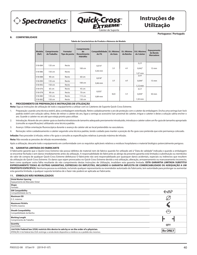



## **Instruções de Utilização**

**Portuguese / Português**

## **8. COMPATIBILIDADE**

## **Tabela de Características do Produto e Números de Modelo**

| <b>Modelo</b><br>(Ref.) | Comprimento<br>de Trabalho | Formato/<br>Tipo de ponta | Comprimento<br>do<br><b>Revestimento</b><br>Hidrófilo | Compatibilidade<br>do FG | D.I. Mínimo<br>do Guia | D.I. Mínimo<br>da Bainha | <b>D.E. Máximol</b><br>do Cateter | Espaçamento<br>da Banda<br><b>Marcadora</b> |
|-------------------------|----------------------------|---------------------------|-------------------------------------------------------|--------------------------|------------------------|--------------------------|-----------------------------------|---------------------------------------------|
| 518-084                 | 135 cm                     | Recto                     | 100 cm                                                | 0,014''                  | 5 F                    | 4 F                      | 3,2F<br>0.042''                   | $15 \, \text{mm}$                           |
| 518-086                 | 150 cm                     | Recto                     |                                                       | 0,36 mm                  |                        |                          | 1,07 mm                           |                                             |
| 518-088                 | 90 cm                      | Recto                     | 60 cm                                                 | 0,018''                  |                        |                          | 3,4F                              |                                             |
| 518-090                 | 135 cm                     | Recto                     | 100 cm                                                |                          | 5 F                    | 4 F                      | 0,044"                            | $15 \, \text{mm}$                           |
| 518-092                 | 150 cm                     | Recto                     |                                                       | $0.46$ mm                |                        |                          | 1,12 mm                           |                                             |
| 518-076                 | 65 cm                      | Recto                     | 45 cm                                                 |                          |                        |                          | 4,5F                              |                                             |
| 518-078                 | 90 cm                      | Recto                     | 70 cm                                                 | 0,035''                  | N/D                    | 5 F                      | 0,059''                           | 50 mm                                       |
| 518-080                 | 135 cm                     | Recto                     | 115 cm                                                | 0,89 mm                  |                        |                          |                                   |                                             |
| 518-082                 | 150 cm                     | Recto                     | 130 cm                                                |                          |                        |                          | 1,50 mm                           |                                             |

## **9. PROCEDIMENTO DE PREPARAÇÃO E INSTRUÇÕES DE UTILIZAÇÃO**

**Nota:** Siga as instruções de utilização de todo o equipamento a utilizar com os Cateteres de Suporte Quick-Cross Extreme.

- 1. Preparação: usando uma técnica estéril, abra a embalagem esterilizada. Retire cuidadosamente o aro de proteção com o cateter da embalagem. Encha uma seringa luer-lock padrão estéril com solução salina. Antes de retirar o cateter do aro, ligue a seringa ao acessório luer proximal do cateter, irrigue o cateter e deixe a solução salina encher o aro. Guarde o cateter no aro até que esteja pronto para utilizar.
- 2. Introdução: Através de um cateter-guia ou bainha introdutora de tamanho adequado previamente introduzido, introduza o cateter sobre um fio-guia de tamanho apropriado (consulte as especificações) utilizando uma técnica padrão.
- 3. Avanço: Utilize orientação fluoroscópica durante o avanço do cateter até ao local pretendido na vasculatura.
- 4. Remoção: retire cuidadosamente o cateter seguindo uma técnica padrão, tendo cuidado para manter a posição do fio-guia caso pretenda que este permaneça colocado.

Infusão: Para proceder à infusão, retire o fio-guia e consulte as especificações relativas à pressão máxima de infusão.

**Nota:** Não exceda as pressões de infusão recomendadas.

Após a utilização, descarte todo o equipamento em conformidade com os requisitos aplicáveis relativos a resíduos hospitalares e material biológico potencialmente perigoso.

## **10. GARANTIA LIMITADA DO FABRICANTE**

O fabricante garante que o Quick-Cross Extreme não possui defeitos de material nem de fabrico quando for utilizado até à "Data de validade" indicada e quando a embalagem se encontrar fechada e sem danos imediatamente antes da utilização. A responsabilidade do fabricante ao abrigo da presente garantia está limitada à substituição ou reembolso do valor de compra de qualquer Quick-Cross Extreme defeituoso O fabricante não será responsabilizado por quaisquer danos acidentais, especiais ou indirectos que resultem da utilização do Quick-Cross Extreme. Os danos que sejam provocados no Quick-Cross Extreme devido a má utilização, alteração, armazenamento ou manuseamento incorrecto, bem como qualquer outra falha resultante do não cumprimento destas Instruções de Utilização, invalidam esta garantia limitada. **ESTA GARANTIA LIMITADA SUBSTITUI EXPRESSAMENTE TODAS AS OUTRAS GARANTIAS, EXPRESSAS OU IMPLÍCITAS, INCLUINDO A GARANTIA IMPLÍCITA DE COMERCIABILIDADE OU ADEQUAÇÃO A UM PROPÓSITO ESPECÍFICO.** Nenhuma pessoa ou entidade, incluindo qualquer representante ou revendedor autorizado do Fabricante, tem autoridade para prolongar ou aumentar esta garantia limitada, e qualquer suposta tentativa de o fazer não poderá ser aplicada ao Fabricante.

## **11. SÍMBOLOS NÃO NORMALIZADOS**

| <b>Distal Marker Spacing</b>                                                                                                                                                                        |                 |
|-----------------------------------------------------------------------------------------------------------------------------------------------------------------------------------------------------|-----------------|
| Espaçamento do Marcador Distal                                                                                                                                                                      |                 |
| Shape                                                                                                                                                                                               |                 |
| Formato                                                                                                                                                                                             |                 |
| <b>GW Compatibility</b><br>Compatibilidade do FG                                                                                                                                                    | $\leftarrow$ GW |
| <b>Maximum OD</b>                                                                                                                                                                                   |                 |
| D. E. máximo                                                                                                                                                                                        |                 |
| Maximum PSI/kPa                                                                                                                                                                                     |                 |
| PSI/kPa máximo                                                                                                                                                                                      |                 |
| <b>Sheath Compatibility</b>                                                                                                                                                                         |                 |
| Compatibilidade da Bainha                                                                                                                                                                           |                 |
| <b>Working Length</b>                                                                                                                                                                               |                 |
| Comprimento de Trabalho                                                                                                                                                                             |                 |
| Quantity                                                                                                                                                                                            | QTY             |
| Quantidade                                                                                                                                                                                          |                 |
| CAUTION: Federal law (USA) restricts this device to sale by or on the order of a physician.<br>ATENCÃO: A lei federal dos EUA restringe a venda deste dispositivo a médicos ou a pedido dos mesmos. | <b>Rx ONLY</b>  |
|                                                                                                                                                                                                     |                 |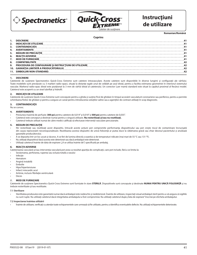



## **Instrucţiuni de utilizare**

#### **Romanian/Română**

#### **Cuprins**

| 9. PROCEDURA DE CONFIGURARE ȘI INSTRUCȚIUNI DE UTILIZARE CONSULTANI ALTANI ANII ALTANI A AZIANI A AZIANI A AZ |  |
|---------------------------------------------------------------------------------------------------------------|--|
|                                                                                                               |  |
|                                                                                                               |  |

## **1. DESCRIERE**

Cateterele de sustinere Spectranetics Quick-Cross Extreme sunt catetere intravasculare. Aceste catetere sunt disponibile în diverse lungimi și configurații ale vârfului. Toate modelele sunt prevăzute cu 3 markeri radio-opaci, situaţi la distanţe egale unul de celălalt pe axul distal, pentru a facilita estimarea geometriei în interiorul sistemului vascular. Markerul radio-opac distal este poziționat la 3 mm de vârful distal al cateterului. Un conector Luer mamă standard este situat la capătul proximal al fiecărui model. Cateterul este acoperit cu un strat lubrifiat și hidrofil.

## **2. INDICAŢII DE UTILIZARE**

Cateterele de susținere Quick-Cross Extreme sunt concepute pentru a ghida și susține firul de ghidare în timpul accesării vasculaturii coronariene sau periferice, pentru a permite schimbarea firelor de ghidare şi pentru a asigura un canal pentru introducerea soluţiilor saline sau a agenţilor de contrast utilizaţi în scop diagnostic.

## **3. CONTRAINDICAŢII**

Nu se cunosc.

## **4. AVERTISMENTE**

- Presiunea maximă de perfuzie: **300 psi** pentru catetere de 0,014" şi 0,018" şi **500 psi** pentru catetere de 0,035".
- Cateterul este conceput şi destinat numai pentru o singură utilizare. **Nu resterilizaţi şi/sau nu reutilizaţi.**
- Cateterul trebuie utilizat numai de către medici calificați să efectueze intervenții vasculare percutanate.

## **5. MĂSURI DE PRECAUŢIE**

- NU resterilizaţi sau reutilizaţi acest dispozitiv, întrucât aceste acţiuni pot compromite performanţa dispozitivului sau pot creşte riscul de contaminare încrucişată din cauza reprocesării necorespunzătoare. Reutilizarea acestui dispozitiv de unică folosință ar putea duce la vătămarea gravă sau chiar decesul pacientului și anulează garanțiile producătorului.
- A se depozita într-un loc uscat şi răcoros. A se feri de lumina directă a soarelui şi de temperaturi ridicate (mai mari de 55 °C sau 131 °F).
- Nu utilizaţi dispozitivul dacă acesta este deteriorat sau dacă ambalajul este deteriorat.
- Utilizați cateterul înainte de data de expirare ("A se utiliza înainte de") specificată pe ambalaj.

## **6. REACŢII ADVERSE**

Cateterizarea vasculară și/sau intervenția vasculară pot avea ca rezultat apariția de complicații, care pot include, fără a se limita la:

- Secționarea, perforarea, ruperea sau ocluzia totală a vasului
- **Infectie**
- Hematom
- Angină instabilă
- Embolie
- Hipo/hipertensiune
- Infarct miocardic acut
- Aritmie, inclusiv fibrilație ventriculară
- Deces

## **7. MOD DE FURNIZARE**

Cateterele de susţinere Spectranetics Quick-Cross Extreme sunt furnizate în stare **STERILĂ**. Dispozitivele sunt concepute şi destinate **NUMAI PENTRU UNICĂ FOLOSINŢĂ** şi nu trebuie resterilizate şi/sau reutilizate.

#### **7.1 Sterilizare**

• Sterilitatea produsului este garantată numai dacă ambalajul este nedeschis şi nedeteriorat. Înainte de utilizare, inspectaţi vizual ambalajul steril pentru a vă asigura că sigiliile nu sunt rupte. Nu utilizați cateterul dacă integritatea ambalajului a fost compromisă. Nu utilizați cateterul după "Data de expirare" înscrisă pe eticheta ambalajului.

## **7.2 Inspectarea înaintea utilizării**

Înainte de utilizare, verificați cu atenție toate echipamentele care urmează să fie utilizate, pentru a identifica eventualele defecte. Nu utilizați echipamentele deteriorate.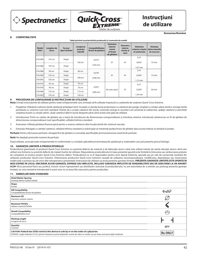



**Romanian/Română**

## **8. COMPATIBILITATE**

#### **Tabel privind caracteristicile produsului şi numerele de model**

| <b>Model</b><br>(Ref.) | Lungime de<br>lucru | Forma/<br>tipul vârfului | Lungimea<br>stratului<br>hidrofil | <b>Compatibilitatea</b><br>firului de ghidare | <b>Diametru</b><br>interior<br>minim<br>al firului<br>de ghidare | <b>Diametru</b><br>interior<br>minim al<br>tecii | <b>Diametru</b><br>exterior maxim<br>al cateterului | <b>Distanța</b><br>dintre benzile<br>de marcare |
|------------------------|---------------------|--------------------------|-----------------------------------|-----------------------------------------------|------------------------------------------------------------------|--------------------------------------------------|-----------------------------------------------------|-------------------------------------------------|
| 518-084                | 135 cm              | Drept                    | $100 \text{ cm}$                  | 0,014''                                       | 5F                                                               | 4F                                               | 3,2F<br>0.042''                                     | $15 \text{ mm}$                                 |
| 518-086                | 150 cm              | Drept                    |                                   | $0.36$ mm                                     |                                                                  |                                                  | 1.07 mm                                             |                                                 |
| 518-088                | 90 cm               | Drept                    | 60 cm                             | 0,018''                                       |                                                                  |                                                  | 3,4F                                                |                                                 |
| 518-090                | 135 cm              | Drept                    |                                   |                                               | 5F                                                               | 4F                                               | 0,044''                                             | $15 \text{ mm}$                                 |
| 518-092                | 150 cm              | Drept                    | 100 cm                            | 0,46 mm                                       |                                                                  |                                                  | $1,12$ mm                                           |                                                 |
| 518-076                | 65 cm               | Drept                    | 45 cm                             |                                               |                                                                  |                                                  | 4,5 F                                               |                                                 |
| 518-078                | 90 cm               | Drept                    | 70 cm                             | 0,035''                                       |                                                                  |                                                  |                                                     |                                                 |
| 518-080                | 135 cm              | Drept                    | 115 cm                            | $0.89$ mm                                     | Nu este cazul                                                    | 5F                                               | 0,059''                                             | 50 mm                                           |
| 518-082                | 150 cm              | Drept                    | 130 cm                            |                                               |                                                                  |                                                  | 1.50 mm                                             |                                                 |

## **9. PROCEDURA DE CONFIGURARE ŞI INSTRUCŢIUNI DE UTILIZARE**

Notă: Urmați instrucțiunile de utilizare pentru toate echipamentele care urmează să fie utilizate împreună cu cateterele de susținere Quick-Cross Extreme.

- 1. Pregătirea: Utilizând o tehnică sterilă, desfaceți ambalajul steril. Scoateți cu atenție bucla protectoare cu cateterul din pungă. Umpleți cu soluție salină sterilă o seringă sterilă prevăzută cu conector Luer-lock standard. Înainte de a scoate cateterul din buclă, conectați seringa la racordul Luer proximal al cateterului, spălaţi cateterul și permiteți umplerea buclei cu soluție salină. Lăsați cateterul aflat în buclă deoparte până când acesta este gata de utilizare.
- 2. Introducerea: Printr-un cateter de ghidare sau o teacă de introducere de dimensiunea corespunzătoare și introduse anterior, introduceți cateterul pe un fir de ghidare de dimensiunea corespunzătoare (vezi specificațiile), utilizând tehnica standard.
- 3. Avansarea: Utilizați ghidarea fluoroscopică pentru a avansa cateterul către locația dorită din sistemul vascular.
- 4. Extracția: Retrageți cu atenție cateterul, utilizând tehnica standard și având grijă să mențineți poziția firului de ghidare dacă acesta trebuie să rămână în poziție.

Perfuzia: Pentru efectuarea perfuziei, retrageți firul de ghidare și consultați specificațiile privind presiunea maximă de perfuzie.

**Notă:** Nu depăşiţi presiunile maxime de perfuzie.

După utilizare, aruncaţi toate echipamentele în conformitate cu cerinţele aplicabile privind deşeurile spitaliceşti şi materialele care pot prezenta pericol biologic.

## **10. GARANŢIA LIMITATĂ A PRODUCĂTORULUI**

Producătorul garantează că produsul Quick-Cross Extreme nu prezintă defecte de material și de fabricație atunci când este utilizat înainte de nainte deicație atunci când este utilizat ross Extreme nu prezintă defecte de mateat înainte de utilizare. Răspunderea producătorului în baza prezentei garanţii este limitată la înlocuirea sau rambursarea preţului de cumpărare al oricărui produs Quick-Cross Extreme defect. Producătorul nu va fi răspunzător pentru nicio daună indirectă, specială sau pe cale de consecintă rezultată din utilizarea produsului Quick-Cross Extreme. Deteriorarea produsului Quick-Cross Extreme cauzată de utilizarea necorespunzătoare, modificarea, depozitarea sau manevrarea inadecvată a acestuia sau de orice altă nerespectare a prezentelor instrucțiuni de utilizare va anula prezenta garanție limitată. PREZENTA GARANȚIE LIMITATĂ ESTE OFERITĂ ÎN **MOD EXPRES ÎN LOCUL ORICĂROR ALTOR GARANŢII, EXPRESE SAU IMPLICITE, INCLUSIV GARANŢIA IMPLICITĂ DE VANDABILITATE SAU DE ADECVARE LA UN ANUMIT**  SCOP. Nicio persoană fizică sau juridică, inclusiv niciun reprezentant sau distribuitor autorizat al producătorului, nu are autoritatea de a extinde sau prelungi prezenta garanție limitată, iar orice tentativă intenţionată în acest sens nu va avea titlu executoriu pentru producător.

## **11. SIMBOLURI NON-STANDARD**

| <b>Distal Marker Spacing</b><br>Distanța dintre markerii distali                                                                                                                                                                   |                 |
|------------------------------------------------------------------------------------------------------------------------------------------------------------------------------------------------------------------------------------|-----------------|
| Shape<br>Formă                                                                                                                                                                                                                     |                 |
| <b>GW Compatibility</b><br>Compatibilitatea firului de ghidare                                                                                                                                                                     | $\leftarrow$ GW |
| <b>Maximum OD</b><br>Diametru exterior maxim                                                                                                                                                                                       |                 |
| Maximum PSI/kPa<br>Valoare maximă PSI/kPa                                                                                                                                                                                          |                 |
| <b>Sheath Compatibility</b><br>Compatibilitatea tecii                                                                                                                                                                              |                 |
| <b>Working Length</b><br>Lungime de lucru                                                                                                                                                                                          |                 |
| Quantity<br>Cantitate                                                                                                                                                                                                              | QTY             |
| CAUTION: Federal law (USA) restricts this device to sale by or on the order of a physician.<br>ATENȚIE: Legile federale (S.U.A.) permit vânzarea acestui dispozitiv numai de către un medic sau pe baza unei prescripții medicale. | <b>Rx ONLY</b>  |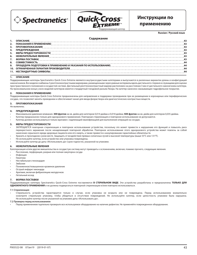



## **Инструкции по применению**

#### **Russian / Pусский язык**

## **1. ОПИСАНИЕ**

Поддерживающие катетеры Spectranetics Quick-Cross Extreme являются внутрисосудистыми катетерами и выпускаются в различных вариантах длины и конфигураций наконечников. Все модели снабжены 3 рентгеноконтрастными маркерами, размещенными через равные интервалы вдоль дистального стержня и служащими для оценки пространственного положения в сосудистой системе. Дистальный рентгеноконтрастный маркер расположен на расстоянии 3 мм от дистального наконечника катетера. На проксимальном конце у всех моделей катетеров имеется стандартный гнездовой разъем Люэра. На катетер нанесено смазывающее гидрофильное покрытие.

## **2. ПОКАЗАНИЯ К ПРИМЕНЕНИЮ**

Поддерживающие катетеры Quick-Cross Extreme предназначены для направления и поддержки проводников при их размещении в коронарных или периферических сосудах, что позволяет менять проводники и обеспечивает канал для ввода физраствора или диагностических контрастных веществ.

## **3. ПРОТИВОПОКАЗАНИЯ**

Не выявлены.

#### **4. ПРЕДУПРЕЖДЕНИЯ**

- Максимальное давление вливания. **300 фунтов** на кв. дюйм для катетеров 0,014 дюйма и 0,018 дюйма; **500 фунтов** на кв. дюйм для катетеров 0,035 дюйма.
- Катетер предназначен только для одноразового применения. Повторная стерилизация и повторное использование не допускаются.
- Катетер должен использоваться только врачами с надлежащей квалификацией для выполнения операций на сосудах.

## **5. МЕРЫ ПРЕДОСТОРОЖНОСТИ**

- ЗАПРЕЩАЕТСЯ повторная стерилизация и повторное использование устройства, поскольку это может привести к нарушению его функций и повысить риск перекрестного заражения после ненадлежащей повторной обработки. Повторное использование этого одноразового устройства может повлечь за собой нанесение серьезного вреда здоровью пациента или его смерть, а также привести к аннулированию гарантийных обязательств.
- Хранить в прохладном сухом месте. Защищать от воздействия прямых солнечных лучей и высокой температуры (выше 55°C или 131°F).
- Не используйте катетер, если устройство или упаковка повреждены.
- Используйте катетер до даты «Использовать до» (срок годности), указанной на упаковке.

## **6. НЕЖЕЛАТЕЛЬНЫЕ ЯВЛЕНИЯ**

Катетеризация и/или другие вмешательства в сосудистую систему могут приводить к осложнениям, включая, помимо прочего, следующие явления.

- Расслоение, перфорация, разрыв или полная закупорка сосуда
- Инфекция
- Гематома
- Нестабильная стенокардия
- Эмболия
- Пониженное/повышенное кровяное давление
- Острый инфаркт миокарда
- Аритмия, включая фибрилляцию желудочков
- Летальный исход

## **7. ФОРМА ПОСТАВКИ**

Поддерживающие катетеры Spectranetics Quick-Cross Extreme поставляются **В СТЕРИЛЬНОМ ВИДЕ**. Эти устройства разработаны и предназначены **ТОЛЬКО ДЛЯ ОДНОКРАТНОГО ПРИМЕНЕНИЯ** и не должны подвергаться повторной стерилизации и/или повторно использоваться.

## **7.1 Стерилизация**

• Стерильность устройства гарантируется только в случае, если упаковка не вскрыта или не повреждена. Перед использованием внимательно осмотрите стерильную упаковку, чтобы убедиться в отсутствии повреждений. Не используйте катетер, если целостность упаковки была нарушена. Не используйте катетер после указанной на упаковке даты «Использовать до».

## **7.2 Проверка перед использованием**

• Перед применением тщательно проверьте все используемое оборудование на наличие дефектов. Не применяйте поврежденное оборудование.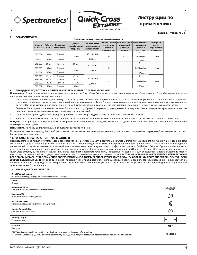



## **Инструкции по применению**

**Russian / Pусский язык**

## **8. СОВМЕСТИМОСТЬ**

#### **Таблица с характеристиками и номерами моделей**

| Модель<br>$(No$ по кат.) | <b>Рабочая</b><br>длина | Форма/тип<br><b>наконечника</b> | Длина<br>гидрофильного<br>покрытия | Совместимость<br>с проволочным<br>направителем | Минимальный<br>внутренний<br>диаметр<br>направителя | внутренний<br>диаметр<br>канюли | Минимальный   Максимальный  <br>наружный<br>диаметр<br>катетера | Интервал<br>между<br>маркерными<br>полосами |
|--------------------------|-------------------------|---------------------------------|------------------------------------|------------------------------------------------|-----------------------------------------------------|---------------------------------|-----------------------------------------------------------------|---------------------------------------------|
| 518-084                  | 135 см                  | Прямой                          | 100 см                             | 0,014 дюйма                                    | 5F                                                  | 4F                              | 3,2F<br>0,042 дюйма                                             | 15 MM                                       |
| 518-086                  | 150 см                  | Прямой                          | 0.36 MM                            |                                                |                                                     |                                 | 1.07 MM                                                         |                                             |
| 518-088                  | 90 CM                   | Прямой                          | 60 см                              | 0,018 дюйма                                    |                                                     |                                 | 3,4F                                                            |                                             |
| 518-090                  | 135 см                  | Прямой                          |                                    |                                                | 5F                                                  | 4F                              | 0,044 дюйма                                                     | 15 MM                                       |
| 518-092                  | 150 см                  | Прямой                          | 100 см<br>0.46 MM                  |                                                |                                                     |                                 | $1.12$ MM                                                       |                                             |
| 518-076                  | 65 CM                   | Прямой                          | 45 CM                              |                                                |                                                     |                                 | 4,5F                                                            |                                             |
| 518-078                  | 90 CM                   | Прямой                          | 70 см                              | 0,035 дюйма                                    |                                                     |                                 |                                                                 |                                             |
| 518-080                  | 135 см                  | Прямой                          | 115 cm                             | 0.89 MM                                        |                                                     | 5F                              | 0.059 дюйма                                                     | 50 MM                                       |
| 518-082                  | 150 см                  | Прямой                          | 130 см                             |                                                |                                                     |                                 | 1.50 MM                                                         |                                             |

## **9. ПРОЦЕДУРА ПОДГОТОВКИ К ПРИМЕНЕНИЮ И УКАЗАНИЯ ПО ИСПОЛЬЗОВАНИЮ**

**Примечание.** При использовании с поддерживающим катетером Quick-Cross Extreme какого-либо дополнительного оборудования соблюдайте соответствующие инструкции по применению этого оборудования.

- 1. Подготовка. Вскройте стерильную упаковку, соблюдая правила обеспечения стерильности. Аккуратно извлеките защитное кольцо с катетером из упаковки. Наполните стерильным физраствором стандартный шприц с наконечником Люэра. Перед извлечением катетера из кольца подсоедините шприц к проксимальному разъему Люэра на катетере и промойте катетер, чтобы физраствор заполнил кольцо. Отложите катетер в кольце, пока не будете готовы его использовать.
- 2. Введение. Через предварительно вставленный и правильно подобранный по размеру проводниковый катетер или оболочку интродьюсера введите катетер по направителю надлежащего размера (см. технические характеристики).
- 3. Продвижение. При продвижении катетера в нужное место по каналу сосуда используйте рентгеноскопический контроль.
- 4. Удаление. Осторожно извлеките катетер с применением стандартной методики, аккуратно удерживая проводник, если планируется оставить его на месте.

**Инфузия.** Для проведения инфузии извлеките направляющий проводник и соблюдайте максимально допустимое давление вливания, указанное в технических характеристиках продукта.

**Примечание.** Не превышайте максимально допустимое давление вливания.

После использования утилизируйте все оборудование в соответствии с действующими правилами утилизации отходов лечебных учреждений и потенциально опасных биологических материалов.

## **10. ОГРАНИЧЕННАЯ ГАРАНТИЯ ПРОИЗВОДИТЕЛЯ**

Производитель гарантирует отсутствие дефектов материалов и изготовления для продукта Quick-Cross Extreme при условии его применения до указанной даты «Использовать до», а также при условии целостности и отсутствия повреждений упаковки непосредственно перед применением. Ответственность Производителя по настоящей гарантии ограничивается заменой или компенсацией цены покупки любого дефектного продукта Quick-Cross Extreme. Производитель не несет ответственности за какой-либо случайный, фактический или косвенный ущерб, причиненный применением продукта Quick-Cross Extreme. В случае повреждения продукта Quick-Cross Extreme, вызванного ненадлежащим использованием, внесением изменений, неправильным хранением или обращением, а также вследствие любого другого несоблюдения этой Инструкции по применению эта ограниченная гарантия утрачивает силу. **НАСТОЯЩАЯ ОГРАНИЧЕННАЯ ГАРАНТИЯ ЗАМЕНЯЕТ СОБОЙ ВСЕ ОСТАЛЬНЫЕ ГАРАНТИИ, ПРЯМЫЕ ИЛИ ПОДРАЗУМЕВАЕМЫЕ, В ТОМ ЧИСЛЕ ПОДРАЗУМЕВАЕМУЮ ГАРАНТИЮ ТОВАРНОЙ ПРИГОДНОСТИ ИЛИ ПРИГОДНОСТИ ДЛЯ ОПРЕДЕЛЕННОЙ ЦЕЛИ.** Никакие физические или юридические лица, в том числе уполномоченные представители или торговые посредники Производителя, не имеют права продлевать срок действия или расширять условия этой ограниченной гарантии, и любая попытка вышеуказанных действий не будет иметь юридической силы в отношении Производителя.

#### **11. НЕСТАНДАРТНЫЕ СИМВОЛЫ**

| <b>Distal Marker Spacing</b><br>Промежуток между маркерами на дистальной части катетера                                                                                                                                 |                         |
|-------------------------------------------------------------------------------------------------------------------------------------------------------------------------------------------------------------------------|-------------------------|
| Shape<br>Форма                                                                                                                                                                                                          |                         |
| <b>GW Compatibility</b><br>Совместимость с проволочным направителем                                                                                                                                                     | GW<br>$\uparrow$ Max OD |
| <b>Maximum OD</b><br>Максимальный внешний диаметр                                                                                                                                                                       |                         |
| <b>Maximum PSI/kPa</b><br>Максимальное давление, фунтов на кв. дюйм/кПа                                                                                                                                                 |                         |
| <b>Sheath Compatibility</b><br>Совместимость с канюлей                                                                                                                                                                  |                         |
| <b>Working Length</b><br>Рабочая длина                                                                                                                                                                                  |                         |
| Quantity<br>Количество                                                                                                                                                                                                  | <b>QTY</b>              |
| CAUTION: Federal law (USA) restricts this device to sale by or on the order of a physician.<br>ВНИМАНИЕ! Согласно Федеральному законодательству (США) данный продукт разрешен к продаже только врачам или по их заказу. | <b>Rx ONL</b>           |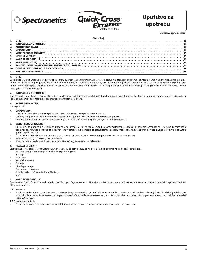



## **Uputstvo za upotrebu**

## **Serbian / Српски jезик**

## **Sadržaj**

## **1. OPIS**

Spectranetics Quick-Cross Extreme kateteri za podršku su intravaskulani kateteri Ovi kateteri su dostupni u različitim dužinama i kon guracijama vrha. Svi modeli imaju 3 radioneprovidna markera, koji su postavljeni na podjednakom rastojanju duž distalne osovine, kako bi pomogli u proceni geometrije unutar vaskularnog sistema. Distalni radioneprovidni marker je postavljen na 3 mm od distalnog vrha katetera. Standardni ženski luer port je postavljen na proksimalnom kraju svakog modela. Kateter je obložen glatkim materijalom koji apsorbira vodu.

## **2. INDIKACIJE ZA UPOTREBU**

Quick-Cross Extreme kateteri za podršku su tu da vode i daju podršku vodič žici u toku pristupa koronarnoj ili perifernoj vaskulaturi, da omoguće zamenu vodič žica i obezbede kanal za uvođenje slanih rastvora ili dijagnostičkih kontrastnih sredstava.

## **3. KONTRAINDIKACIJE**

Nema poznatih.

## **4. UPOZORENJA**

- Maksimalni pritisak infuzije: **300 psi** za 0,014" i 0,018" katetere i **500 psi** za 0,035" katetere.
- Kateter je projektovan i namenjen samo za jednokratnu upotrebu. **Ne sterilisati i/ili ne koristiti ponovo.**
- Ovaj kateter bi trebalo da koriste samo lekari koji su kvalifikovani za vršenje perkutanih, vaskularnih intervencija.

## **5. MERE PREDOSTROŽNOSTI**

- NE sterilizujte ponovo i NE koristite ponovo ovaj uređaj, jer takve radnje mogu ugroziti performanse uređaja ili povećati opasnost od unakrsne kontaminacije zbog neodgovarajuće ponovne obrade. Ponovna upotreba ovog uređaja za jednokratnu upotrebu može dovesti do ozbiljnih povreda pacijenta ili smrti i poništava garancije proizvođača.
- Čuvati na hladnom i suvom mestu. Zaštititi od direktne sunčeve svetlosti i visokih temperatura (većih od 55 °C ili 131 °F).
- Ne koristite uređaj ili pakovanje ako je oštećeno.
- Koristite kateter do datuma "Roka upotrebe" ("Use By") koji je naveden na pakovanju.

## **6. NEŽELJENI EFEKTI**

Vaskularna kateterizacija i/ili vaskularna intervencija mogu da prouzrokuju, ali ne ograničavajući se samo na to, sledeće komplikacije:

- Isecanje, perforiranje, kidanje ili totalna okluzija krvnog suda
- **Infekcija**
- Hematom
- Nestabilna angina
- Embolija
- Hipo/hipertenzija
- Akutni infarkt miokarda
- Aritmija, uključujući ventrikularnu fibrilaciju

## • Smrt

## **7. KAKO SE ISPORUČUJE**

Spectranetics Quick-Cross Extreme kateteri za podršku isporučuju se **STERILNI**. Uređaji su projektovani i namenjeni **SAMO ZA JEDNU UPOTREBU** i ne smeju se ponovo sterilisati i/ili ponovo koristiti.

## **7.1 Sterilizacija**

• Sterilnost proizvoda se garantuje samo ako pakovanje nije otvarano i ako je neoštećeno. Pre upotrebe vizuelno proveriti sterilno pakovanje kako biste bili sigurni da žigovi nisu polomljeni. Ne koristite kateter ako je pakovanje oštećeno. Ne koristite kateter ako je prošao datum koji je na nalepnici na pakovanju naznačen pod "Rok upotrebe" ("Use Before Date").

## **7.2 Provera pre upotrebe**

• Pre upotrebe pažljivo proverite ispravnost celokupne opreme koja će biti korišćena. Ne koristite opremu ako je oštećena.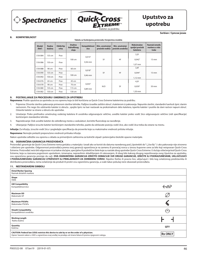



**Serbian / Српски jезик**

### **8. KOMPATIBILNOST**

#### **Tabela sa funkcijama proizvoda i brojevima modela**

| <b>Model</b><br>(Ref) | Radna<br>dužina | Oblik/tip<br>vrha | <b>Dužina</b><br>hidrofilnog<br>sloja | Kompatibilnost<br>žice | Min. unutrašnji<br>prečnik vodiča | Min. unutrašnji<br>prečnik uvodnika | <b>Maksimalan</b><br>spoljni prečnik<br>katetera | Razmak između<br>markera u vidu<br>trake |                 |
|-----------------------|-----------------|-------------------|---------------------------------------|------------------------|-----------------------------------|-------------------------------------|--------------------------------------------------|------------------------------------------|-----------------|
| 518-084               | 135 cm          | Prav              |                                       | 0,014''                |                                   |                                     | 3,2F                                             |                                          |                 |
| 518-086               | 150 cm          | Prav              | 100 cm                                | $0,36$ mm              |                                   | 5F                                  | 4F                                               | 0.042''<br>1,07 mm                       | $15 \text{ mm}$ |
| 518-088               | 90 cm           | Prav              | 60 cm                                 | 0,018''                |                                   |                                     | 3,4F                                             |                                          |                 |
| 518-090               | 135 cm          | Prav              |                                       |                        | 5F                                | 4F                                  | 0,044"                                           | $15 \text{ mm}$                          |                 |
| 518-092               | 150 cm          | Prav              | 100 cm                                | $0.46$ mm              |                                   |                                     | $1,12$ mm                                        |                                          |                 |
| 518-076               | 65 cm           | Prav              | 45 cm                                 |                        |                                   |                                     | 4,5F                                             |                                          |                 |
| 518-078               | 90 cm           | Prav              | 70 cm                                 | 0.035''                | N/D                               | 5F                                  |                                                  | 50 mm                                    |                 |
| 518-080               | 135 cm          | Prav              | 115 cm                                | $0.89$ mm              |                                   |                                     | 0,059''                                          |                                          |                 |
| 518-082               | 150 cm          | Prav              | 130 cm                                |                        |                                   |                                     | 1,50 mm                                          |                                          |                 |

## **9. POSTAVLJANJE ZA PROCEDURU I SMERNICE ZA UPOTREBU**

**Napomena:** Pratite uputstva za upotrebu za svu opremu koja će biti korišćena sa Quick-Cross Extreme kateterima za podršku.

- 1. Priprema: Otvorite sterilno pakovanje primenom sterilne tehnike. Pažljivo izvadite zaštitni obruč s kateterom iz pakovanja. Napunite sterilni, standardni luerlock špric slanim rastvorom. Pre nego što odstranite kateter iz obruča , spojite špric na luer nastavak na proksimalnom delu katetera, isperite kateter i pustite da slani rastvor napuni obruč. Ostavite kateter sa strane u obruču do upotrebe.
- 2. Umetanje: Preko prethodno umetnutog vodećeg katetera ili uvodnika odgovarajuće veličine, uvedite kateter preko vodič žice odgovarajuće veličine (vidi specifikacije) korišćenjem standardne tehnike.
- 3. Napredovanje: Dok uvodite kateter do određenog mesta u vaskulaturi, koristite fluoroskop za navođenje.
- 4. Uklanjanje: Pažljivo izvucite kateter korišćenjem standardne tehnike, pazite da održavate poziciju vodič žice, ako vodič žica treba da ostane na mestu.

Infuzija: Za infuziju, izvucite vodič žicu i pogledajte specifikaciju da proverite koje su maksimalne vrednosti pritiska infuzije.

**Napomena:** Nemojte prelaziti preporučene vrednosti pritisaka infuzije.

Nakon upotrebe odložite svu opremu u skladu sa primenljivim zahtevima za bolnički otpad i potencijalno biološki opasne materijale.

## **10. OGRANIČENA GARANCIJA PROIZVOĐAČA**

Proizvođač garantuje da Quick-Cross Extreme nema grešaka u materijalu i izradi ako se koristi do datuma navedenog pod "Upotrebiti do" ("Use By") i ako pakovanje nije otvoreno i oštećeno pre upotrebe. Odgovornost proizvođača prema ovoj garanciji ograničena je na zamenu ili povraćaj novca u iznosu kupovne cene za bilo koji neispravan Quick-Cross Extreme. Proizvođač neće biti odgovoran ni za kakve slučajne, specijalne ili posledične štete koje su nastale zbog upotrebe Quick-Cross Extreme. U slučaju oštećenja kod Quick-Cross Extreme, koja su izazvana pogrešnom upotrebom, izmenama, nepravilnim skladištenjem ili rukovanjem, ili zbog bilo kakvog drugog nepoštovanja ovog Uputstva za upotrebu, ova ograničena garancija prestaje da važi. **OVA OGRANIČENA GARANCIJA IZRIČITO ODBACUJE SVE DRUGE GARANCIJE, IZRIČITE ILI PODRAZUMEVANE, UKLJUČUJUĆI**  I PODRAZUMEVANU GARANCIJU UTRŽIVOSTI ILI PRIKLADNOSTI ZA ODREĐENU SVRHU. Nijedno fizičko ili pravno lice, uključujući i bilo kog ovlašćenog predstavnika ili distributera proizvođača, nema ovlašćenje da produži ili proširi ovu ograničenu garanciju, a svaki takav pokušaj neće obavezati proizvođača.

### **11. NESTANDARDNI SIMBOLI**

| $\leftarrow$ GW |
|-----------------|
|                 |
|                 |
|                 |
|                 |
| QTY             |
| <b>Rx ON</b>    |
|                 |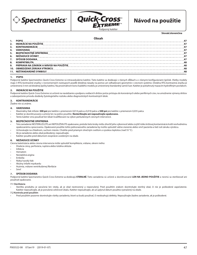



## **Návod na použitie**

## **Slovak/slovenčina**

#### **Obsah**

## **1. POPIS**

Podporné katétre Spectranetics Quick-Cross Extreme sú intravaskulárne katétre. Tieto katétre sa dodávajú v rôznych dĺžkach a s rôznymi konfiguráciami špičiek. Všetky modely majú 3 RTG-kontrastné značky v rovnomerných rozstupoch pozdĺž distálnej násady na pomoc pri odhadovaní geometrie v cievnom systéme. Distálna RTG-kontrastná značka je umiestnená 3 mm od distálnej špičky katétra. Na proximálnom konci každého modelu je umiestnený štandardný samičí luer. Katéter je potiahnutý mazacím hydrofilným povlakom.

## **2. INDIKÁCIE NA POUŽITIE**

Podporné katétre Quick-Cross Extreme sú určené na navádzanie a podporu vodiacich drôtov počas prístupu do koronárnych alebo periférnych ciev, na umožnenie výmeny drôtov a zabezpečenie prívodu dodávky fyziologického roztoku alebo diagnostických kontrastných látok.

## **3. KONTRAINDIKÁCIE**

Žiadne nie sú známe.

## **4. VAROVANIA**

- Maximálny tlak infúzie: **300 psi** pre katétre s priemerom 0,014 palca a 0,018 palca a **500 psi** pre katétre s priemerom 0,035 palca.
- Katéter je skonštruovaný a určený len na jedno použitie. **Nesterilizujte ani nepoužívajte opakovane.**
- Tento katéter smú používať len lekári kvalifikovaní na výkon perkutánnych cievnych intervencií.

## **5. BEZPEČNOSTNÉ OPATRENIA**

- Toto zariadenie NESTERILIZUJTE ani NEPOUŽÍVAJTE opakovane, pretože tieto kroky môžu zhoršiť jeho výkonnosť alebo zvýšiť riziko krížovej kontaminácie kvôli nevhodnému opakovanému spracovaniu. Opakované použitie tohto jednorazového zariadenia by mohlo spôsobiť vážne zranenie alebo smrť pacienta a tiež ruší záruku výrobcu.
- Uchovávajte na chladnom, suchom mieste. Chráňte pred priamym slnečným svetlom a vysokou teplotou (nad 55 °C).
- Ak je zariadenie alebo obal poškodený, nepoužívajte.
- Katéter použite pred dátumom exspirácie uvedeným na obale.

## **6. NEŽIADUCE ÚČINKY**

Cievna katetrizácia alebo cievna intervencia môže spôsobiť komplikácie, vrátane, okrem iného:

- Disekcia cievy, perforácia, ruptúra alebo totálna oklúzia
- Infekcia
- Hematóm
- Nestabilná angína
- **Embólia**
- Nízky/vysoký tlak
- Akútny infarkt myokardu
- Arytmia, vrátane ventrikulárnej fibrilácie
- Smrť

#### **7. SPÔSOB DODANIA**

Podporné katétre Spectranetics Quick-Cross Extreme sa dodávajú **STERILNÉ**. Tieto zariadenia sú určené a skonštruované **LEN NA JEDNO POUŽITIE** a nesmú sa sterilizovať ani používať opakovane.

#### **7.1 Sterilizácia**

• Sterilita produktu je zaručená len vtedy, ak je obal neotvorený a neporušený. Pred použitím zrakom skontrolujte sterilný obal, či nie je poškodené zapečatenie. Katéter nepoužívajte, ak je porušená celistvosť obalu. Katéter nepoužívajte, ak už uplynul dátum použitia vyznačený na obale.

## **7.2 Kontrola pred použitím**

• Pred použitím pozorne skontrolujte všetky zariadenia, ktoré sa budú používať, či neobsahujú defekty. Nepoužívajte žiadne zariadenie, ak je poškodené.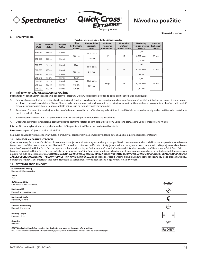



## **Návod na použitie**

**Slovak/slovenčina**

### **8. KOMPATIBILITA**

**Tabuľka s vlastnosťami produktu a číslami modelov**

| <b>Model</b><br>(Ref) | Pracovná<br>dĺžka | Tvar/typ<br>špičky | <b>D</b> ĺžka<br>hydrofilného<br>povlaku | Kompatibilita<br>vodiaceho<br>drôtu | <b>Minimálny</b><br>vnútorný<br>priemer vodiča | <b>Minimálny</b><br>vnútorný<br>priemer puzdra | Maximálny<br>vonkajší priemer<br>katétra | Rozstup<br>kruhových<br>značiek |
|-----------------------|-------------------|--------------------|------------------------------------------|-------------------------------------|------------------------------------------------|------------------------------------------------|------------------------------------------|---------------------------------|
| 518-084               | 135 cm            | Rovný              |                                          | $0,014$ palca                       |                                                |                                                | 3,2F                                     |                                 |
| 518-086               | 150 cm            | Rovný              | 100 cm                                   | $0.36$ mm                           | 5F                                             | 4F                                             | $0,042$ palca<br>$1.07$ mm               | $15 \text{ mm}$                 |
| 518-088               | 90 cm             | Rovný              | 60 cm                                    | $0,018$ palca                       |                                                |                                                | 3.4F                                     |                                 |
| 518-090               | 135 cm            | Rovný              | 100 cm                                   | $0.46$ mm                           | 5F                                             | 4F                                             | $0,044$ palca                            | $15 \text{ mm}$                 |
| 518-092               | 150 cm            | Rovný              |                                          |                                     |                                                |                                                | $1.12 \text{ mm}$                        |                                 |
| 518-076               | 65 cm             | Rovný              | 45 cm                                    |                                     |                                                |                                                | 4,5F                                     |                                 |
| 518-078               | 90 cm             | Rovný              | 70 cm                                    | 0,035 palca                         |                                                |                                                |                                          |                                 |
| 518-080               | 135 cm            | Rovný              | 115 cm                                   | $0.89$ mm                           | Neapl.                                         | 5F                                             | 0,059 palca                              | 50 mm                           |
| 518-082               | 150 cm            | Rovný              | 130 cm                                   |                                     |                                                |                                                | 1.50 mm                                  |                                 |

## **9. PRÍPRAVA NA ZÁKROK A NÁVOD NA POUŽITIE**

**Poznámka:** Pri použití všetkých zariadení s podpornými katétrami Quick-Cross Extreme postupujte podľa príslušného návodu na použitie.

- 1. Príprava: Pomocou sterilnej techniky otvorte sterilný obal. Opatrne z vrecka vyberte ochrannú obruč s katétrom. Štandardnú sterilnú striekačku s luerovým zámkom naplňte sterilným fyziologickým roztokom. Skôr, než katéter vyberiete z obruče, striekačku napojte na proximálny luerový spoj katétra, katéter vypláchnite a obruč nechajte naplniť fyziologickým roztokom. Katéter v obruči odložte nabok, kým ho nebudete potrebovať použiť.
- 2. Zavedenie: Pomocou štandardnej techniky zaveďte katéter po vodiacom drôte vhodnej veľkosti (pozri špecifikácie) cez vopred zasunutý vodiaci katéter alebo zavádzacie puzdro vhodnej veľkosti.
- 3. Zasúvanie: Pri zasúvaní katétra na požadované miesto v cievach použite fluoroskopické navádzanie.

4. Odstránenie: Pomocou štandardnej techniky opatrne odstráňte katéter, pričom udržiavajte polohu vodiaceho drôtu, ak má vodiaci drôt zostať na mieste.

Infúzia: Ak chcete vykonať infúziu, vytiahnite vodiaci drôt a pozrite si špecifikácie pre maximálny tlak infúzie.

**Poznámka:** Neprekračujte maximálne tlaky infúzií.

Po použití zlikvidujte všetky zariadenia v súlade s príslušnými požiadavkami na nemocničný odpad a potenciálne biologicky nebezpečné materiály.

## **10. OBMEDZENÁ ZÁRUKA VÝROBCU**

Výrobca zaručuje, že produkt Quick-Cross Extreme neobsahuje materiálové ani výrobné chyby, ak sa použije do dátumu uvedeného pod dátumom exspirácie a ak je balenie tesne pred použitím neotvorené a nepoškodené. Zodpovednosť výrobcu podľa tejto záruky je obmedzená na výmenu alebo refundáciu nákupnej ceny akéhokoľvek poruchového produktu Quick-Cross Extreme. Výrobca nebude zodpovedný za žiadne náhodné, osobitné ani následné škody v dôsledku použitia produktu Quick-Cross Extreme. Poškodenie produktu Quick-Cross Extreme spôsobené nesprávnym použitím, úpravou, nevhodným uchovávaním alebo manipuláciou alebo iným nedodržaním tohto návodu na použitie ruší túto obmedzenú záruku. **TÁTO OBMEDZENÁ ZÁRUKA VÝSLOVNE NAHRÁDZA VŠETKY OSTATNÉ ZÁRUKY, VÝSLOVNÉ ČI NAZNAČENÉ, VRÁTANE NAZNAČENEJ ZÁRUKY OBCHODOVATEĽNOSTI ALEBO VHODNOSTI NA KONKRÉTNY ÚČEL.** Žiadna osoba ani subjekt, vrátane akéhokoľvek autorizovaného zástupcu alebo predajcu výrobcu, nemá právo rozširovať ani predlžovať túto obmedzenú záruku a žiadna takáto vynaložená snaha nie je vymáhateľná od výrobcu.

#### **11. NEŠTANDARDNÉ SYMBOLY**

| <b>Distal Marker Spacing</b><br>Rozstup distálnych značiek                                                                                                                                                |                 |
|-----------------------------------------------------------------------------------------------------------------------------------------------------------------------------------------------------------|-----------------|
| Shape<br>Tvar                                                                                                                                                                                             |                 |
| <b>GW Compatibility</b><br>Kompatibilita vodiaceho drôtu                                                                                                                                                  | $\leftarrow$ GW |
| <b>Maximum OD</b><br>Maximálny vonkajší priemer                                                                                                                                                           |                 |
| <b>Maximum PSI/kPa</b><br>Maximálny PSI/kPa                                                                                                                                                               |                 |
| <b>Sheath Compatibility</b><br>Kompatibilita puzdra                                                                                                                                                       | ' SC            |
| <b>Working Length</b><br>Pracovná dĺžka                                                                                                                                                                   |                 |
| Quantity<br>Množstvo                                                                                                                                                                                      | QTY             |
| CAUTION: Federal law (USA) restricts this device to sale by or on the order of a physician.<br>UPOZORNENIE: Federálny zákon (USA) obmedzuje predaj tohto zariadenia na lekárov alebo na lekársky predpis. | <b>Rx ONLY</b>  |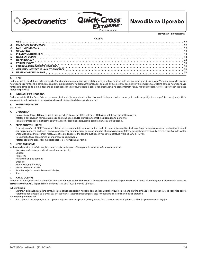



## **Navodila za Uporabo**

#### **Slovenian / Slovenščina**

## **Kazalo**

## **1. OPIS**

Podporni katetri Quick-Cross Extreme družbe Spectranetics so znotrajžilni katetri. Ti katetri so na voljo v različnih dolžinah in z različnimi oblikami vrha. Vsi modeli imajo tri oznake, neprepustne za rentgenske žarke, ki so enakomerno razporejene na distalnem kanalu, kar pomaga pri ocenjevanju geometrije v žilnem sistemu. Distalna oznaka, neprepustna za rentgenske žarke, je do 3 mm oddaljena od distalnega vrha katetra. Standardni ženski konektor Luer je na proksimalnem koncu vsakega modela. Kateter je prevlečen s spolzko, hidrofilno prevleko.

## **2. INDIKACIJE ZA UPORABO**

Podporni katetri Quick-Cross Extreme so namenjeni vodenju in podpori vodilne žice med dostopom do koronarnega in perifernega žilja ter omogočajo izmenjevanje žic in vzpostavljajo pot za dovajanje fizioloških raztopin ali diagnostičnih kontrastnih sredstev.

## **3. KONTRAINDIKACIJE**

Niso znane.

## **4. OPOZORILA**

- Največji tlak infuzije: **300 psi** za katetre premera 0,014 palcev in 0,018 palcev ter **500 psi** za katetre premera 0,035 palcev.
- Kateter je oblikovan in namenjen samo za enkratno uporabo. **Ne sterilizirajte in/ali ne uporabljajte ponovno.**
- Ta kateter smejo uporabljati samo zdravniki, ki so usposobljeni za izvajanje perkutanih vaskularnih posegov.

#### **5. PREVIDNOSTNI UKREPI**

- Tega pripomočka NE SMETE znova sterilizirati ali znova uporabiti, saj lahko pri tem pride do ogrožanja zmogljivosti ali povečanja tveganja navzkrižne kontaminacije zaradi neustrezne ponovne obdelave. Ponovna uporaba tega pripomočka za enkratno uporabo lahko povzroči resne telesne poškodbe ali smrt bolnika ter izniči jamstva izdelovalca.
- Shranjujte na hladnem, suhem mestu. Zaščitite pred neposredno sončno svetlobo in visoko temperaturo (višjo od 55°C ali 131°F).
- Ne uporabljajte, če sta ovojnina ali pripomoček poškodovana.
- Kateter uporabite pred »rokom uporabnosti«, ki je naveden na ovojnini.

#### **6. NEŽELENI UČINKI**

- Vaskularna katetrizacija in/ali vaskularna intervencija lahko povzročita zaplete, ki vključujejo (a niso omejeni na):
- Disekcijo, perforacijo, predrtje ali popolno okluzijo žile,
- Okužbo,
- Hematom,
- Nestabilno angino pektoris,
- Embolijo,
- Hipotenzijo/hipertenzijo,
- Akutni miokardni infarkt,
- Aritmijo, vključno z ventrikularno fibrilacijo,
- Smrt

## **7. NAČIN DOBAVE**

Podporni katetri Quick-Cross Extreme družbe Spectranetics so bili sterilizirani z etilenoksidom in se dobavljajo **STERILNI**. Naprave so namenjene in oblikovane **SAMO za ENKRATNO UPORABO** in jih ne smete ponovno sterilizirati in/ali ponovno uporabiti.

#### **7.1 Sterilizacija**

• Sterilnost izdelka je zajamčena samo, če je embalaža neodprta in nepoškodovana. Pred uporabo vizualno preglejte sterilno embalažo, da se prepričate, da spoji niso odprti. Katetra ne uporabljajte, če je embalaža poškodovana. Katetra ne uporabljajte, če je rok uporabe na etiketi na embalaži pretečen.

## **7.2 Pregled pred uporabo**

• Pred uporabo skrbno preglejte vso opremo, ki jo nameravate uporabiti, da ugotovite, če so prisotne okvare. V primeru poškodb opreme ne uporabljajte.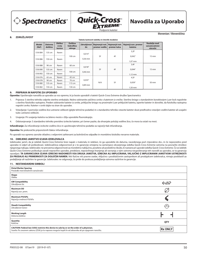



## **Navodila za Uporabo**

**Slovenian / Slovenščina**

## **8. ZDRUŽLJIVOST**

**Tabela lastnosti izdelka in številk modelov**

| <b>Model</b><br>(Ref) | <b>Delovna</b><br>dolžina | Oblika/<br>vrsta<br>konice | <b>Dolžina</b><br>hidrofilne<br>obloge | Združljivost<br>žic | premer vodila | Najmanjši not.   Najmanjši not.  <br>premer tulca | Največji zun. premer<br>katetra | <b>Razdalje med</b><br>označevalnimi<br>obročki |
|-----------------------|---------------------------|----------------------------|----------------------------------------|---------------------|---------------|---------------------------------------------------|---------------------------------|-------------------------------------------------|
| 518-084               | 135 cm                    | Raven                      |                                        | 0.014''             |               |                                                   | 3,2F                            |                                                 |
| 518-086               | 150 cm                    | Raven                      | $100 \text{ cm}$                       | $0.36$ mm           | 5F            | 4F                                                | 0.042''<br>$1.07$ mm            | $15 \, \text{mm}$                               |
| 518-088               | 90 cm                     | Raven                      | 60 cm                                  |                     |               |                                                   | 3,4F                            |                                                 |
| 518-090               | 135 cm                    | Raven                      |                                        | 0.018''             | 5F            | 4F                                                | 0.044''                         | $15 \text{ mm}$                                 |
| 518-092               | 150 cm                    | Raven                      | 100 cm                                 | 0,46 mm             |               |                                                   | $1,12 \text{ mm}$               |                                                 |
| 518-076               | 65 cm                     | Raven                      | 45 cm                                  |                     |               |                                                   | 4,5F                            |                                                 |
| 518-078               | 90 cm                     | Raven                      | 70 cm                                  | 0,035''             |               |                                                   |                                 |                                                 |
| 518-080               | 135 cm                    | Raven                      | 115 cm                                 |                     | N/A           | 5F                                                | 0,059''                         | 50 mm                                           |
| 518-082               | 150 cm                    | Raven                      | 130 cm                                 | 0,89 mm             |               |                                                   | 1,50 mm                         |                                                 |

## **9. PRIPRAVA IN NAPOTKI ZA UPORABO**

**Opomba:** Upoštevajte navodila za uporabo za vso opremo, ki jo boste uporabili s katetri Quick-Cross Extreme družbe Spectranetics

- 1. Priprava: S sterilno tehniko odprite sterilno embalažo. Nežno odstranite zaščitno cevko s katetrom iz vrečke. Sterilno brizgo s standardnim konektorjem Luer-lock napolnite s sterilno fiziološko raztopino. Preden odstranite kateter iz cevke, priključite brizgo na proximalni Luer priključek katetra, izperite kateter in dovolite, da fiziološka raztopina napolni cevko. Kateter v cevki dajte na stran do uporabe.
- 2. Vstavljanje: S pomočjo vodilne žice ustrezne velikosti (glejte tehnične podatke) in s standardno tehniko vstavite kateter skozi predhodno vstavljen vodilni kateter ali uvajalni tulec ustrezne velikosti.
- 3. Uvajanje: Pri uvajanju katetra na želeno mesto v žilju uporabite fluoroskopijo.
- 4. Odstranjevanje: S standardno tehniko previdno izvlecite kateter, pri čemer pazite, da ohranjate položaj vodilne žice, če mora ta ostati na mest.

**Infundiranje:** Za infundiranje izvlecite vodilno žico in upoštevajte tehnične podatke za največji tlak infundiranja.

**Opomba:** Ne prekoračite priporočenih tlakov infundiranja.

Po uporabi vso opremo zavrzite skladno z veljavnimi zahtevami za bolnišnične odpadke in morebitno biološko nevarne materiale.

## **10. OMEJENO JAMSTVO IZJAVA IZDELOVALCA**

Izdelovalec jamči, da je izdelek Quick-Cross Extreme brez napak v materialu in izdelavi, če ga uporabite do datuma, navedenega pod »Uporabno do«, in če neposredno pred uporabo ni odprt ali poškodovan. Izdelovalčeva odgovornost je s to garancijo omejena na zamenjavo okvarjenega izdelka Quick-Cross Extreme oziroma na povračilo stroškov njegovega nakupa. Izdelovalec ne prevzema odgovornosti za morebitno naključno, posebno ali posledično škodo, ki nastane pri uporabi izdelka Quick-Cross Extreme. Če se izdelek Quick-Cross Extreme poškoduje zaradi nepravilne uporabe, predelave, nepravilnega hranjenja ali ravnanja z njim oziroma neupoštevanja teh navodil za uporabo, se ta garancija razveljavi. **TA GARANCIJSKA IZJAVA IZRECNO NADOMESTI VSA DRUGA JAMSTVA, IZRECNA ALI IMPLICIRANA, VKLJUČNO Z IMPLICIRANIM JAMSTVOM USTREZNOSTI**  ZA PRODAJO ALI PRIMERNOSTI ZA DOLOČEN NAMEN. Niti fizične niti pravne osebe, vključno s pooblaščenim zastopnikom ali prodajalcem izdelovalca, nimajo pooblastil za podaljšanje ali razširitev te garancije. Izdelovalec ne odgovarja, če pride do poskusa podaljšanja oziroma razširitve te garancije.

#### **11. NESTANDARDNI SIMBOLI**

| <b>Distal Marker Spacing</b><br>Presledki med distalnimi označevalci                                                                                                                                  |                            |
|-------------------------------------------------------------------------------------------------------------------------------------------------------------------------------------------------------|----------------------------|
| Shape<br>Oblika                                                                                                                                                                                       |                            |
| <b>GW Compatibility</b><br>Združljivost žic                                                                                                                                                           | $\leftarrow$ GW $\bigcirc$ |
| <b>Maximum OD</b><br>Največji zun. prem.                                                                                                                                                              |                            |
| <b>Maximum PSI/kPa</b><br>Največja vrednost PSI/kPa                                                                                                                                                   |                            |
| <b>Sheath Compatibility</b><br>Združljivost tulcev                                                                                                                                                    |                            |
| <b>Working Length</b><br>Delovna dolžina                                                                                                                                                              |                            |
| Quantity<br>Količina                                                                                                                                                                                  | QTY                        |
| CAUTION: Federal law (USA) restricts this device to sale by or on the order of a physician.<br>Svarilo: Po zveznem zakonu (ZDA) je to napravo mogoče kupiti le od zdravnika ali po njegovem naročilu. | <b>Rx ONL</b>              |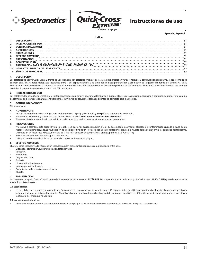



## **Instrucciones de uso**

## **Spanish / Español**

## **Índice**

## **1. DESCRIPCIÓN**

Los catéteres de apoyo Quick-Cross Extreme de Spectranetics son catéteres intravasculares. Están disponibles en varias longitudes y configuraciones de punta. Todos los modelos cuentan con 3 marcadores radiopacos separados entre sí por espacios iguales a lo largo del eje distal para facilitar la estimación de la geometría dentro del sistema vascular. El marcador radiopaco distal está situado a no más de 3 mm de la punta del catéter distal. En el extremo proximal de cada modelo se encuentra una conexión tipo Luer hembra estándar. El catéter tiene un revestimiento hidrófilo lubricante.

## **2. INDICACIONES DE USO**

Los catéteres de apoyo Quick-Cross Extreme están concebidos para dirigir y apoyar un alambre guía durante el acceso a la vasculatura coronaria o periférica, permitir el intercambio de alambres guía y proporcionar un conducto para el suministro de soluciones salinas o agentes de contraste para diagnóstico.

## **3. CONTRAINDICACIONES**

No se conocen.

## **4. ADVERTENCIAS**

- Presión de infusión máxima: **300 psi** para catéteres de 0.014 pulg. y 0.018 pulg. y **500 psi** para catéteres de 0.035 pulg.
- El catéter está diseñado y concebido para utilizarse una sola vez. **No lo vuelva a esterilizar ni lo reutilice.**
- El catéter sólo debe ser utilizado por médicos cualificados para realizar intervenciones vasculares percutáneas.

#### **5. PRECAUCIONES**

- NO vuelva a esterilizar este dispositivo ni lo reutilice, ya que estas acciones pueden alterar su desempeño o aumentar el riesgo de contaminación cruzada a causa de un reprocesamiento inadecuado. La reutilización de este dispositivo de un solo uso podría ocasionar lesiones graves o la muerte del paciente y anula las garantías del fabricante.
- Guárdelo en un lugar seco y fresco. Protéjalo de la luz solar directa y de temperaturas altas (superiores a 55 °C o 131 °F).
- No utilice el dispositivo o el empaque si está dañado.
- Utilice el catéter antes de la fecha de caducidad que se indica en el empaque.

## **6. EFECTOS ADVERSOS**

- El cateterismo vascular y/o la intervención vascular pueden provocar las siguientes complicaciones, entre otras:
- Disección, perforación, ruptura u oclusión total de vasos.
- Infección.
- Hematoma.
- Angina inestable.
- Embolia.
- Hipotensión/hipertensión.
- Infarto agudo de miocardio.
- Arritmia, incluida la fibrilación ventricular.
- Muerte.

## **7. PRESENTACIÓN**

Los catéteres de apoyo Quick-Cross Extreme de Spectranetics se suministran **ESTÉRILES**. Los dispositivos están indicados y diseñados para **UN SOLO USO** y no deben volverse a esterilizar ni reutilizarse.

#### **7.1 Esterilización**

• La esterilidad del producto está garantizada únicamente si el empaque no se ha abierto ni está dañado. Antes de utilizarlo, examine visualmente el empaque estéril para asegurarse de que los sellos estén intactos. No utilice el catéter si se ha alterado la integridad del empaque. No utilice el catéter si la fecha de caducidad que se encuentra en la etiqueta del empaque ha vencido.

#### **7.2 Inspección anterior al uso**

Antes de utilizarlo, examine cuidadosamente todo el equipo que se va a utilizar a fin de detectar defectos. No utilice un equipo si está dañado.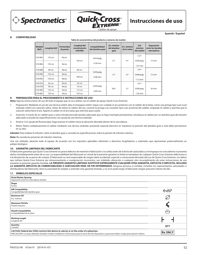



## **Instrucciones de uso**

**Spanish / Español**

## **8. COMPATIBILIDAD**

#### **Tabla de características del producto y números de modelo**

| <b>Modelo</b><br>(Ref) | Longitud útil    | Forma/tipo<br>de punta | Longitud del<br>revestimiento<br>hidrófilo | Compatibilidad<br>del alambre quía | D.I. mínimo<br>del alambre<br>guía | D.I. mínimo<br>de la vaina | D.E.<br>máximo<br>del catéter | Separación<br>entre las bandas<br>marcadoras |
|------------------------|------------------|------------------------|--------------------------------------------|------------------------------------|------------------------------------|----------------------------|-------------------------------|----------------------------------------------|
| 518-084                | 135 cm           | Recta                  |                                            | 0.014 pulg.                        |                                    |                            | 3.2 F                         |                                              |
| 518-086                | 150 cm           | Recta                  | 100 cm                                     | 5F<br>$0.36$ mm                    |                                    | 4 F                        | 0.042 pulg.<br>1.07 mm        | 15 mm                                        |
| 518-088                | 90 cm            | Recta                  | 60 cm                                      |                                    |                                    |                            | 3.4 F                         |                                              |
| 518-090                | 135 cm           | Recta                  |                                            | 0.018 pulg.                        | 5 F                                | 4 F                        | 0.044 pulg.                   | $15 \, \text{mm}$                            |
| 518-092                | $150 \text{ cm}$ | Recta                  | 100 cm                                     | $0.46$ mm                          |                                    |                            | $1.12 \text{ mm}$             |                                              |
| 518-076                | 65 cm            | Recta                  | 45 cm                                      |                                    |                                    |                            | 4.5 F                         |                                              |
| 518-078                | 90 cm            | Recta                  | 70 cm                                      | 0.035 pulg.                        |                                    |                            |                               |                                              |
| 518-080                | 135 cm           | Recta                  | 115 cm                                     | $0.89$ mm                          | N/A                                | 5 F                        | 0.059 pulg.                   | 50 mm                                        |
| 518-082                | 150 cm           | Recta                  | 130 cm                                     |                                    |                                    |                            | 1.50 mm                       |                                              |

## **9. PREPARACIÓN PARA EL PROCEDIMIENTO E INSTRUCCIONES DE USO**

**Nota:** Siga las instrucciones de uso de todo el equipo que se va a utilizar con el catéter de apoyo Quick-Cross Extreme.

- 1. Preparación: Mediante el uso de una técnica estéril, abra el empaque estéril. Saque con cuidado el aro protector con el catéter de la bolsa. Llene una jeringa tipo Luer-Lock estándar estéril con solución salina. Antes de retirar el catéter del aro, conecte la jeringa a la conexión tipo Luer proximal del catéter, empareje el catéter y permita que la solución salina llene el aro. Aparte el catéter en el aro hasta que esté listo para usarlo.
- 2. Inserción: A través de un catéter guía o vaina introductora del tamaño adecuado que se haya insertado previamente, introduzca el catéter por un alambre guía del tamaño adecuado (consulte las especificaciones) con ayuda de una técnica estándar.
- 3. Avance: Con ayuda de fluoroscopia, haga avanzar el catéter hacia la ubicación deseada dentro de la vasculatura.
- 4. Retiro: Retire cuidadosamente el catéter mediante una técnica estándar, poniendo especial atención en mantener la posición del alambre guía si este debe permanecer en su sitio.

Infusión: Para realizar la infusión, retire el alambre guía y consulte las especificaciones sobre la presión de infusión máxima.

**Nota:** No exceda las presiones de infusión máximas.

Una vez utilizado, deseche todo el equipo de acuerdo con los requisitos aplicables referentes a desechos hospitalarios y materiales que representan potencialmente un peligro biológico.

## **10. GARANTÍA LIMITADA DEL FABRICANTE**

El fabricante garantiza que Quick-Cross Extreme no posee defectos de material ni fabricación si se utiliza antes de la fecha de caducidad y si el empaque no se ha abierto ni presenta daños inmediatamente antes de su uso. La responsabilidad del fabricante en virtud de la presente garantía se limita al reemplazo de cualquier Quick-Cross Extreme defectuoso o a la devolución de su precio de compra. El fabricante no será responsable de ningún daño accidental, especial o consecuente derivado del uso de Quick-Cross Extreme. Los daños que sufriera Quick-Cross Extreme por almacenamiento o manipulación incorrectos, uso indebido, alteración o cualquier otro incumplimiento de estas instrucciones de uso anularán la presente garantía limitada. **LA PRESENTE GARANTÍA LIMITADA SUSTITUYE EXPRESAMENTE CUALQUIER OTRA GARANTÍA, EXPLÍCITA O IMPLÍCITA, INCLUIDA**  LA GARANTÍA IMPLÍCITA DE COMERCIABILIDAD O ADECUACIÓN PARA UN FIN DETERMINADO. Ninguna persona ni entidad, incluidos los representantes autorizados o distribuidores del fabricante, tiene la autoridad de ampliar o extender esta garantía limitada, y no se le podrá exigir al fabricante ningún presunto intento de ello.

## **11. SÍMBOLOS ESPECIALES**

| <b>Distal Marker Spacing</b><br>Separación entre los marcadores distales                                                                                                                                                                                 |                 |
|----------------------------------------------------------------------------------------------------------------------------------------------------------------------------------------------------------------------------------------------------------|-----------------|
| Shape<br>Forma                                                                                                                                                                                                                                           |                 |
| <b>GW Compatibility</b><br>Compatibilidad del alambre guía                                                                                                                                                                                               | $\leftarrow$ GW |
| <b>Maximum OD</b><br>D.E. máximo                                                                                                                                                                                                                         |                 |
| l Maximum PSI/kPa<br>PSI/kPa máximo                                                                                                                                                                                                                      |                 |
| <b>Sheath Compatibility</b><br>Compatibilidad de la vaina                                                                                                                                                                                                |                 |
| <b>Working Length</b><br>Longitud útil                                                                                                                                                                                                                   |                 |
| Quantity<br>Cantidad                                                                                                                                                                                                                                     | QTY             |
| CAUTION: Federal law (USA) restricts this device to sale by or on the order of a physician.<br>PRECAUCIÓN: Las leyes federales (Estados Unidos) establecen restricciones para la venta de este dispositivo a personal médico o bajo prescripción médica. | <b>Rx ONLY</b>  |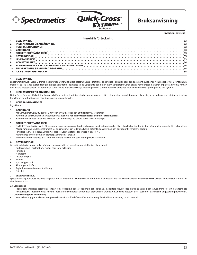



## **Bruksanvisning**

## **Swedish / Svenska**

## **Innehållsförteckning**

| 53 FÖRSIKTIGHETSÅTGÄRDER MALLER STANDER STANDER MALLER STANDER STANDER STANDER STANDER STANDER STANDER STANDER |  |
|----------------------------------------------------------------------------------------------------------------|--|
|                                                                                                                |  |
|                                                                                                                |  |
|                                                                                                                |  |
|                                                                                                                |  |
|                                                                                                                |  |
|                                                                                                                |  |

## **1. BESKRIVNING**

Spectranetics Quick-Cross Extreme stödkatetrar är intravaskulära katetrar. Dessa katetrar är tillgängliga i olika längder och spetskon gurationer. Alla modeller har 3 röntgentäta markörer på lika långa avstånd längs det distala skaftet för att hjälpa till att uppskatta geometrin inom kärlsystemet. Den distala röntgentäta markören är placerad inom 3 mm av den distala kateterspetsen. En honluer av standardtyp är placerad i varje modells proximala ände. Katetern är belagd med en hydrofil beläggning för att göra ytan hal.

## **2. INDIKATIONER FÖR ANVÄNDNING**

Quick-Cross Extreme stödkatetrar är avsedda för att leda och stödja en ledare under införsel i hjärt- eller perifera vaskulaturen, att tillåta utbyte av trådar och att utgöra en ledning för tillförsel av koksaltlösning eller diagnostiska kontrastmedel.

## **3. KONTRAINDIKATIONER**

Inga kända.

## **4. VARNINGAR**

- Max. infusionstryck: **300 psi** för 0,014" och 0,018" katetrar och **500 psi** för 0,035" katetrar.
- Katetern är konstruerad och avsedd för engångsbruk. **Får inte omsteriliseras och/eller återanvändas.**
- Katetern bör endast användas av läkare som är behöriga att utföra perkutana kärlingrepp.

#### **5. FÖRSIKTIGHETSÅTGÄRDER**

- Du får INTE omsterilisera eller återanvända denna anordning efter detta kan påverka dess funktion eller öka risken för korskontamination på grund av olämplig återbehandling. Återanvändning av detta instrument för engångsbruk kan leda till allvarlig patientskada eller död och ogiltiggör tillverkarens garanti.
- Förvaras på en sval och torr plats. Skyddas mot direkt solljus och hög temperatur (över 55 °C eller 131 °F).
- Använd inte enheten om den eller förpackningen är skadad.
- Använd katetern före det "Bäst före"-datum (utgångsdatum) som anges på förpackningen.

## **6. BIVERKNINGAR**

Vaskulär kateterisering och/eller kärlingrepp kan resultera i komplikationer inklusive bland annat:

- Kärldissektion, -perforation, -ruptur eller total ocklusion
- Infektion
- Hematom
- Instabil angina
- **Emboli**
- Hypo-/hypertoni
- Akut myokardinfarkt
- Arytmi, inklusive kammar fibrillering
- Dödsfall

## **7. LEVERANSSKICK**

Spectranetics Quick-Cross Extreme Support-katetrar levereras **STERILISERADE**. Enheterna är endast avsedda och utformade för **ENGÅNGSBRUK** och ska inte återsteriliseras och/ eller återanvändas.

#### **7.1 Sterilisering**

• Produktens sterilitet garanteras endast om förpackningen är oöppnad och oskadad. Inspektera visuellt det sterila paketet innan användning för att garantera att förseglingarna inte har brutits. Använd inte katetern om förpackningens är öppnad eller skadad. Använd inte katetern efter "bäst före"-datum som anges på förpackningen.

## **7.2 Undersökning före användning**

• Kontrollera noggrant all utrustning som ska användas för defekter före användning. Använd inte utrustning som är skadad.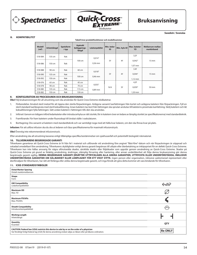



## **Bruksanvisning**

**Swedish / Svenska**

## **8. KOMPATIBILITET**

#### **Tabell över produktfunktioner och modellnummer**

| <b>Modell</b><br>(ref) | Arbetslängd | Spetsform<br>$/$ -typ | Hydrofil<br>beläggnings-<br>längd | Ledarkompatibilitet | Min. ledar-<br>ID | Min. hyls-ID | Max. kateter-<br><b>YD</b> | <b>Mellanrum mellan</b><br>markörband |
|------------------------|-------------|-----------------------|-----------------------------------|---------------------|-------------------|--------------|----------------------------|---------------------------------------|
| 518-084                | 135 cm      | Rak                   |                                   | 0.014''             |                   |              | 3,2F                       |                                       |
| 518-086                | 150 cm      | Rak                   | 100 cm                            | $0.36$ mm           | 5F                | 4F           | 0,042"<br>1.07 mm          | $15 \text{ mm}$                       |
| 518-088                | 90 cm       | Rak                   | 60 cm                             | 0,018''             |                   |              | 3.4F                       |                                       |
| 518-090                | 135 cm      | Rak                   |                                   |                     | 5F                | 4F           | 0.044''                    | $15 \text{ mm}$                       |
| 518-092                | 150 cm      | Rak                   | 100 cm                            | $0.46$ mm           |                   |              | $1,12$ mm                  |                                       |
| 518-076                | 65 cm       | Rak                   | 45 cm                             |                     |                   |              | 4,5F                       |                                       |
| 518-078                | 90 cm       | Rak                   | 70 cm                             | 0,035''             | N/A               | 5F           | 0.059''                    | 50 mm                                 |
| 518-080                | 135 cm      | Rak                   | 115 cm                            | $0.89$ mm           |                   |              |                            |                                       |
| 518-082                | 150 cm      | Rak                   | 130 cm                            |                     |                   |              | 1,50 mm                    |                                       |

## **9. KONFIGURATION AV PROCEDUREN OCH BRUKSANVISNING**

**Obs!** Följ bruksanvisningen för all utrustning som ska användas för Quick-Cross Extreme stödkatetrar.

- 1. Förberedelse: Använd steril metod för att öppna den sterila förpackningen. Avlägsna varsamt luerfattningen från kortet och avlägsna katetern från förpackningen. Fyll en steril standard luerlåsspruta med steril koksaltlösning. Innan katetern tas bort från fattningen ska sprutan anslutas till kateterns proximala luerfattning. Skölj katetern och låt koksaltlösningen fylla fattningen. Sätt undan katetern i fattningen tills den ska användas.
- 2. Införsel: Genom en tidigare införd ledarkateter eller introducerhylsa av rätt storlek, för in katetern över en ledare av lämplig storlek (se specifikationerna) med standardteknik.
- 3. Framförande: För fram katetern under fluoroskopi till önskat ställe i vaskulaturen.
- 4. Borttagning: Dra varsamt ut katetern med standardteknik och var samtidigt noga med att hålla kvar ledaren, om den ska finnas kvar på plats.

**Infusion:** För att utföra infusion ska du dra ut ledaren och läsa specifikationerna för maximalt infusionstryck.

**Obs!** Överstig inte rekommenderat infusionstryck.

Efter användning ska all utrustning kasseras enligt tillämpliga specifika bestämmelser om sjukhusavfall och potentiellt biologiskt riskmaterial.

## **10. TILLVERKARENS BEGRÄNSADE GARANTI**

Tillverkaren garanterar att Quick-Cross Extreme är fri från fel i material och utförande vid användning före angivet "Bäst-före"-datum och när förpackningen är oöppnad och oskadad omedelbart före användning. Tillverkarens skyldigheter enligt denna garanti begränsas till utbyte eller återbetalning av inköpspriset för en defekt Quick-Cross Extreme. Tillverkaren kan inte hållas ansvarig för några oförutsedda skador, särskilda skador eller följdskador som uppstår genom användning av Quick-Cross Extreme. Skador på Quick-Cross Extreme på grund av felaktig användning, ändringar, olämplig förvaring eller hantering, eller annan underlåtenhet att följa denna bruksanvisning gör denna begränsade garanti ogiltig. **DENNA BEGRÄNSADE GARANTI ERSÄTTER UTTRYCKLIGEN ALLA ANDRA GARANTIER, UTTRYCKTA ELLER UNDERFÖRSTÅDDA, INKLUSIVE UNDERFÖRSTÅDDA GARANTIER OM SÄLJBARHET ELLER LÄMPLIGHET FÖR ETT VISST SYFTE.** Ingen person eller organisation, inklusive auktoriserad representant eller återförsäljare för tillverkaren, har rätt att förlänga eller utöka denna begränsade garanti, och inga försök att göra detta kommer att vara bindande för tillverkaren.

## **11. ICKE-STANDARDSYMBOLER**

| $\leftarrow$ GW |
|-----------------|
|                 |
|                 |
| ' sc            |
|                 |
| <b>QTY</b>      |
| <b>Rx ONL</b>   |
|                 |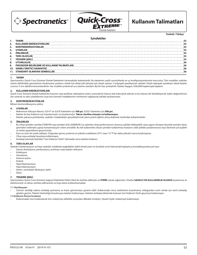



## **Kullanım Talimatları**

## **Turkish / Türkçe**

## **İçindekiler**

| 7. TEDARIK ŞEKLI |  |
|------------------|--|
|                  |  |
|                  |  |
|                  |  |
|                  |  |

## **1. TANIM**

Spectranetics Quick-Cross Extreme Destek Kateterleri intravazküler kateterlerdir. Bu kateterler çeşitli uzunluklarda ve uç konfigürasyonlarında mevcuttur. Tüm modeller vazküler sistem dahilindeki geometrinin ölçülmesine yardımcı olmak için distal şaft alanıyla eşit olarak uzanan 3 radyopak işaretleyiciye sahiptir. Distal radyopak işaretleyici distal kateter ucunun 3 mm dahiline konumlandırılır. Her modelin proksimal ucu üzerine standart dişi bir lüer yerleştirilir. Kateter kaygan, hidrofilik kaplamayla kaplanır.

## **2. KULLANIM ENDİKASYONLARI**

Quick-Cross Extreme Destek Kateterleri koroner veya periferal vazkulatüre erişim sırasında bir kılavuz tele kılavuzluk edecek ve bu kılavuz teli destekleyecek, kablo değişimlerine izin verecek ve salin çözeltilerinin veya tanı kontrast maddelerinin verilmesini sağlayacak şekilde tasarlanmıştır.

## **3. KONTRENDİKASYONLAR**

Bilinen kontrendikasyonu yoktur.

## **4. UYARILAR**

- Maksimum İnfüzyon Basıncı: 0,014" ve 0,018" kateterler için **300 ps**i, 0,035" kateterler için **500 psi.**
- Kateter bir kez kullanım için hazırlanmıştır ve tasarlanmıştır. **Tekrar sterilize etmeyin ve kullanmayın.**
- Kateter yalnızca perkütanöz, vazküler müdahaleleri gerçekleştirmek üzere yeterli eğitimi almış doktorlar tarafından kullanılmalıdır.

#### **5. ÖNLEMLER**

- Bu cihazı yeniden sterilize ETMEYİN veya yeniden KULLANMAYIN, bu eylemler cihaz performansını olumsuz şekilde etkileyebilir veya uygun olmayan biçimde yeniden işlem görmeleri nedeniyle çapraz kontaminasyon riskini artırabilir. Bu tek kullanımlık cihazın yeniden kullanılması hastanın ciddi şekilde yaralanmasına veya ölümüne yol açabilir ve üretici garantilerini geçersiz kılar.
- Kuru ve serin bir yerde saklayın. Doğrudan güneş ışınlarına ve yüksek sıcaklıklara (55°C veya 131°F'tan daha yüksek) maruz bırakmayınız.
- Cihaz veya ambalaj hasarlıysa kullanmayın.
- Ambalaj üzerinde belirtilen "Son Kullanım Tarihi" dolmadan önce kateteri kullanın.

## **6. TERS OLAYLAR**

- Vazküler kateterizasyon ve/veya vazküler müdahale aşağıdakiler dahil olmak üzere ve bunlarla sınırlı kalmamak kaydıyla şu komplikasyonlara yol açar:
- Damar diseksiyonu, perforasyonu, yırtılması veya toplam oklüzyon
- **Enfeksivon**
- Hematoma
- Kararsız anjina
- **Emboli**
- Hipo/hipertansiyon
- Hipo/hipertansiyon
- Aritmi, ventriküler fibrilasyon dahil
- Ölüm

## **7. TEDARİK ŞEKLİ**

Spectranetics Quick-Cross Extreme Support Kateterleri Etilen Oksit ile sterilize edilmiştir ve **STERİL** olarak sağlanırlar. Cihazlar **SADECE TEK KULLANIMLIK OLARAK** tasarlanmış ve belirlenmiştir ve tekrar sterilize edilmemeli ve/veya tekrar kullanılmamalıdır.

#### **7.1 Sterilizasyon**

• Ürünün sterilliği sadece ambalaj açılmamış ve hasar görmemişse garanti edilir. Kullanımdan önce mühürlerin bozulmamış olduğundan emin olmak için steril ambalajı gözden geçirin. Paketin bütünlüğü bozulmuşsa kateteri kullanmayın. Kateteri ambalaj etiketinde bulunan Son Kullanım Tarihi geçmişse kullanmayın.

## **7.2 Kullanım Öncesi İnceleme**

• Kullanmadan önce kullanılacak tüm malzemeyi defektler açısından dikkatle inceleyin. Hasarlı hiçbir malzemeyi kullanmayın.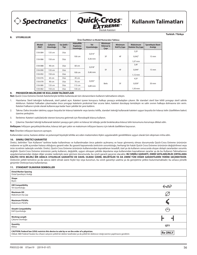



## **Kullanım Talimatları**

## **8. UYUMLULUK**

**Ürün Özellikleri ve Model Numaraları Tablosu**

**Turkish / Türkçe**

|                       | <u>UTULI UZEIIINIEII VE MUUCI IVUIIIAI AIAII TADIUSU</u> |                           |                                          |                          |                                      |                                 |                                     |                              |
|-----------------------|----------------------------------------------------------|---------------------------|------------------------------------------|--------------------------|--------------------------------------|---------------------------------|-------------------------------------|------------------------------|
| <b>Model</b><br>(Ref) | Calışma<br><b>Uzunluğu</b>                               | Uc Sekli /<br><b>Tipi</b> | <b>Hidrofilik</b><br>Kaplama<br>Uzunluğu | <b>Tel</b><br>Uyumluluğu | <b>Minimum</b><br>Kılavuz İç<br>Çapı | <b>Minimum</b><br>Kılıf İç Çapı | <b>Maksimum</b><br>Kateter Dış Çapı | İşaretleyici Bant<br>Aralığı |
| 518-084               | 135 cm                                                   | Düz                       |                                          | 0.014''                  |                                      |                                 | 3,2F                                |                              |
| 518-086               | 150 cm                                                   | Düz                       | 100 cm                                   | $0.36$ mm                | 5F                                   | 4F                              | 0,042"<br>$1.07$ mm                 | 15 mm                        |
|                       |                                                          |                           |                                          |                          |                                      |                                 |                                     |                              |
| 518-088               | 90 cm                                                    | Düz                       | 60 cm                                    | 0.018''                  |                                      |                                 | 3.4F                                |                              |
| 518-090               | 135 cm                                                   | Düz                       |                                          |                          | 5F                                   | 4F                              | 0.044''                             | $15 \text{ mm}$              |
| 518-092               | 150 cm                                                   | Düz                       | 100 cm                                   | $0.46$ mm                |                                      |                                 | $1.12 \text{ mm}$                   |                              |
| 518-076               | 65 cm                                                    | Düz                       | 45 cm                                    |                          |                                      |                                 | 4,5F                                |                              |
| 518-078               | 90 cm                                                    | Düz                       | 70 cm                                    | 0,035''                  |                                      |                                 |                                     |                              |
| 518-080               | 135 cm                                                   | Düz                       | 115 cm                                   | 0,89 mm                  | Belir.                               | 5F                              | 0,059"                              | 50 mm                        |
| 518-082               | 150 cm                                                   | Düz                       | 130 cm                                   |                          |                                      |                                 | 1,50 mm                             |                              |

## **9. PROSEDÜR BELİRLEME VE KULLANIM TALİMATLARI**

**Not:** Quick-Cross Extreme Destek Kateterleriyle birlikte kullanılacak tüm donanımların kullanım talimatlarını izleyin.

- 1. Hazırlama: Steril tekniğini kullanarak, steril paketi açın. Kateteri içeren koruyucu halkayı yavaşça ambalajdan çıkarın. Bir standart steril lüer kilitli şırıngayı steril salinle doldurun. Kateteri halkadan çıkarmadan önce şırıngayı kateterin proksimal lüer ucuna takın, kateteri durulayıp temizleyin ve salin sıvının halkaya dolmasına izin verin. Kateteri halkanın içinde olarak kullanıncaya kadar hazır şekilde bir yere kaldırın.
- 2. Takma: Daha önceden takılmış uygun boyutta bir kılavuz kateterle veya tanıtıcı kılıfla, standart tekniği kullanarak kateteri uygun boyutta bir kılavuz telin (özelliklere bakın) üzerine yerleştirin.
- 3. İlerletme: Kateteri vazkülatürde istenen konuma getirmek için floroskopik kılavuz kullanın.
- 4. Çıkarma: Standart tekniği kullanarak kateteri yavaşça geri çekin ve kılavuz tel olduğu yerde bırakılacaksa kılavuz telin konumunu korumaya dikkat edin.
- **Iİnfüzyon:** İnfüzyon gerçekleştirilecekse, kılavuz teli geri çekin ve maksimum infüzyon basıncı için teknik özelliklere başvurun.

## **Not:** Önerilen infüzyon basıncını aşmayın.

Kullanımdan sonra, hastane atıkları ve potansiyel biyolojik tehlike arz eden malzemelere ilişkin uygulanabilir gerekliliklere uygun olarak tüm ekipmanı imha edin.

### **10. SINIRLI ÜRETİCİ GARANTİSİ**

Üretici, belirtilen "Son Kullanım" tarihine kadar kullanılması ve kullanılmadan önce paketin açılmamış ve hasar görmemiş olması durumunda Quick-Cross Extreme ürününün malzeme ve işçilik açısından hatasız olduğunu garanti eder. Bu garanti kapsamında üreticinin sorumluluğu, herhangi bir hatalı Quick-Cross Extreme ürününün değiştirilmesi veya ürün ücretinin iadesiyle sınırlıdır. Üretici, Quick-Cross Extreme ürününün kullanımından kaynaklanan tesadüfi, özel ya da kullanım sonucunda oluşan dolaylı zararlardan sorumlu değildir. Quick-Cross Extreme ürününün yanlış kullanım, değişiklik, uygun olmayan şekilde depolama veya kullanımdan kaynaklanan zararlar ya da bu Kullanım Talimatlarının uygulanmamasından doğan diğer arızalar nedeniyle zarar görmesi durumunda, bu sınırlı garanti geçersiz olacaktır. **BU SINIRLI GARANTİ, ZIMNİ SATILABİLİRLİK (ORTALAMA KALİTE) VEYA BELİRLİ BİR AMACA UYGUNLUK GARANTİSİ DE DAHİL OLMAK ÜZERE, BELİRTİLEN YA DA ZIMNİ TÜM DİĞER GARANTİLERİN YERİNE GEÇMEKTEDİR**. Üreticinin yetkili temsilcisi ya da satıcısı dahil olmak üzere hiçbir kişi veya kurumun, bu sınırlı garantiyi uzatma ya da genişletme yetkisi bulunmamaktadır; bu amaca yönelik girişimler Üreticiye karşı kullanılamaz.

## **11. STANDART OLMAYAN SEMBOLLER**

| <b>Distal Marker Spacing</b><br>Distal İşaretleyici Aralığı                                                                                                                                                                                      |                 |
|--------------------------------------------------------------------------------------------------------------------------------------------------------------------------------------------------------------------------------------------------|-----------------|
| Shape<br>Biçim                                                                                                                                                                                                                                   |                 |
| <b>GW Compatibility</b><br>Tel Uyumluluğu                                                                                                                                                                                                        | $\leftarrow$ GW |
| <b>Maximum OD</b><br>Maksimum Dış Çap                                                                                                                                                                                                            |                 |
| <b>Maximum PSI/kPa</b><br>Maksimum PSI/kPa                                                                                                                                                                                                       |                 |
| <b>Sheath Compatibility</b><br>Kılıf Uyumluluğu                                                                                                                                                                                                  |                 |
| <b>Working Length</b><br>Çalışma Uzunluğu                                                                                                                                                                                                        |                 |
| Quantity<br>Miktar                                                                                                                                                                                                                               | QTY             |
| CAUTION: Federal law (USA) restricts this device to sale by or on the order of a physician.<br>Dikkat: ABD Federal Yasaları bu cihazın satışının yetkili bir doktor tarafından ya da yetkili bir doktorun isteği üzerine yapılmasını gerektirir. | <b>Rx ONL</b>   |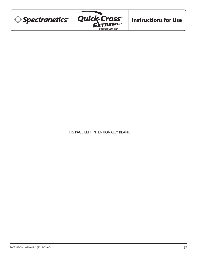



THIS PAGE LEFT INTENTIONALLY BLANK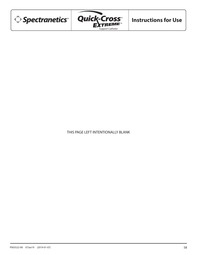



THIS PAGE LEFT INTENTIONALLY BLANK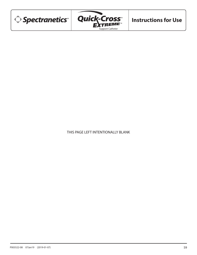



THIS PAGE LEFT INTENTIONALLY BLANK